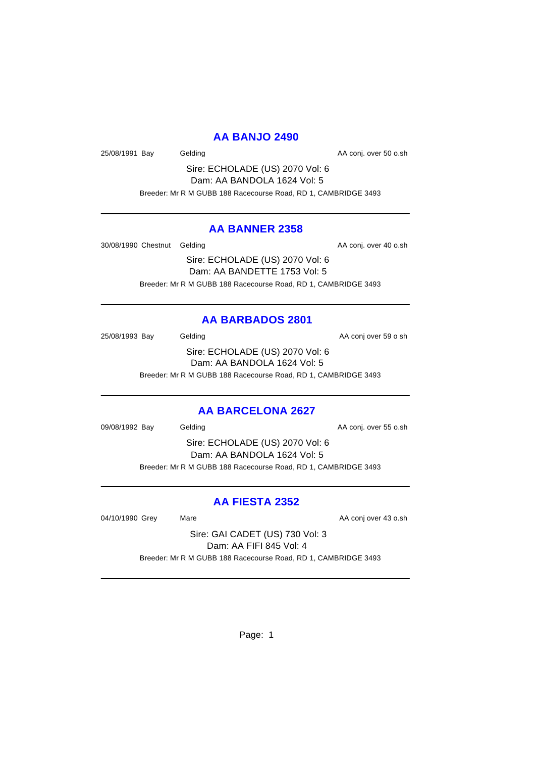### **AA BANJO 2490**

25/08/1991 Bay Gelding Cash Conj. over 50 o.sh

Sire: ECHOLADE (US) 2070 Vol: 6 Dam: AA BANDOLA 1624 Vol: 5 Breeder: Mr R M GUBB 188 Racecourse Road, RD 1, CAMBRIDGE 3493

### **AA BANNER 2358**

30/08/1990 Chestnut Gelding AA conj. over 40 o.sh

Sire: ECHOLADE (US) 2070 Vol: 6 Dam: AA BANDETTE 1753 Vol: 5 Breeder: Mr R M GUBB 188 Racecourse Road, RD 1, CAMBRIDGE 3493

### **AA BARBADOS 2801**

25/08/1993 Bay Gelding Case Conjecture AA conjecter 59 o sh Sire: ECHOLADE (US) 2070 Vol: 6 Dam: AA BANDOLA 1624 Vol: 5 Breeder: Mr R M GUBB 188 Racecourse Road, RD 1, CAMBRIDGE 3493

# **AA BARCELONA 2627**

09/08/1992 Bay Gelding Conjecture AA conj. over 55 o.sh

Sire: ECHOLADE (US) 2070 Vol: 6 Dam: AA BANDOLA 1624 Vol: 5 Breeder: Mr R M GUBB 188 Racecourse Road, RD 1, CAMBRIDGE 3493

# **AA FIESTA 2352**

04/10/1990 Grey Mare Mare AA conj over 43 o.sh

Sire: GAI CADET (US) 730 Vol: 3 Dam: AA FIFI 845 Vol: 4 Breeder: Mr R M GUBB 188 Racecourse Road, RD 1, CAMBRIDGE 3493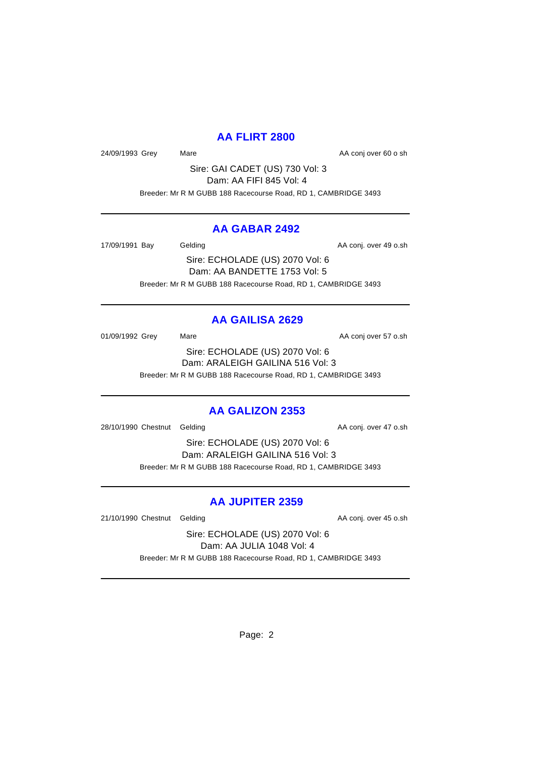### **AA FLIRT 2800**

24/09/1993 Grey Mare Mare AA conj over 60 o sh

Sire: GAI CADET (US) 730 Vol: 3 Dam: AA FIFI 845 Vol: 4 Breeder: Mr R M GUBB 188 Racecourse Road, RD 1, CAMBRIDGE 3493

### **AA GABAR 2492**

17/09/1991 Bay Gelding Cash Conj. over 49 o.sh

Sire: ECHOLADE (US) 2070 Vol: 6 Dam: AA BANDETTE 1753 Vol: 5 Breeder: Mr R M GUBB 188 Racecourse Road, RD 1, CAMBRIDGE 3493

## **AA GAILISA 2629**

01/09/1992 Grey Mare Mare AA conj over 57 o.sh Sire: ECHOLADE (US) 2070 Vol: 6 Dam: ARALEIGH GAILINA 516 Vol: 3 Breeder: Mr R M GUBB 188 Racecourse Road, RD 1, CAMBRIDGE 3493

### **AA GALIZON 2353**

28/10/1990 Chestnut Gelding and analysis of the AA conj. over 47 o.sh

Sire: ECHOLADE (US) 2070 Vol: 6 Dam: ARALEIGH GAILINA 516 Vol: 3 Breeder: Mr R M GUBB 188 Racecourse Road, RD 1, CAMBRIDGE 3493

## **AA JUPITER 2359**

21/10/1990 Chestnut Gelding and analysis of the AA conj. over 45 o.sh

Sire: ECHOLADE (US) 2070 Vol: 6 Dam: AA JULIA 1048 Vol: 4 Breeder: Mr R M GUBB 188 Racecourse Road, RD 1, CAMBRIDGE 3493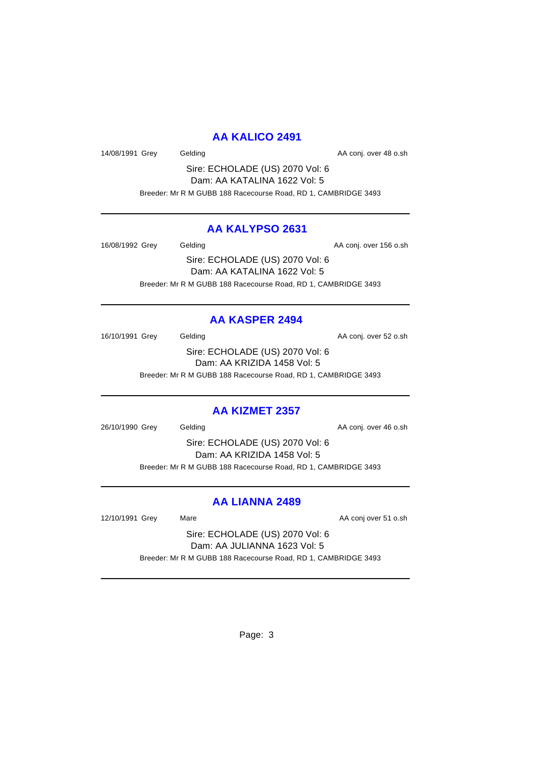### **AA KALICO 2491**

14/08/1991 Grey Gelding Cash Care Case AA conj. over 48 o.sh

Sire: ECHOLADE (US) 2070 Vol: 6 Dam: AA KATALINA 1622 Vol: 5 Breeder: Mr R M GUBB 188 Racecourse Road, RD 1, CAMBRIDGE 3493

### **AA KALYPSO 2631**

16/08/1992 Grey Gelding Gelding AA conj. over 156 o.sh Sire: ECHOLADE (US) 2070 Vol: 6 Dam: AA KATALINA 1622 Vol: 5

Breeder: Mr R M GUBB 188 Racecourse Road, RD 1, CAMBRIDGE 3493

## **AA KASPER 2494**

16/10/1991 Grey Gelding Cash Conj. over 52 o.sh Sire: ECHOLADE (US) 2070 Vol: 6 Dam: AA KRIZIDA 1458 Vol: 5 Breeder: Mr R M GUBB 188 Racecourse Road, RD 1, CAMBRIDGE 3493

### **AA KIZMET 2357**

26/10/1990 Grey Gelding Cash Conj. over 46 o.sh

Sire: ECHOLADE (US) 2070 Vol: 6 Dam: AA KRIZIDA 1458 Vol: 5 Breeder: Mr R M GUBB 188 Racecourse Road, RD 1, CAMBRIDGE 3493

## **AA LIANNA 2489**

12/10/1991 Grey Mare Mare AA conj over 51 o.sh

Sire: ECHOLADE (US) 2070 Vol: 6 Dam: AA JULIANNA 1623 Vol: 5 Breeder: Mr R M GUBB 188 Racecourse Road, RD 1, CAMBRIDGE 3493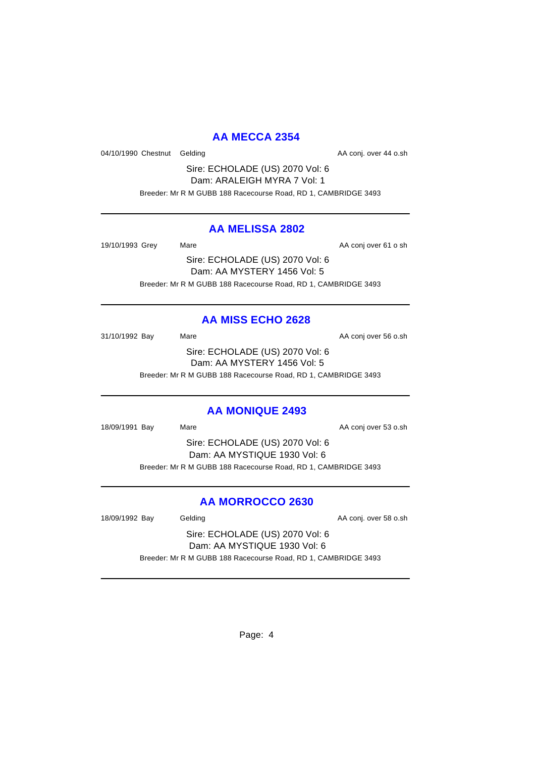## **AA MECCA 2354**

04/10/1990 Chestnut Gelding and analysis of the AA conj. over 44 o.sh

Sire: ECHOLADE (US) 2070 Vol: 6 Dam: ARALEIGH MYRA 7 Vol: 1 Breeder: Mr R M GUBB 188 Racecourse Road, RD 1, CAMBRIDGE 3493

### **AA MELISSA 2802**

19/10/1993 Grey Mare Mare AA conj over 61 o sh

Sire: ECHOLADE (US) 2070 Vol: 6 Dam: AA MYSTERY 1456 Vol: 5 Breeder: Mr R M GUBB 188 Racecourse Road, RD 1, CAMBRIDGE 3493

# **AA MISS ECHO 2628**

31/10/1992 Bay Mare Mare AA conj over 56 o.sh Sire: ECHOLADE (US) 2070 Vol: 6 Dam: AA MYSTERY 1456 Vol: 5 Breeder: Mr R M GUBB 188 Racecourse Road, RD 1, CAMBRIDGE 3493

## **AA MONIQUE 2493**

18/09/1991 Bay Mare Mare AA conj over 53 o.sh

Sire: ECHOLADE (US) 2070 Vol: 6 Dam: AA MYSTIQUE 1930 Vol: 6 Breeder: Mr R M GUBB 188 Racecourse Road, RD 1, CAMBRIDGE 3493

## **AA MORROCCO 2630**

18/09/1992 Bay Gelding Cash Conj. over 58 o.sh

Sire: ECHOLADE (US) 2070 Vol: 6 Dam: AA MYSTIQUE 1930 Vol: 6 Breeder: Mr R M GUBB 188 Racecourse Road, RD 1, CAMBRIDGE 3493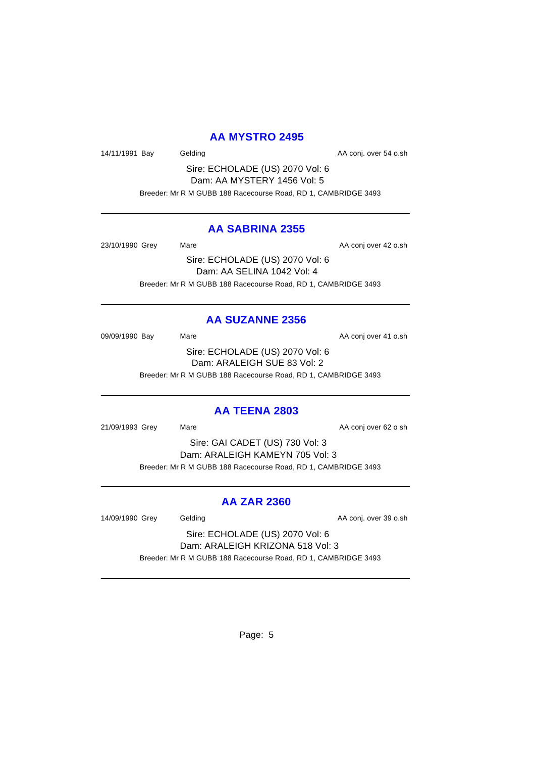### **AA MYSTRO 2495**

14/11/1991 Bay Gelding Cash Conj. over 54 o.sh

Sire: ECHOLADE (US) 2070 Vol: 6 Dam: AA MYSTERY 1456 Vol: 5 Breeder: Mr R M GUBB 188 Racecourse Road, RD 1, CAMBRIDGE 3493

### **AA SABRINA 2355**

23/10/1990 Grey Mare Mare AA conj over 42 o.sh Sire: ECHOLADE (US) 2070 Vol: 6

Dam: AA SELINA 1042 Vol: 4 Breeder: Mr R M GUBB 188 Racecourse Road, RD 1, CAMBRIDGE 3493

## **AA SUZANNE 2356**

09/09/1990 Bay Mare Mare AA conj over 41 o.sh Sire: ECHOLADE (US) 2070 Vol: 6 Dam: ARALEIGH SUE 83 Vol: 2 Breeder: Mr R M GUBB 188 Racecourse Road, RD 1, CAMBRIDGE 3493

### **AA TEENA 2803**

21/09/1993 Grey Mare Mare AA conj over 62 o sh

Sire: GAI CADET (US) 730 Vol: 3 Dam: ARALEIGH KAMEYN 705 Vol: 3 Breeder: Mr R M GUBB 188 Racecourse Road, RD 1, CAMBRIDGE 3493

## **AA ZAR 2360**

14/09/1990 Grey Gelding Cash Conj. over 39 o.sh

Sire: ECHOLADE (US) 2070 Vol: 6 Dam: ARALEIGH KRIZONA 518 Vol: 3 Breeder: Mr R M GUBB 188 Racecourse Road, RD 1, CAMBRIDGE 3493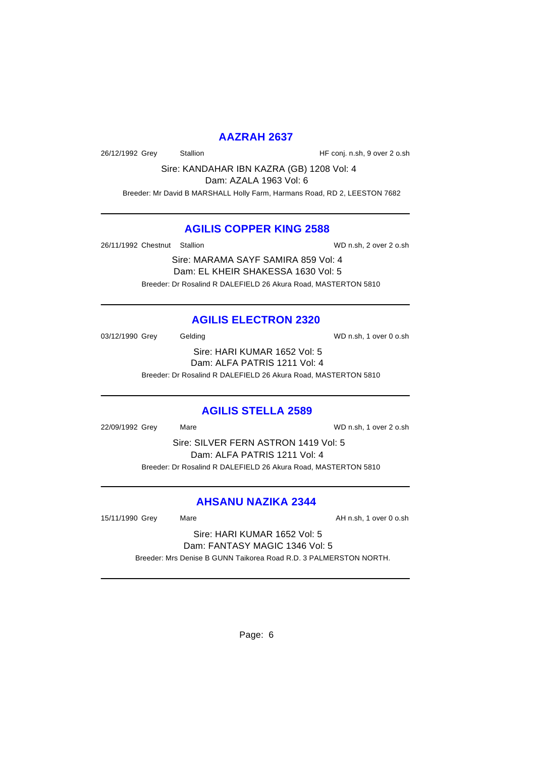### **AAZRAH 2637**

26/12/1992 Grey Stallion HF conj. n.sh, 9 over 2 o.sh

Sire: KANDAHAR IBN KAZRA (GB) 1208 Vol: 4

Dam: AZALA 1963 Vol: 6

Breeder: Mr David B MARSHALL Holly Farm, Harmans Road, RD 2, LEESTON 7682

## **AGILIS COPPER KING 2588**

26/11/1992 Chestnut Stallion WD n.sh, 2 over 2 o.sh

Sire: MARAMA SAYF SAMIRA 859 Vol: 4 Dam: EL KHEIR SHAKESSA 1630 Vol: 5 Breeder: Dr Rosalind R DALEFIELD 26 Akura Road, MASTERTON 5810

# **AGILIS ELECTRON 2320**

03/12/1990 Grey Gelding Gelding WD n.sh, 1 over 0 o.sh Sire: HARI KUMAR 1652 Vol: 5

Dam: ALFA PATRIS 1211 Vol: 4

Breeder: Dr Rosalind R DALEFIELD 26 Akura Road, MASTERTON 5810

## **AGILIS STELLA 2589**

22/09/1992 Grey Mare WD n.sh, 1 over 2 o.sh

Sire: SILVER FERN ASTRON 1419 Vol: 5 Dam: ALFA PATRIS 1211 Vol: 4 Breeder: Dr Rosalind R DALEFIELD 26 Akura Road, MASTERTON 5810

# **AHSANU NAZIKA 2344**

15/11/1990 Grey Mare Mare AH n.sh, 1 over 0 o.sh

Sire: HARI KUMAR 1652 Vol: 5 Dam: FANTASY MAGIC 1346 Vol: 5 Breeder: Mrs Denise B GUNN Taikorea Road R.D. 3 PALMERSTON NORTH.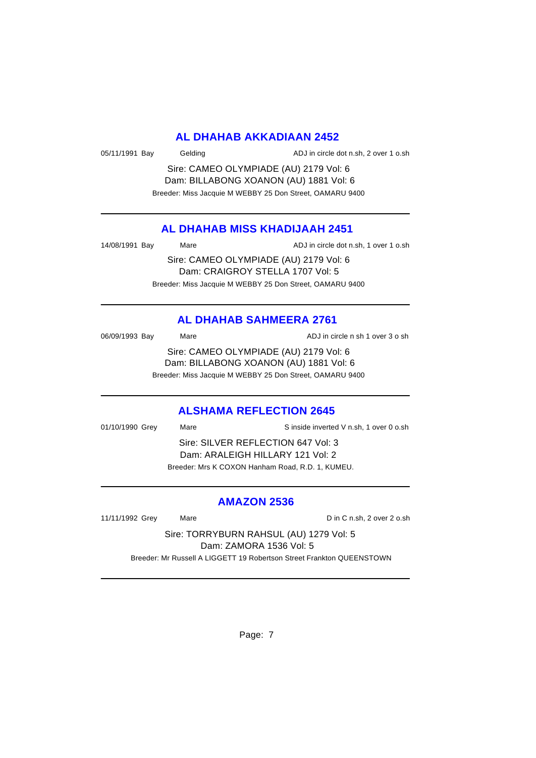### **AL DHAHAB AKKADIAAN 2452**

| 05/11/1991 Bay<br>Gelding | ADJ in circle dot n.sh, 2 over 1 o.sh |
|---------------------------|---------------------------------------|
|---------------------------|---------------------------------------|

Sire: CAMEO OLYMPIADE (AU) 2179 Vol: 6 Dam: BILLABONG XOANON (AU) 1881 Vol: 6 Breeder: Miss Jacquie M WEBBY 25 Don Street, OAMARU 9400

### **AL DHAHAB MISS KHADIJAAH 2451**

14/08/1991 Bay Mare Mare ADJ in circle dot n.sh, 1 over 1 o.sh

Sire: CAMEO OLYMPIADE (AU) 2179 Vol: 6 Dam: CRAIGROY STELLA 1707 Vol: 5 Breeder: Miss Jacquie M WEBBY 25 Don Street, OAMARU 9400

# **AL DHAHAB SAHMEERA 2761**

| 06/09/1993 Bay | Mare | ADJ in circle n sh 1 over 3 o sh                                                 |
|----------------|------|----------------------------------------------------------------------------------|
|                |      | Sire: CAMEO OLYMPIADE (AU) 2179 Vol: 6<br>Dam: BILLABONG XOANON (AU) 1881 Vol: 6 |

Breeder: Miss Jacquie M WEBBY 25 Don Street, OAMARU 9400

### **ALSHAMA REFLECTION 2645**

| 01/10/1990 Grey                  | Mare                                             | S inside inverted V n.sh, 1 over 0 o.sh |
|----------------------------------|--------------------------------------------------|-----------------------------------------|
|                                  | Sire: SILVER REFLECTION 647 Vol. 3               |                                         |
| Dam: ARALEIGH HILLARY 121 Vol: 2 |                                                  |                                         |
|                                  | Breeder: Mrs K COXON Hanham Road, R.D. 1, KUMEU. |                                         |

### **AMAZON 2536**

11/11/1992 Grey Mare Mare Din C n.sh, 2 over 2 o.sh

Sire: TORRYBURN RAHSUL (AU) 1279 Vol: 5 Dam: ZAMORA 1536 Vol: 5 Breeder: Mr Russell A LIGGETT 19 Robertson Street Frankton QUEENSTOWN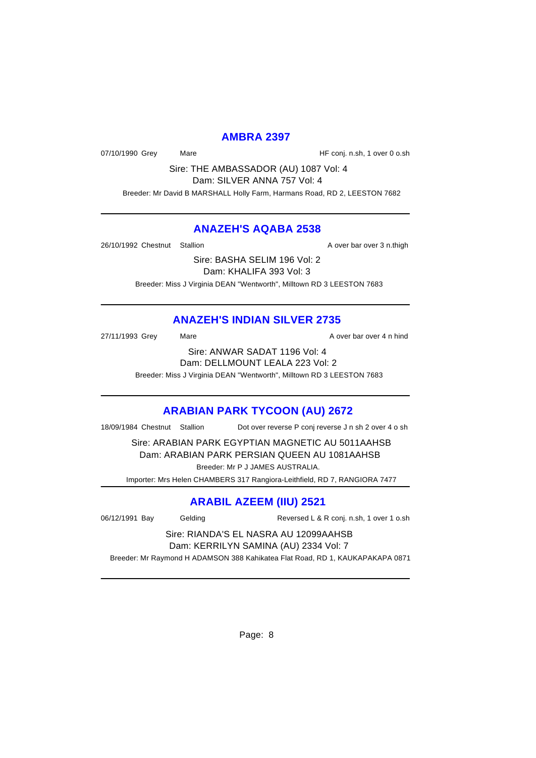### **AMBRA 2397**

07/10/1990 Grey Mare Mare HF conj. n.sh, 1 over 0 o.sh

Sire: THE AMBASSADOR (AU) 1087 Vol: 4 Dam: SILVER ANNA 757 Vol: 4

Breeder: Mr David B MARSHALL Holly Farm, Harmans Road, RD 2, LEESTON 7682

### **ANAZEH'S AQABA 2538**

26/10/1992 Chestnut Stallion A over bar over 3 n.thigh

Sire: BASHA SELIM 196 Vol: 2 Dam: KHALIFA 393 Vol: 3 Breeder: Miss J Virginia DEAN "Wentworth", Milltown RD 3 LEESTON 7683

# **ANAZEH'S INDIAN SILVER 2735**

27/11/1993 Grey Mare Mare A over bar over 4 n hind

Sire: ANWAR SADAT 1196 Vol: 4 Dam: DELLMOUNT LEALA 223 Vol: 2 Breeder: Miss J Virginia DEAN "Wentworth", Milltown RD 3 LEESTON 7683

# **ARABIAN PARK TYCOON (AU) 2672**

18/09/1984 Chestnut Stallion Dot over reverse P conj reverse J n sh 2 over 4 o sh

Sire: ARABIAN PARK EGYPTIAN MAGNETIC AU 5011AAHSB

Dam: ARABIAN PARK PERSIAN QUEEN AU 1081AAHSB Breeder: Mr P J JAMES AUSTRALIA.

Importer: Mrs Helen CHAMBERS 317 Rangiora-Leithfield, RD 7, RANGIORA 7477

# **ARABIL AZEEM (IIU) 2521**

06/12/1991 Bay Gelding Reversed L & R conj. n.sh, 1 over 1 o.sh

#### Sire: RIANDA'S EL NASRA AU 12099AAHSB Dam: KERRILYN SAMINA (AU) 2334 Vol: 7

Breeder: Mr Raymond H ADAMSON 388 Kahikatea Flat Road, RD 1, KAUKAPAKAPA 0871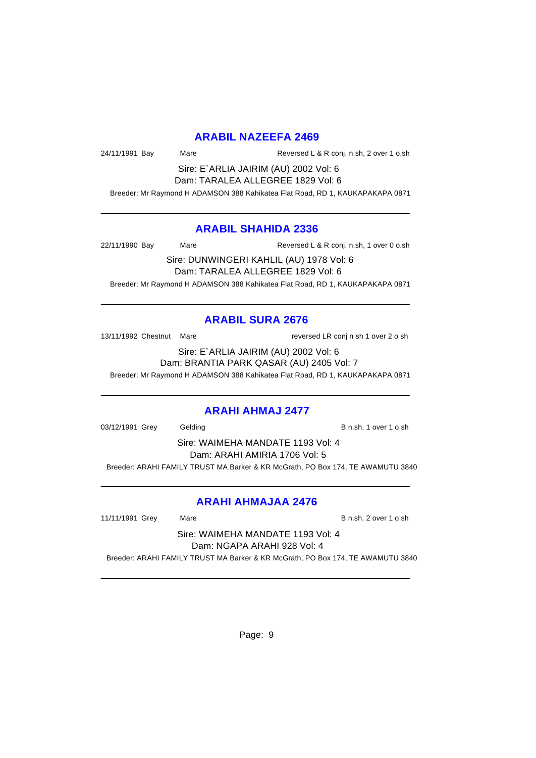### **ARABIL NAZEEFA 2469**

24/11/1991 Bay Mare Reversed L & R conj. n.sh, 2 over 1 o.sh

Sire: E`ARLIA JAIRIM (AU) 2002 Vol: 6 Dam: TARALEA ALLEGREE 1829 Vol: 6

Breeder: Mr Raymond H ADAMSON 388 Kahikatea Flat Road, RD 1, KAUKAPAKAPA 0871

### **ARABIL SHAHIDA 2336**

22/11/1990 Bay Mare Mare Reversed L & R conj. n.sh, 1 over 0 o.sh

Sire: DUNWINGERI KAHLIL (AU) 1978 Vol: 6 Dam: TARALEA ALLEGREE 1829 Vol: 6 Breeder: Mr Raymond H ADAMSON 388 Kahikatea Flat Road, RD 1, KAUKAPAKAPA 0871

### **ARABIL SURA 2676**

13/11/1992 Chestnut Mare reversed LR conj n sh 1 over 2 o sh

Sire: E`ARLIA JAIRIM (AU) 2002 Vol: 6 Dam: BRANTIA PARK QASAR (AU) 2405 Vol: 7

Breeder: Mr Raymond H ADAMSON 388 Kahikatea Flat Road, RD 1, KAUKAPAKAPA 0871

### **ARAHI AHMAJ 2477**

03/12/1991 Grey Gelding Communication B n.sh, 1 over 1 o.sh

Sire: WAIMEHA MANDATE 1193 Vol: 4 Dam: ARAHI AMIRIA 1706 Vol: 5 Breeder: ARAHI FAMILY TRUST MA Barker & KR McGrath, PO Box 174, TE AWAMUTU 3840

## **ARAHI AHMAJAA 2476**

11/11/1991 Grey Mare B n.sh, 2 over 1 o.sh

Sire: WAIMEHA MANDATE 1193 Vol: 4 Dam: NGAPA ARAHI 928 Vol: 4 Breeder: ARAHI FAMILY TRUST MA Barker & KR McGrath, PO Box 174, TE AWAMUTU 3840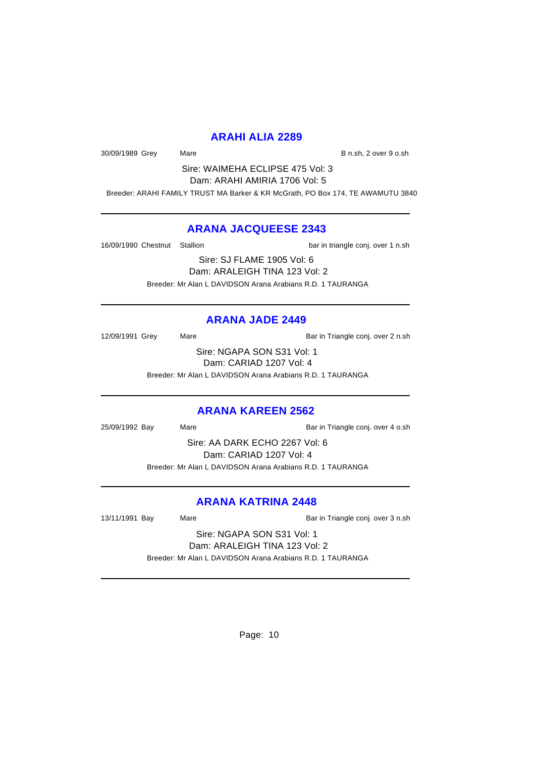### **ARAHI ALIA 2289**

30/09/1989 Grey Mare Mare B n.sh, 2 over 9 o.sh

Sire: WAIMEHA ECLIPSE 475 Vol: 3 Dam: ARAHI AMIRIA 1706 Vol: 5

Breeder: ARAHI FAMILY TRUST MA Barker & KR McGrath, PO Box 174, TE AWAMUTU 3840

### **ARANA JACQUEESE 2343**

16/09/1990 Chestnut Stallion bar in triangle conj. over 1 n.sh

Sire: SJ FLAME 1905 Vol: 6 Dam: ARALEIGH TINA 123 Vol: 2 Breeder: Mr Alan L DAVIDSON Arana Arabians R.D. 1 TAURANGA

## **ARANA JADE 2449**

12/09/1991 Grey Mare Mare Bar in Triangle conj. over 2 n.sh

Sire: NGAPA SON S31 Vol: 1 Dam: CARIAD 1207 Vol: 4

Breeder: Mr Alan L DAVIDSON Arana Arabians R.D. 1 TAURANGA

## **ARANA KAREEN 2562**

25/09/1992 Bay Mare Mare Bar in Triangle conj. over 4 o.sh

Sire: AA DARK ECHO 2267 Vol: 6 Dam: CARIAD 1207 Vol: 4 Breeder: Mr Alan L DAVIDSON Arana Arabians R.D. 1 TAURANGA

## **ARANA KATRINA 2448**

13/11/1991 Bay Mare Mare Bar in Triangle conj. over 3 n.sh

Sire: NGAPA SON S31 Vol: 1 Dam: ARALEIGH TINA 123 Vol: 2

Breeder: Mr Alan L DAVIDSON Arana Arabians R.D. 1 TAURANGA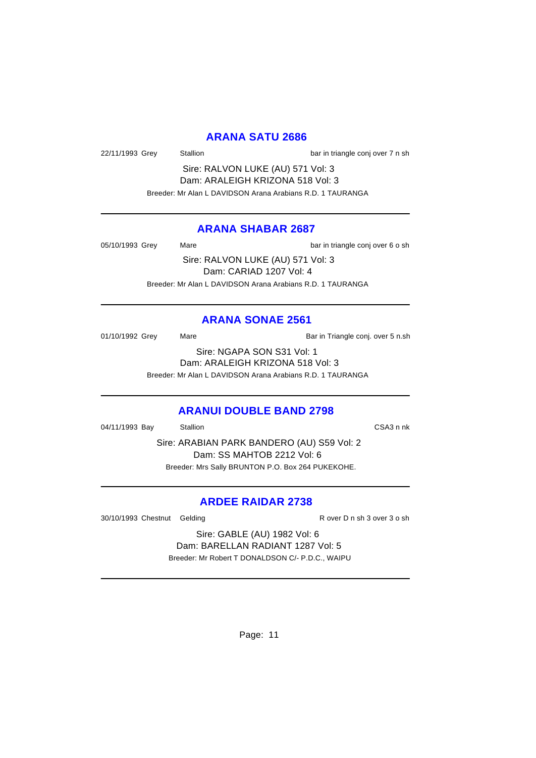### **ARANA SATU 2686**

22/11/1993 Grey Stallion Stallion bar in triangle conj over 7 n sh

Sire: RALVON LUKE (AU) 571 Vol: 3 Dam: ARALEIGH KRIZONA 518 Vol: 3 Breeder: Mr Alan L DAVIDSON Arana Arabians R.D. 1 TAURANGA

### **ARANA SHABAR 2687**

05/10/1993 Grey Mare Mare bar in triangle conj over 6 o sh Sire: RALVON LUKE (AU) 571 Vol: 3 Dam: CARIAD 1207 Vol: 4

Breeder: Mr Alan L DAVIDSON Arana Arabians R.D. 1 TAURANGA

### **ARANA SONAE 2561**

01/10/1992 Grey Mare Mare Bar in Triangle conj. over 5 n.sh Sire: NGAPA SON S31 Vol: 1 Dam: ARALEIGH KRIZONA 518 Vol: 3

Breeder: Mr Alan L DAVIDSON Arana Arabians R.D. 1 TAURANGA

### **ARANUI DOUBLE BAND 2798**

04/11/1993 Bay Stallion CSA3 n nk

Sire: ARABIAN PARK BANDERO (AU) S59 Vol: 2 Dam: SS MAHTOB 2212 Vol: 6 Breeder: Mrs Sally BRUNTON P.O. Box 264 PUKEKOHE.

## **ARDEE RAIDAR 2738**

30/10/1993 Chestnut Gelding R over D n sh 3 over 3 o sh

Sire: GABLE (AU) 1982 Vol: 6 Dam: BARELLAN RADIANT 1287 Vol: 5 Breeder: Mr Robert T DONALDSON C/- P.D.C., WAIPU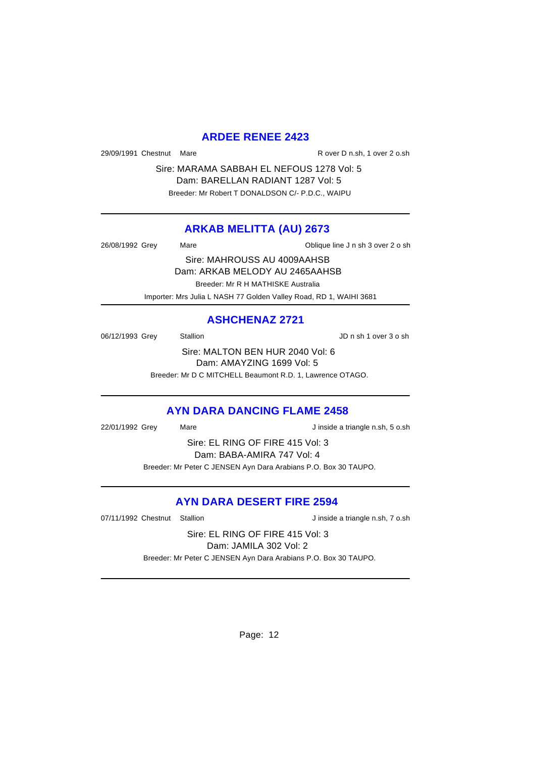### **ARDEE RENEE 2423**

29/09/1991 Chestnut Mare R over D n.sh, 1 over 2 o.sh

Sire: MARAMA SABBAH EL NEFOUS 1278 Vol: 5 Dam: BARELLAN RADIANT 1287 Vol: 5 Breeder: Mr Robert T DONALDSON C/- P.D.C., WAIPU

### **ARKAB MELITTA (AU) 2673**

26/08/1992 Grey Mare Mare 20 Sh Chique line J n sh 3 over 2 o sh Sire: MAHROUSS AU 4009AAHSB Dam: ARKAB MELODY AU 2465AAHSB Breeder: Mr R H MATHISKE Australia

Importer: Mrs Julia L NASH 77 Golden Valley Road, RD 1, WAIHI 3681

## **ASHCHENAZ 2721**

06/12/1993 Grey Stallion Stallion State State State State State State State State State State State State State State State State State State State State State State State State State State State State State State State St Sire: MALTON BEN HUR 2040 Vol: 6

Dam: AMAYZING 1699 Vol: 5

Breeder: Mr D C MITCHELL Beaumont R.D. 1, Lawrence OTAGO.

## **AYN DARA DANCING FLAME 2458**

22/01/1992 Grey Mare Mare J inside a triangle n.sh, 5 o.sh

Sire: EL RING OF FIRE 415 Vol: 3 Dam: BABA-AMIRA 747 Vol: 4 Breeder: Mr Peter C JENSEN Ayn Dara Arabians P.O. Box 30 TAUPO.

## **AYN DARA DESERT FIRE 2594**

07/11/1992 Chestnut Stallion Jinside a triangle n.sh, 7 o.sh

Sire: EL RING OF FIRE 415 Vol: 3 Dam: JAMILA 302 Vol: 2

Breeder: Mr Peter C JENSEN Ayn Dara Arabians P.O. Box 30 TAUPO.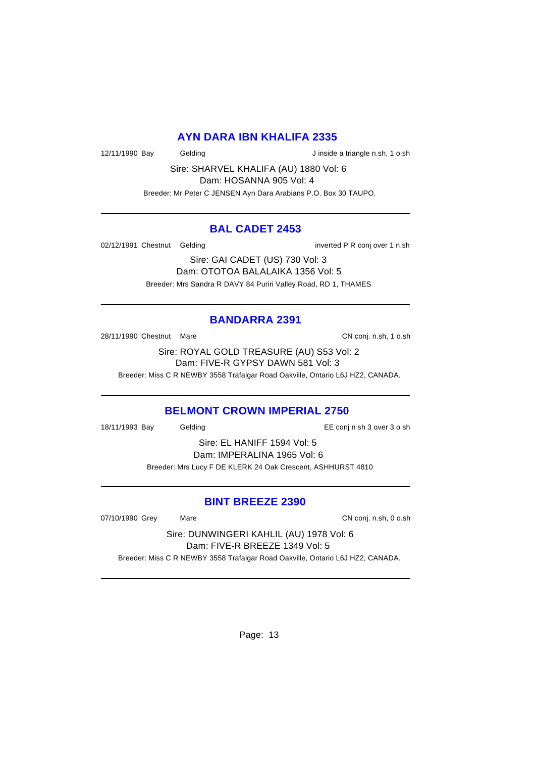### **AYN DARA IBN KHALIFA 2335**

12/11/1990 Bay Gelding Gelding J inside a triangle n.sh, 1 o.sh

Sire: SHARVEL KHALIFA (AU) 1880 Vol: 6 Dam: HOSANNA 905 Vol: 4

Breeder: Mr Peter C JENSEN Ayn Dara Arabians P.O. Box 30 TAUPO.

### **BAL CADET 2453**

02/12/1991 Chestnut Gelding inverted P R conj over 1 n.sh

Sire: GAI CADET (US) 730 Vol: 3 Dam: OTOTOA BALALAIKA 1356 Vol: 5 Breeder: Mrs Sandra R DAVY 84 Puriri Valley Road, RD 1, THAMES

# **BANDARRA 2391**

28/11/1990 Chestnut Mare CN conj. n.sh, 1 o.sh

Sire: ROYAL GOLD TREASURE (AU) S53 Vol: 2 Dam: FIVE-R GYPSY DAWN 581 Vol: 3

Breeder: Miss C R NEWBY 3558 Trafalgar Road Oakville, Ontario L6J HZ2, CANADA.

### **BELMONT CROWN IMPERIAL 2750**

18/11/1993 Bay Gelding EE conj n sh 3 over 3 o sh

Sire: EL HANIFF 1594 Vol: 5 Dam: IMPERALINA 1965 Vol: 6 Breeder: Mrs Lucy F DE KLERK 24 Oak Crescent, ASHHURST 4810

### **BINT BREEZE 2390**

07/10/1990 Grey Mare Mare CN conj. n.sh, 0 o.sh

Sire: DUNWINGERI KAHLIL (AU) 1978 Vol: 6 Dam: FIVE-R BREEZE 1349 Vol: 5 Breeder: Miss C R NEWBY 3558 Trafalgar Road Oakville, Ontario L6J HZ2, CANADA.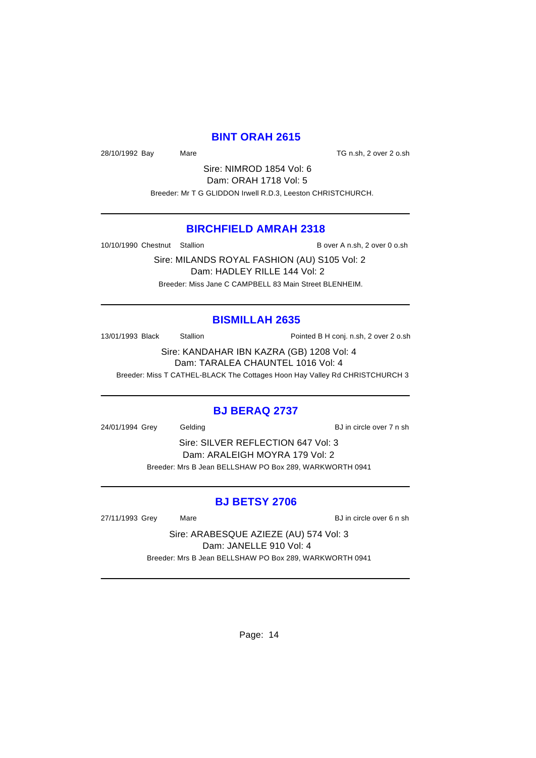### **BINT ORAH 2615**

28/10/1992 Bay Mare Mare TG n.sh, 2 over 2 o.sh

Sire: NIMROD 1854 Vol: 6 Dam: ORAH 1718 Vol: 5 Breeder: Mr T G GLIDDON Irwell R.D.3, Leeston CHRISTCHURCH.

### **BIRCHFIELD AMRAH 2318**

10/10/1990 Chestnut Stallion B over A n.sh, 2 over 0 o.sh

Sire: MILANDS ROYAL FASHION (AU) S105 Vol: 2 Dam: HADLEY RILLE 144 Vol: 2 Breeder: Miss Jane C CAMPBELL 83 Main Street BLENHEIM.

### **BISMILLAH 2635**

13/01/1993 Black Stallion Pointed B H conj. n.sh, 2 over 2 o.sh

Sire: KANDAHAR IBN KAZRA (GB) 1208 Vol: 4 Dam: TARALEA CHAUNTEL 1016 Vol: 4

Breeder: Miss T CATHEL-BLACK The Cottages Hoon Hay Valley Rd CHRISTCHURCH 3

### **BJ BERAQ 2737**

24/01/1994 Grey Gelding BJ in circle over 7 n sh

Sire: SILVER REFLECTION 647 Vol: 3 Dam: ARALEIGH MOYRA 179 Vol: 2 Breeder: Mrs B Jean BELLSHAW PO Box 289, WARKWORTH 0941

### **BJ BETSY 2706**

27/11/1993 Grey Mare Mare BJ in circle over 6 n sh

Sire: ARABESQUE AZIEZE (AU) 574 Vol: 3 Dam: JANELLE 910 Vol: 4 Breeder: Mrs B Jean BELLSHAW PO Box 289, WARKWORTH 0941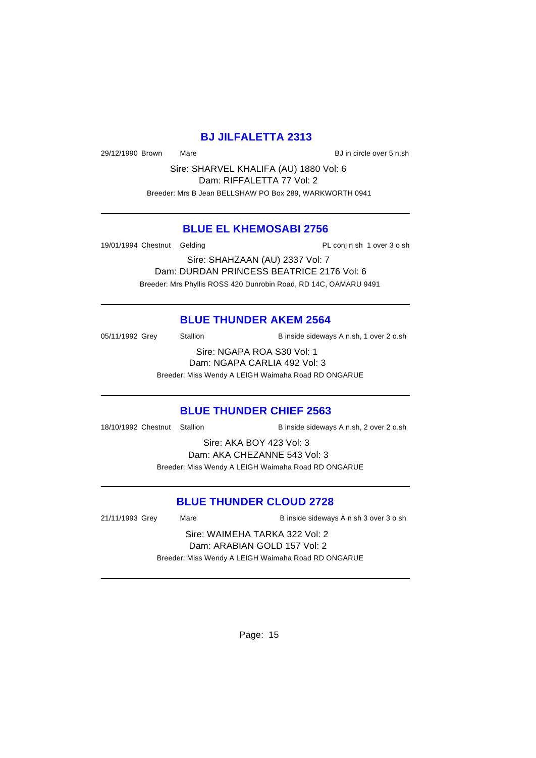## **BJ JILFALETTA 2313**

29/12/1990 Brown Mare **Bullet Community** BJ in circle over 5 n.sh

Sire: SHARVEL KHALIFA (AU) 1880 Vol: 6 Dam: RIFFALETTA 77 Vol: 2 Breeder: Mrs B Jean BELLSHAW PO Box 289, WARKWORTH 0941

## **BLUE EL KHEMOSABI 2756**

19/01/1994 Chestnut Gelding PL conj n sh 1 over 3 o sh

Sire: SHAHZAAN (AU) 2337 Vol: 7 Dam: DURDAN PRINCESS BEATRICE 2176 Vol: 6 Breeder: Mrs Phyllis ROSS 420 Dunrobin Road, RD 14C, OAMARU 9491

### **BLUE THUNDER AKEM 2564**

05/11/1992 Grey Stallion B inside sideways A n.sh, 1 over 2 o.sh

Sire: NGAPA ROA S30 Vol: 1 Dam: NGAPA CARLIA 492 Vol: 3

Breeder: Miss Wendy A LEIGH Waimaha Road RD ONGARUE

### **BLUE THUNDER CHIEF 2563**

18/10/1992 Chestnut Stallion B inside sideways A n.sh, 2 over 2 o.sh

Sire: AKA BOY 423 Vol: 3 Dam: AKA CHEZANNE 543 Vol: 3 Breeder: Miss Wendy A LEIGH Waimaha Road RD ONGARUE

## **BLUE THUNDER CLOUD 2728**

21/11/1993 Grey Mare B inside sideways A n sh 3 over 3 o sh

Sire: WAIMEHA TARKA 322 Vol: 2 Dam: ARABIAN GOLD 157 Vol: 2 Breeder: Miss Wendy A LEIGH Waimaha Road RD ONGARUE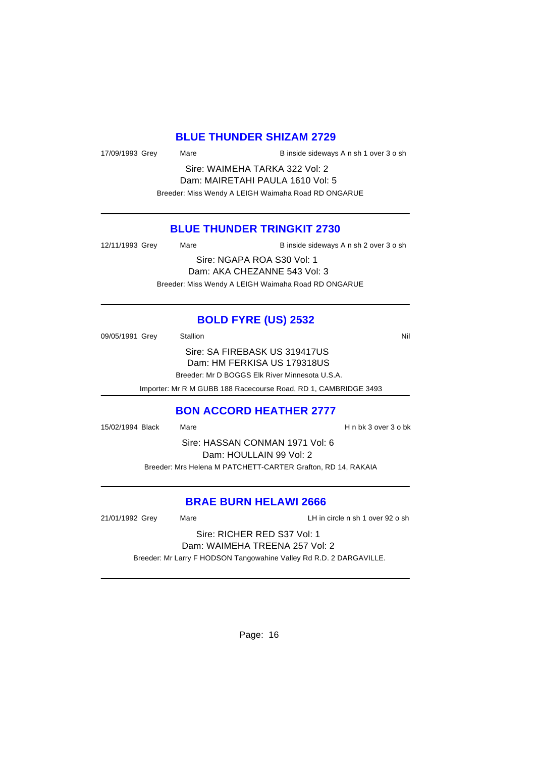### **BLUE THUNDER SHIZAM 2729**

| 17/09/1993 Grey | Mare | B inside sideways A n sh 1 over 3 o sh |
|-----------------|------|----------------------------------------|

Sire: WAIMEHA TARKA 322 Vol: 2 Dam: MAIRETAHI PAULA 1610 Vol: 5 Breeder: Miss Wendy A LEIGH Waimaha Road RD ONGARUE

### **BLUE THUNDER TRINGKIT 2730**

| 12/11/1993 Grey | Mare | B inside sideways A n sh 2 over 3 o sh              |
|-----------------|------|-----------------------------------------------------|
|                 |      | Sire: NGAPA ROA S30 Vol: 1                          |
|                 |      | Dam: AKA CHEZANNE 543 Vol: 3                        |
|                 |      | Breeder: Miss Wendy A LEIGH Waimaha Road RD ONGARUE |

# **BOLD FYRE (US) 2532**

| 09/05/1991 Grey | Stallion                                                        | Nil |
|-----------------|-----------------------------------------------------------------|-----|
|                 | Sire: SA FIREBASK US 319417US                                   |     |
|                 | Dam: HM FERKISA US 179318US                                     |     |
|                 | Breeder: Mr D BOGGS Elk River Minnesota U.S.A.                  |     |
|                 | Importer: Mr R M GUBB 188 Racecourse Road, RD 1, CAMBRIDGE 3493 |     |

### **BON ACCORD HEATHER 2777**

15/02/1994 Black Mare H n bk 3 over 3 o bk Sire: HASSAN CONMAN 1971 Vol: 6 Dam: HOULLAIN 99 Vol: 2 Breeder: Mrs Helena M PATCHETT-CARTER Grafton, RD 14, RAKAIA

### **BRAE BURN HELAWI 2666**

21/01/1992 Grey Mare LH in circle n sh 1 over 92 o sh

Sire: RICHER RED S37 Vol: 1 Dam: WAIMEHA TREENA 257 Vol: 2

Breeder: Mr Larry F HODSON Tangowahine Valley Rd R.D. 2 DARGAVILLE.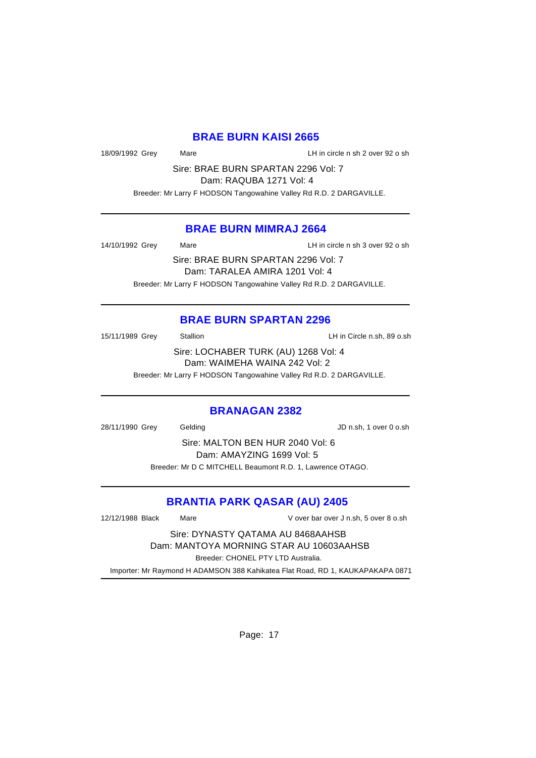### **BRAE BURN KAISI 2665**

18/09/1992 Grey Mare LH in circle n sh 2 over 92 o sh

Sire: BRAE BURN SPARTAN 2296 Vol: 7

Dam: RAQUBA 1271 Vol: 4

Breeder: Mr Larry F HODSON Tangowahine Valley Rd R.D. 2 DARGAVILLE.

### **BRAE BURN MIMRAJ 2664**

14/10/1992 Grey Mare LH in circle n sh 3 over 92 o sh

Sire: BRAE BURN SPARTAN 2296 Vol: 7 Dam: TARALEA AMIRA 1201 Vol: 4 Breeder: Mr Larry F HODSON Tangowahine Valley Rd R.D. 2 DARGAVILLE.

## **BRAE BURN SPARTAN 2296**

15/11/1989 Grey Stallion LH in Circle n.sh, 89 o.sh

Sire: LOCHABER TURK (AU) 1268 Vol: 4 Dam: WAIMEHA WAINA 242 Vol: 2

Breeder: Mr Larry F HODSON Tangowahine Valley Rd R.D. 2 DARGAVILLE.

### **BRANAGAN 2382**

28/11/1990 Grey Gelding JD n.sh, 1 over 0 o.sh

Sire: MALTON BEN HUR 2040 Vol: 6 Dam: AMAYZING 1699 Vol: 5 Breeder: Mr D C MITCHELL Beaumont R.D. 1, Lawrence OTAGO.

## **BRANTIA PARK QASAR (AU) 2405**

12/12/1988 Black Mare V over bar over J n.sh, 5 over 8 o.sh Sire: DYNASTY QATAMA AU 8468AAHSB Dam: MANTOYA MORNING STAR AU 10603AAHSB Breeder: CHONEL PTY LTD Australia.

Importer: Mr Raymond H ADAMSON 388 Kahikatea Flat Road, RD 1, KAUKAPAKAPA 0871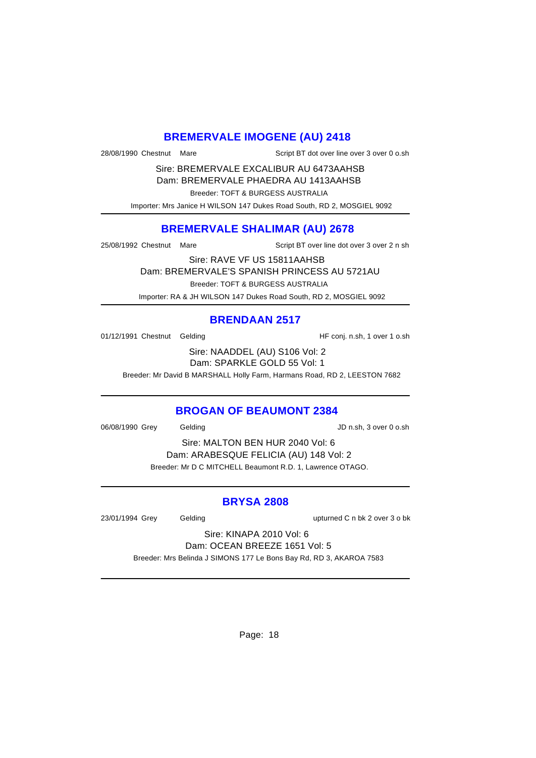### **BREMERVALE IMOGENE (AU) 2418**

28/08/1990 Chestnut Mare Script BT dot over line over 3 over 0 o.sh

Sire: BREMERVALE EXCALIBUR AU 6473AAHSB Dam: BREMERVALE PHAEDRA AU 1413AAHSB

Breeder: TOFT & BURGESS AUSTRALIA

Importer: Mrs Janice H WILSON 147 Dukes Road South, RD 2, MOSGIEL 9092

## **BREMERVALE SHALIMAR (AU) 2678**

25/08/1992 Chestnut Mare Script BT over line dot over 3 over 2 n sh

Sire: RAVE VF US 15811AAHSB

Dam: BREMERVALE'S SPANISH PRINCESS AU 5721AU

Breeder: TOFT & BURGESS AUSTRALIA

Importer: RA & JH WILSON 147 Dukes Road South, RD 2, MOSGIEL 9092

## **BRENDAAN 2517**

01/12/1991 Chestnut Gelding The State of HF conj. n.sh, 1 over 1 o.sh

Sire: NAADDEL (AU) S106 Vol: 2 Dam: SPARKLE GOLD 55 Vol: 1

Breeder: Mr David B MARSHALL Holly Farm, Harmans Road, RD 2, LEESTON 7682

### **BROGAN OF BEAUMONT 2384**

06/08/1990 Grey Gelding JD n.sh, 3 over 0 o.sh

Sire: MALTON BEN HUR 2040 Vol: 6 Dam: ARABESQUE FELICIA (AU) 148 Vol: 2 Breeder: Mr D C MITCHELL Beaumont R.D. 1, Lawrence OTAGO.

### **BRYSA 2808**

23/01/1994 Grey Gelding upturned C n bk 2 over 3 o bk

Sire: KINAPA 2010 Vol: 6 Dam: OCEAN BREEZE 1651 Vol: 5

Breeder: Mrs Belinda J SIMONS 177 Le Bons Bay Rd, RD 3, AKAROA 7583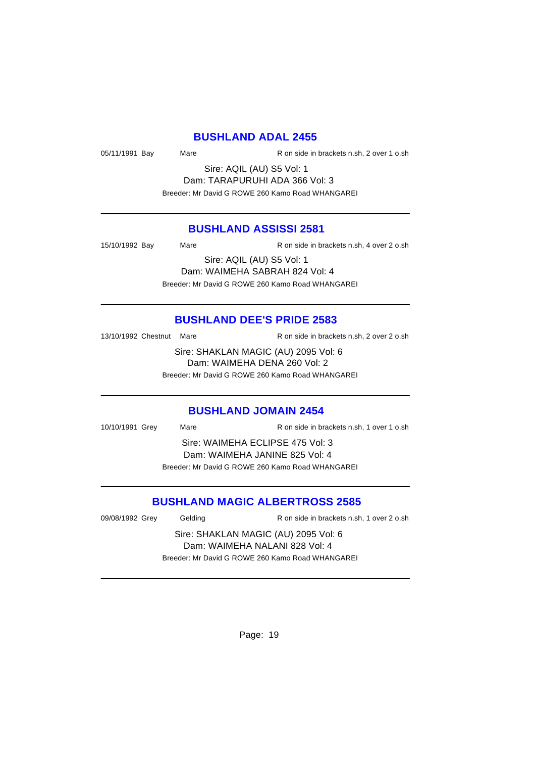### **BUSHLAND ADAL 2455**

05/11/1991 Bay Mare R on side in brackets n.sh, 2 over 1 o.sh

Sire: AQIL (AU) S5 Vol: 1 Dam: TARAPURUHI ADA 366 Vol: 3 Breeder: Mr David G ROWE 260 Kamo Road WHANGAREI

### **BUSHLAND ASSISSI 2581**

15/10/1992 Bay Mare R on side in brackets n.sh, 4 over 2 o.sh

Sire: AQIL (AU) S5 Vol: 1 Dam: WAIMEHA SABRAH 824 Vol: 4 Breeder: Mr David G ROWE 260 Kamo Road WHANGAREI

### **BUSHLAND DEE'S PRIDE 2583**

13/10/1992 Chestnut Mare R on side in brackets n.sh, 2 over 2 o.sh

Sire: SHAKLAN MAGIC (AU) 2095 Vol: 6 Dam: WAIMEHA DENA 260 Vol: 2 Breeder: Mr David G ROWE 260 Kamo Road WHANGAREI

# **BUSHLAND JOMAIN 2454**

10/10/1991 Grey Mare R on side in brackets n.sh, 1 over 1 o.sh Sire: WAIMEHA ECLIPSE 475 Vol: 3 Dam: WAIMEHA JANINE 825 Vol: 4

Breeder: Mr David G ROWE 260 Kamo Road WHANGAREI

## **BUSHLAND MAGIC ALBERTROSS 2585**

09/08/1992 Grey Gelding R on side in brackets n.sh, 1 over 2 o.sh

Sire: SHAKLAN MAGIC (AU) 2095 Vol: 6 Dam: WAIMEHA NALANI 828 Vol: 4 Breeder: Mr David G ROWE 260 Kamo Road WHANGAREI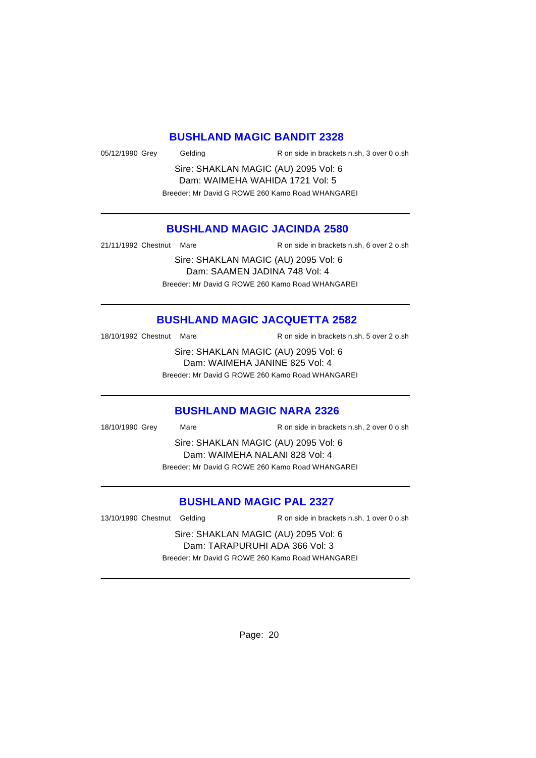#### **BUSHLAND MAGIC BANDIT 2328**

05/12/1990 Grey Gelding R on side in brackets n.sh, 3 over 0 o.sh

Sire: SHAKLAN MAGIC (AU) 2095 Vol: 6 Dam: WAIMEHA WAHIDA 1721 Vol: 5 Breeder: Mr David G ROWE 260 Kamo Road WHANGAREI

## **BUSHLAND MAGIC JACINDA 2580**

21/11/1992 Chestnut Mare R on side in brackets n.sh, 6 over 2 o.sh

Sire: SHAKLAN MAGIC (AU) 2095 Vol: 6 Dam: SAAMEN JADINA 748 Vol: 4 Breeder: Mr David G ROWE 260 Kamo Road WHANGAREI

## **BUSHLAND MAGIC JACQUETTA 2582**

18/10/1992 Chestnut Mare R on side in brackets n.sh, 5 over 2 o.sh

Sire: SHAKLAN MAGIC (AU) 2095 Vol: 6 Dam: WAIMEHA JANINE 825 Vol: 4 Breeder: Mr David G ROWE 260 Kamo Road WHANGAREI

# **BUSHLAND MAGIC NARA 2326**

18/10/1990 Grey Mare R on side in brackets n.sh, 2 over 0 o.sh

Sire: SHAKLAN MAGIC (AU) 2095 Vol: 6 Dam: WAIMEHA NALANI 828 Vol: 4 Breeder: Mr David G ROWE 260 Kamo Road WHANGAREI

## **BUSHLAND MAGIC PAL 2327**

13/10/1990 Chestnut Gelding R on side in brackets n.sh, 1 over 0 o.sh

Sire: SHAKLAN MAGIC (AU) 2095 Vol: 6 Dam: TARAPURUHI ADA 366 Vol: 3 Breeder: Mr David G ROWE 260 Kamo Road WHANGAREI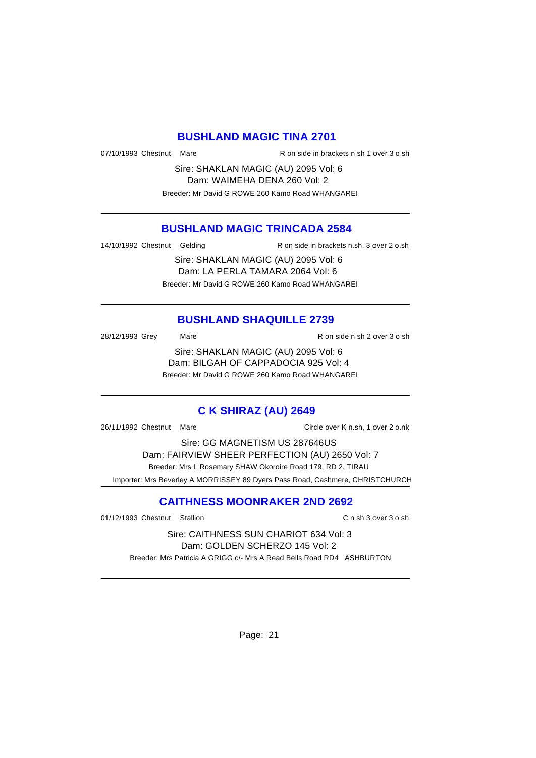### **BUSHLAND MAGIC TINA 2701**

07/10/1993 Chestnut Mare R on side in brackets n sh 1 over 3 o sh

Sire: SHAKLAN MAGIC (AU) 2095 Vol: 6 Dam: WAIMEHA DENA 260 Vol: 2 Breeder: Mr David G ROWE 260 Kamo Road WHANGAREI

### **BUSHLAND MAGIC TRINCADA 2584**

14/10/1992 Chestnut Gelding R on side in brackets n.sh, 3 over 2 o.sh

Sire: SHAKLAN MAGIC (AU) 2095 Vol: 6 Dam: LA PERLA TAMARA 2064 Vol: 6 Breeder: Mr David G ROWE 260 Kamo Road WHANGAREI

# **BUSHLAND SHAQUILLE 2739**

28/12/1993 Grey Mare Mare R on side n sh 2 over 3 o sh

Sire: SHAKLAN MAGIC (AU) 2095 Vol: 6 Dam: BILGAH OF CAPPADOCIA 925 Vol: 4 Breeder: Mr David G ROWE 260 Kamo Road WHANGAREI

## **C K SHIRAZ (AU) 2649**

26/11/1992 Chestnut Mare Circle over K n.sh, 1 over 2 o.nk

Sire: GG MAGNETISM US 287646US Dam: FAIRVIEW SHEER PERFECTION (AU) 2650 Vol: 7 Breeder: Mrs L Rosemary SHAW Okoroire Road 179, RD 2, TIRAU Importer: Mrs Beverley A MORRISSEY 89 Dyers Pass Road, Cashmere, CHRISTCHURCH

## **CAITHNESS MOONRAKER 2ND 2692**

01/12/1993 Chestnut Stallion C n sh 3 over 3 o sh

Sire: CAITHNESS SUN CHARIOT 634 Vol: 3 Dam: GOLDEN SCHERZO 145 Vol: 2 Breeder: Mrs Patricia A GRIGG c/- Mrs A Read Bells Road RD4 ASHBURTON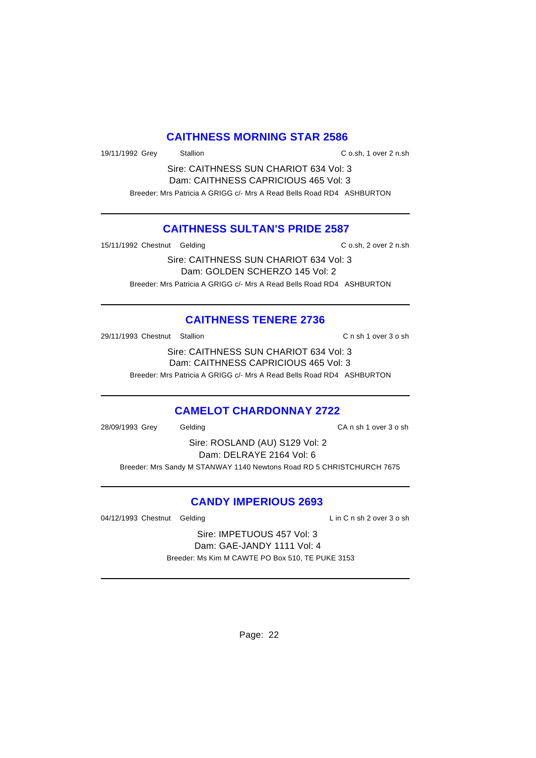### **CAITHNESS MORNING STAR 2586**

19/11/1992 Grey Stallion C o.sh, 1 over 2 n.sh

Sire: CAITHNESS SUN CHARIOT 634 Vol: 3 Dam: CAITHNESS CAPRICIOUS 465 Vol: 3 Breeder: Mrs Patricia A GRIGG c/- Mrs A Read Bells Road RD4 ASHBURTON

## **CAITHNESS SULTAN'S PRIDE 2587**

15/11/1992 Chestnut Gelding C o.sh, 2 over 2 n.sh

Sire: CAITHNESS SUN CHARIOT 634 Vol: 3 Dam: GOLDEN SCHERZO 145 Vol: 2 Breeder: Mrs Patricia A GRIGG c/- Mrs A Read Bells Road RD4 ASHBURTON

# **CAITHNESS TENERE 2736**

29/11/1993 Chestnut Stallion C n sh 1 over 3 o sh

Sire: CAITHNESS SUN CHARIOT 634 Vol: 3 Dam: CAITHNESS CAPRICIOUS 465 Vol: 3

Breeder: Mrs Patricia A GRIGG c/- Mrs A Read Bells Road RD4 ASHBURTON

## **CAMELOT CHARDONNAY 2722**

28/09/1993 Grey Gelding CA n sh 1 over 3 o sh

Sire: ROSLAND (AU) S129 Vol: 2 Dam: DELRAYE 2164 Vol: 6 Breeder: Mrs Sandy M STANWAY 1140 Newtons Road RD 5 CHRISTCHURCH 7675

## **CANDY IMPERIOUS 2693**

04/12/1993 Chestnut Gelding Lin C n sh 2 over 3 o sh

Sire: IMPETUOUS 457 Vol: 3 Dam: GAE-JANDY 1111 Vol: 4 Breeder: Ms Kim M CAWTE PO Box 510, TE PUKE 3153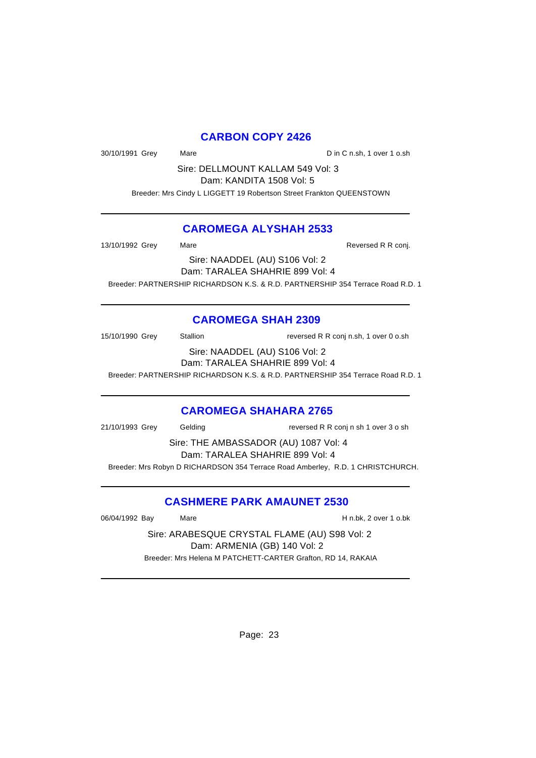# **CARBON COPY 2426**

30/10/1991 Grey Mare Mare Din C n.sh, 1 over 1 o.sh

Sire: DELLMOUNT KALLAM 549 Vol: 3 Dam: KANDITA 1508 Vol: 5

Breeder: Mrs Cindy L LIGGETT 19 Robertson Street Frankton QUEENSTOWN

### **CAROMEGA ALYSHAH 2533**

13/10/1992 Grey Mare Mare Reversed R R conj. Sire: NAADDEL (AU) S106 Vol: 2 Dam: TARALEA SHAHRIE 899 Vol: 4 Breeder: PARTNERSHIP RICHARDSON K.S. & R.D. PARTNERSHIP 354 Terrace Road R.D. 1

# **CAROMEGA SHAH 2309**

15/10/1990 Grey Stallion reversed R R conj n.sh, 1 over 0 o.sh Sire: NAADDEL (AU) S106 Vol: 2 Dam: TARALEA SHAHRIE 899 Vol: 4 Breeder: PARTNERSHIP RICHARDSON K.S. & R.D. PARTNERSHIP 354 Terrace Road R.D. 1

### **CAROMEGA SHAHARA 2765**

21/10/1993 Grey Gelding reversed R R conj n sh 1 over 3 o sh Sire: THE AMBASSADOR (AU) 1087 Vol: 4 Dam: TARALEA SHAHRIE 899 Vol: 4 Breeder: Mrs Robyn D RICHARDSON 354 Terrace Road Amberley, R.D. 1 CHRISTCHURCH.

## **CASHMERE PARK AMAUNET 2530**

06/04/1992 Bay Mare H n.bk, 2 over 1 o.bk

Sire: ARABESQUE CRYSTAL FLAME (AU) S98 Vol: 2 Dam: ARMENIA (GB) 140 Vol: 2 Breeder: Mrs Helena M PATCHETT-CARTER Grafton, RD 14, RAKAIA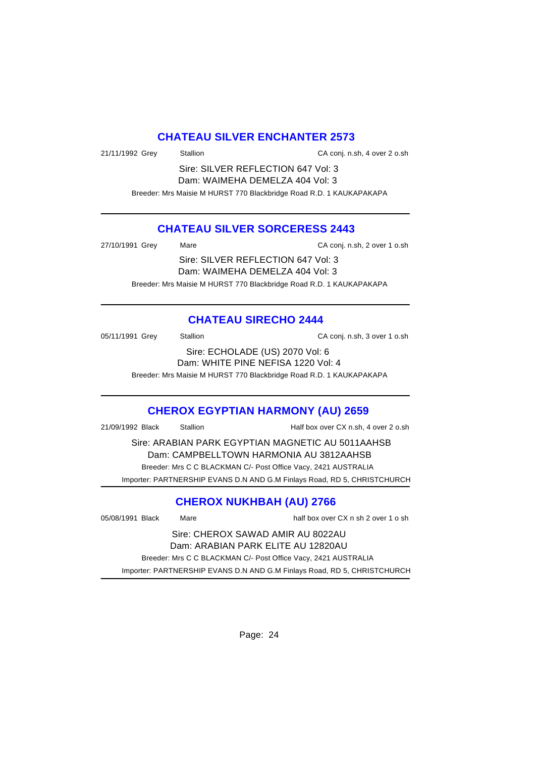### **CHATEAU SILVER ENCHANTER 2573**

21/11/1992 Grey Stallion CA conj. n.sh, 4 over 2 o.sh

Sire: SILVER REFLECTION 647 Vol: 3 Dam: WAIMEHA DEMELZA 404 Vol: 3

Breeder: Mrs Maisie M HURST 770 Blackbridge Road R.D. 1 KAUKAPAKAPA

## **CHATEAU SILVER SORCERESS 2443**

| 27/10/1991 Grey | Mare                                                                | CA conj. n.sh, 2 over 1 o.sh |
|-----------------|---------------------------------------------------------------------|------------------------------|
|                 | Sire: SILVER REFLECTION 647 Vol: 3                                  |                              |
|                 | Dam: WAIMEHA DEMELZA 404 Vol: 3                                     |                              |
|                 | Breeder: Mrs Maisie M HURST 770 Blackbridge Road R.D. 1 KAUKAPAKAPA |                              |

# **CHATEAU SIRECHO 2444**

| 05/11/1991 Grey | Stallion                           | CA conj. n.sh, 3 over 1 o.sh |
|-----------------|------------------------------------|------------------------------|
|                 | Sire: ECHOLADE (US) 2070 Vol: 6    |                              |
|                 | Dam: WHITE PINE NEFISA 1220 Vol: 4 |                              |

Breeder: Mrs Maisie M HURST 770 Blackbridge Road R.D. 1 KAUKAPAKAPA

## **CHEROX EGYPTIAN HARMONY (AU) 2659**

21/09/1992 Black Stallion Half box over CX n.sh, 4 over 2 o.sh

Sire: ARABIAN PARK EGYPTIAN MAGNETIC AU 5011AAHSB Dam: CAMPBELLTOWN HARMONIA AU 3812AAHSB Breeder: Mrs C C BLACKMAN C/- Post Office Vacy, 2421 AUSTRALIA Importer: PARTNERSHIP EVANS D.N AND G.M Finlays Road, RD 5, CHRISTCHURCH

## **CHEROX NUKHBAH (AU) 2766**

05/08/1991 Black Mare half box over CX n sh 2 over 1 o sh

Sire: CHEROX SAWAD AMIR AU 8022AU Dam: ARABIAN PARK ELITE AU 12820AU Breeder: Mrs C C BLACKMAN C/- Post Office Vacy, 2421 AUSTRALIA Importer: PARTNERSHIP EVANS D.N AND G.M Finlays Road, RD 5, CHRISTCHURCH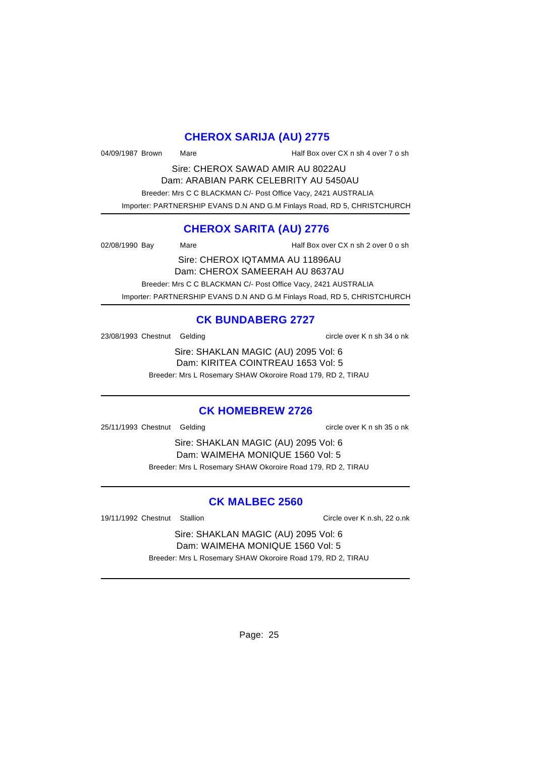## **CHEROX SARIJA (AU) 2775**

04/09/1987 Brown Mare Half Box over CX n sh 4 over 7 o sh

Sire: CHEROX SAWAD AMIR AU 8022AU Dam: ARABIAN PARK CELEBRITY AU 5450AU

 Breeder: Mrs C C BLACKMAN C/- Post Office Vacy, 2421 AUSTRALIA Importer: PARTNERSHIP EVANS D.N AND G.M Finlays Road, RD 5, CHRISTCHURCH

# **CHEROX SARITA (AU) 2776**

02/08/1990 Bay Mare Half Box over CX n sh 2 over 0 o sh

Sire: CHEROX IQTAMMA AU 11896AU Dam: CHEROX SAMEERAH AU 8637AU Breeder: Mrs C C BLACKMAN C/- Post Office Vacy, 2421 AUSTRALIA Importer: PARTNERSHIP EVANS D.N AND G.M Finlays Road, RD 5, CHRISTCHURCH

# **CK BUNDABERG 2727**

23/08/1993 Chestnut Gelding circle over K n sh 34 o nk

Sire: SHAKLAN MAGIC (AU) 2095 Vol: 6 Dam: KIRITEA COINTREAU 1653 Vol: 5 Breeder: Mrs L Rosemary SHAW Okoroire Road 179, RD 2, TIRAU

## **CK HOMEBREW 2726**

25/11/1993 Chestnut Gelding circle over K n sh 35 o nk

Sire: SHAKLAN MAGIC (AU) 2095 Vol: 6 Dam: WAIMEHA MONIQUE 1560 Vol: 5 Breeder: Mrs L Rosemary SHAW Okoroire Road 179, RD 2, TIRAU

## **CK MALBEC 2560**

19/11/1992 Chestnut Stallion Circle over K n.sh, 22 o.nk

Sire: SHAKLAN MAGIC (AU) 2095 Vol: 6 Dam: WAIMEHA MONIQUE 1560 Vol: 5 Breeder: Mrs L Rosemary SHAW Okoroire Road 179, RD 2, TIRAU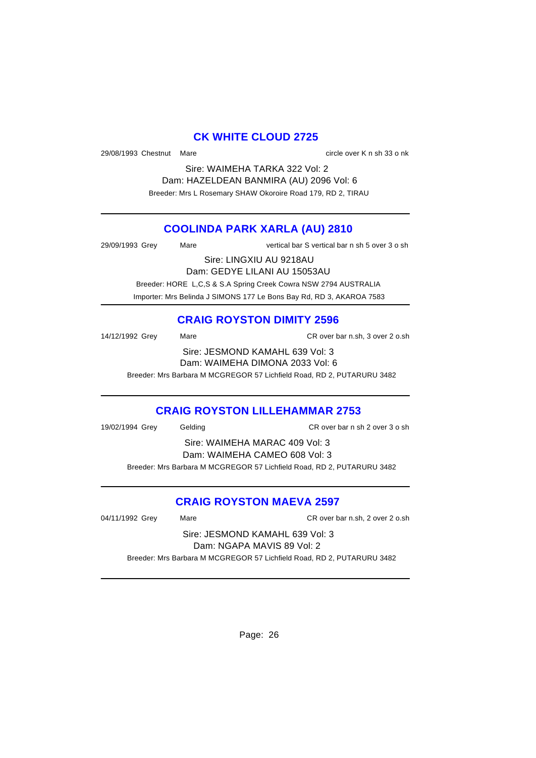## **CK WHITE CLOUD 2725**

29/08/1993 Chestnut Mare circle over K n sh 33 o nk

Sire: WAIMEHA TARKA 322 Vol: 2 Dam: HAZELDEAN BANMIRA (AU) 2096 Vol: 6 Breeder: Mrs L Rosemary SHAW Okoroire Road 179, RD 2, TIRAU

# **COOLINDA PARK XARLA (AU) 2810**

29/09/1993 Grey Mare vertical bar S vertical bar n sh 5 over 3 o sh

Sire: LINGXIU AU 9218AU Dam: GEDYE LILANI AU 15053AU

Breeder: HORE L,C,S & S.A Spring Creek Cowra NSW 2794 AUSTRALIA

Importer: Mrs Belinda J SIMONS 177 Le Bons Bay Rd, RD 3, AKAROA 7583

# **CRAIG ROYSTON DIMITY 2596**

| 14/12/1992 Grey | Mare                                                                   | CR over bar n.sh. 3 over 2 o.sh |
|-----------------|------------------------------------------------------------------------|---------------------------------|
|                 | Sire: JESMOND KAMAHL 639 Vol: 3                                        |                                 |
|                 | Dam: WAIMEHA DIMONA 2033 Vol: 6                                        |                                 |
|                 | Breeder: Mrs Barbara M MCGREGOR 57 Lichfield Road, RD 2, PUTARURU 3482 |                                 |

## **CRAIG ROYSTON LILLEHAMMAR 2753**

| 19/02/1994 Grey | Gelding                                                                | CR over bar n sh 2 over 3 o sh |
|-----------------|------------------------------------------------------------------------|--------------------------------|
|                 | Sire: WAIMEHA MARAC 409 Vol: 3                                         |                                |
|                 | Dam: WAIMEHA CAMEO 608 Vol: 3                                          |                                |
|                 | Breeder: Mrs Barbara M MCGREGOR 57 Lichfield Road, RD 2, PUTARURU 3482 |                                |
|                 |                                                                        |                                |

# **CRAIG ROYSTON MAEVA 2597**

04/11/1992 Grey Mare CR over bar n.sh, 2 over 2 o.sh

Sire: JESMOND KAMAHL 639 Vol: 3 Dam: NGAPA MAVIS 89 Vol: 2 Breeder: Mrs Barbara M MCGREGOR 57 Lichfield Road, RD 2, PUTARURU 3482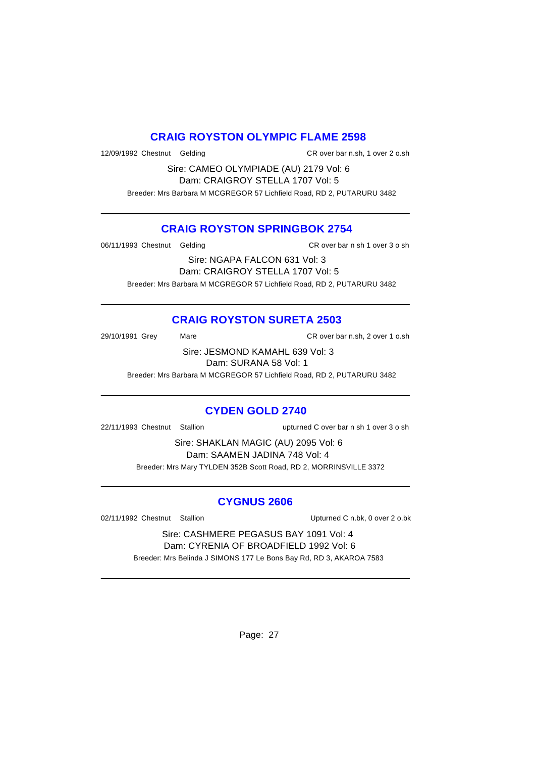### **CRAIG ROYSTON OLYMPIC FLAME 2598**

12/09/1992 Chestnut Gelding CR over bar n.sh, 1 over 2 o.sh

Sire: CAMEO OLYMPIADE (AU) 2179 Vol: 6 Dam: CRAIGROY STELLA 1707 Vol: 5 Breeder: Mrs Barbara M MCGREGOR 57 Lichfield Road, RD 2, PUTARURU 3482

### **CRAIG ROYSTON SPRINGBOK 2754**

06/11/1993 Chestnut Gelding CR over bar n sh 1 over 3 o sh

Sire: NGAPA FALCON 631 Vol: 3 Dam: CRAIGROY STELLA 1707 Vol: 5 Breeder: Mrs Barbara M MCGREGOR 57 Lichfield Road, RD 2, PUTARURU 3482

# **CRAIG ROYSTON SURETA 2503**

29/10/1991 Grey Mare CR over bar n.sh, 2 over 1 o.sh

Sire: JESMOND KAMAHL 639 Vol: 3 Dam: SURANA 58 Vol: 1

Breeder: Mrs Barbara M MCGREGOR 57 Lichfield Road, RD 2, PUTARURU 3482

# **CYDEN GOLD 2740**

22/11/1993 Chestnut Stallion upturned C over bar n sh 1 over 3 o sh

Sire: SHAKLAN MAGIC (AU) 2095 Vol: 6 Dam: SAAMEN JADINA 748 Vol: 4 Breeder: Mrs Mary TYLDEN 352B Scott Road, RD 2, MORRINSVILLE 3372

## **CYGNUS 2606**

02/11/1992 Chestnut Stallion Charles Contact Upturned C n.bk, 0 over 2 o.bk

Sire: CASHMERE PEGASUS BAY 1091 Vol: 4 Dam: CYRENIA OF BROADFIELD 1992 Vol: 6 Breeder: Mrs Belinda J SIMONS 177 Le Bons Bay Rd, RD 3, AKAROA 7583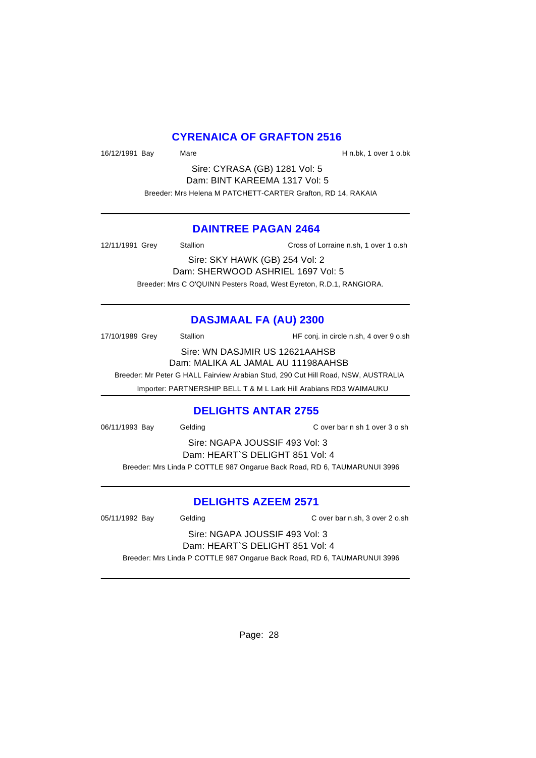### **CYRENAICA OF GRAFTON 2516**

16/12/1991 Bay Mare H n.bk, 1 over 1 o.bk

Sire: CYRASA (GB) 1281 Vol: 5 Dam: BINT KAREEMA 1317 Vol: 5 Breeder: Mrs Helena M PATCHETT-CARTER Grafton, RD 14, RAKAIA

### **DAINTREE PAGAN 2464**

12/11/1991 Grey Stallion Cross of Lorraine n.sh, 1 over 1 o.sh

Sire: SKY HAWK (GB) 254 Vol: 2 Dam: SHERWOOD ASHRIEL 1697 Vol: 5 Breeder: Mrs C O'QUINN Pesters Road, West Eyreton, R.D.1, RANGIORA.

# **DASJMAAL FA (AU) 2300**

17/10/1989 Grey Stallion Stallion HF conj. in circle n.sh, 4 over 9 o.sh

Sire: WN DASJMIR US 12621AAHSB

Dam: MALIKA AL JAMAL AU 11198AAHSB Breeder: Mr Peter G HALL Fairview Arabian Stud, 290 Cut Hill Road, NSW, AUSTRALIA

Importer: PARTNERSHIP BELL T & M L Lark Hill Arabians RD3 WAIMAUKU

## **DELIGHTS ANTAR 2755**

06/11/1993 Bay Gelding C over bar n sh 1 over 3 o sh

Sire: NGAPA JOUSSIF 493 Vol: 3 Dam: HEART`S DELIGHT 851 Vol: 4 Breeder: Mrs Linda P COTTLE 987 Ongarue Back Road, RD 6, TAUMARUNUI 3996

## **DELIGHTS AZEEM 2571**

05/11/1992 Bay Gelding C over bar n.sh, 3 over 2 o.sh

Sire: NGAPA JOUSSIF 493 Vol: 3 Dam: HEART`S DELIGHT 851 Vol: 4

Breeder: Mrs Linda P COTTLE 987 Ongarue Back Road, RD 6, TAUMARUNUI 3996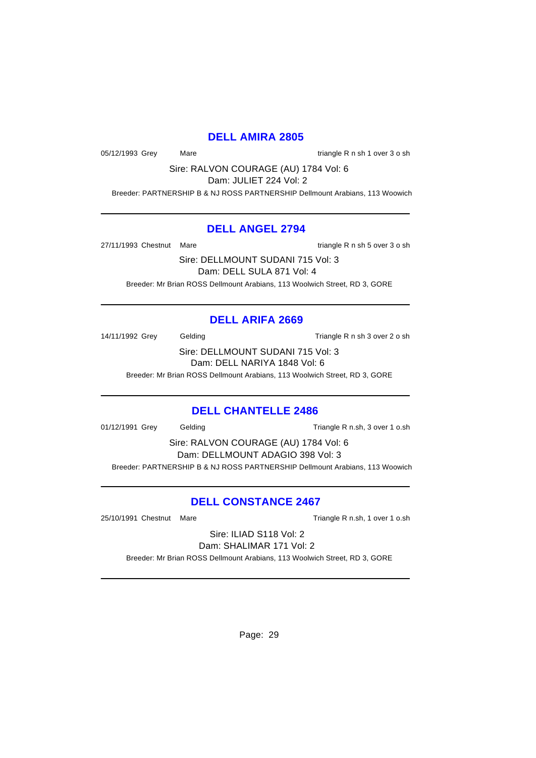### **DELL AMIRA 2805**

05/12/1993 Grey Mare Mare triangle R n sh 1 over 3 o sh

Sire: RALVON COURAGE (AU) 1784 Vol: 6

Dam: JULIET 224 Vol: 2

Breeder: PARTNERSHIP B & NJ ROSS PARTNERSHIP Dellmount Arabians, 113 Woowich

### **DELL ANGEL 2794**

27/11/1993 Chestnut Mare triangle R n sh 5 over 3 o sh

Sire: DELLMOUNT SUDANI 715 Vol: 3 Dam: DELL SULA 871 Vol: 4 Breeder: Mr Brian ROSS Dellmount Arabians, 113 Woolwich Street, RD 3, GORE

# **DELL ARIFA 2669**

14/11/1992 Grey Gelding Casset Contract Triangle R n sh 3 over 2 o sh

Sire: DELLMOUNT SUDANI 715 Vol: 3 Dam: DELL NARIYA 1848 Vol: 6

Breeder: Mr Brian ROSS Dellmount Arabians, 113 Woolwich Street, RD 3, GORE

## **DELL CHANTELLE 2486**

01/12/1991 Grey Gelding Triangle R n.sh, 3 over 1 o.sh

Sire: RALVON COURAGE (AU) 1784 Vol: 6 Dam: DELLMOUNT ADAGIO 398 Vol: 3 Breeder: PARTNERSHIP B & NJ ROSS PARTNERSHIP Dellmount Arabians, 113 Woowich

# **DELL CONSTANCE 2467**

25/10/1991 Chestnut Mare Triangle R n.sh, 1 over 1 o.sh

Sire: ILIAD S118 Vol: 2 Dam: SHALIMAR 171 Vol: 2

Breeder: Mr Brian ROSS Dellmount Arabians, 113 Woolwich Street, RD 3, GORE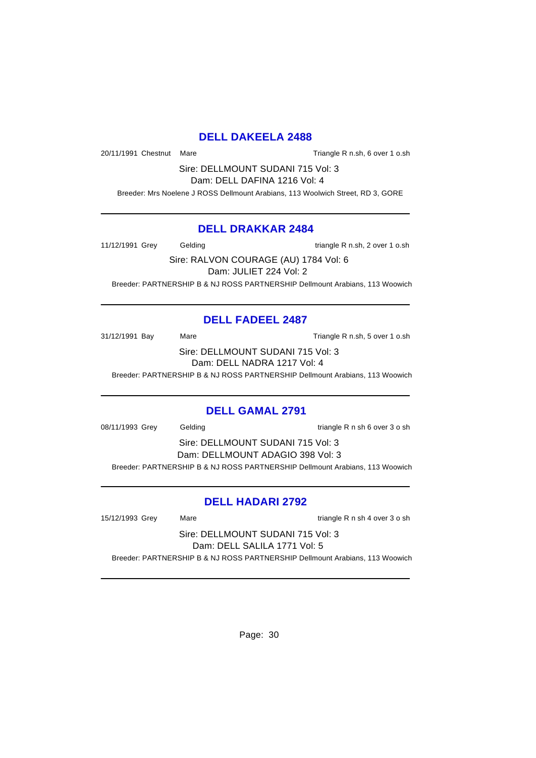### **DELL DAKEELA 2488**

20/11/1991 Chestnut Mare Triangle R n.sh, 6 over 1 o.sh

Sire: DELLMOUNT SUDANI 715 Vol: 3 Dam: DELL DAFINA 1216 Vol: 4

Breeder: Mrs Noelene J ROSS Dellmount Arabians, 113 Woolwich Street, RD 3, GORE

### **DELL DRAKKAR 2484**

11/12/1991 Grey Gelding Cassetting triangle R n.sh, 2 over 1 o.sh

Sire: RALVON COURAGE (AU) 1784 Vol: 6 Dam: JULIET 224 Vol: 2 Breeder: PARTNERSHIP B & NJ ROSS PARTNERSHIP Dellmount Arabians, 113 Woowich

## **DELL FADEEL 2487**

31/12/1991 Bay Mare Mare Triangle R n.sh, 5 over 1 o.sh

Sire: DELLMOUNT SUDANI 715 Vol: 3 Dam: DELL NADRA 1217 Vol: 4

Breeder: PARTNERSHIP B & NJ ROSS PARTNERSHIP Dellmount Arabians, 113 Woowich

### **DELL GAMAL 2791**

08/11/1993 Grey Gelding triangle R n sh 6 over 3 o sh

Sire: DELLMOUNT SUDANI 715 Vol: 3 Dam: DELLMOUNT ADAGIO 398 Vol: 3 Breeder: PARTNERSHIP B & NJ ROSS PARTNERSHIP Dellmount Arabians, 113 Woowich

## **DELL HADARI 2792**

15/12/1993 Grey Mare triangle R n sh 4 over 3 o sh

Sire: DELLMOUNT SUDANI 715 Vol: 3 Dam: DELL SALILA 1771 Vol: 5 Breeder: PARTNERSHIP B & NJ ROSS PARTNERSHIP Dellmount Arabians, 113 Woowich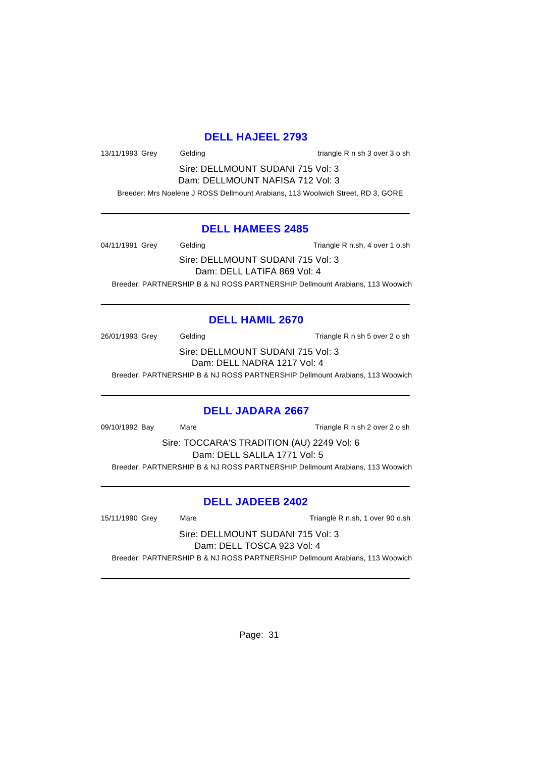### **DELL HAJEEL 2793**

13/11/1993 Grey Gelding triangle R n sh 3 over 3 o sh

Sire: DELLMOUNT SUDANI 715 Vol: 3 Dam: DELLMOUNT NAFISA 712 Vol: 3

Breeder: Mrs Noelene J ROSS Dellmount Arabians, 113 Woolwich Street, RD 3, GORE

#### **DELL HAMEES 2485**

04/11/1991 Grey Gelding Casset Controller R n.sh, 4 over 1 o.sh

Sire: DELLMOUNT SUDANI 715 Vol: 3 Dam: DELL LATIFA 869 Vol: 4 Breeder: PARTNERSHIP B & NJ ROSS PARTNERSHIP Dellmount Arabians, 113 Woowich

## **DELL HAMIL 2670**

26/01/1993 Grey Gelding Case Contract Triangle R n sh 5 over 2 o sh

Sire: DELLMOUNT SUDANI 715 Vol: 3 Dam: DELL NADRA 1217 Vol: 4

Breeder: PARTNERSHIP B & NJ ROSS PARTNERSHIP Dellmount Arabians, 113 Woowich

### **DELL JADARA 2667**

09/10/1992 Bay Mare Triangle R n sh 2 over 2 o sh

Sire: TOCCARA'S TRADITION (AU) 2249 Vol: 6 Dam: DELL SALILA 1771 Vol: 5 Breeder: PARTNERSHIP B & NJ ROSS PARTNERSHIP Dellmount Arabians, 113 Woowich

## **DELL JADEEB 2402**

15/11/1990 Grey Mare Triangle R n.sh, 1 over 90 o.sh

Sire: DELLMOUNT SUDANI 715 Vol: 3 Dam: DELL TOSCA 923 Vol: 4

Breeder: PARTNERSHIP B & NJ ROSS PARTNERSHIP Dellmount Arabians, 113 Woowich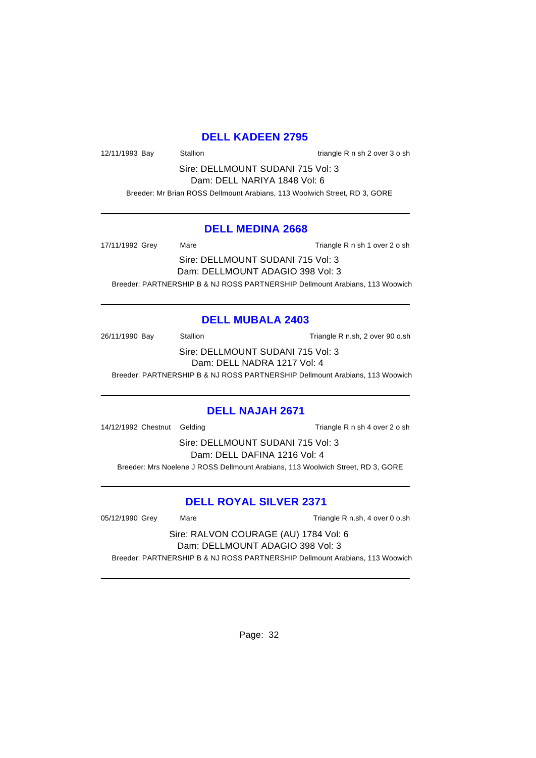## **DELL KADEEN 2795**

12/11/1993 Bay Stallion Stallion triangle R n sh 2 over 3 o sh

Sire: DELLMOUNT SUDANI 715 Vol: 3 Dam: DELL NARIYA 1848 Vol: 6

Breeder: Mr Brian ROSS Dellmount Arabians, 113 Woolwich Street, RD 3, GORE

### **DELL MEDINA 2668**

17/11/1992 Grey Mare Mare Triangle R n sh 1 over 2 o sh

Sire: DELLMOUNT SUDANI 715 Vol: 3 Dam: DELLMOUNT ADAGIO 398 Vol: 3

Breeder: PARTNERSHIP B & NJ ROSS PARTNERSHIP Dellmount Arabians, 113 Woowich

### **DELL MUBALA 2403**

26/11/1990 Bay Stallion Stallion Triangle R n.sh, 2 over 90 o.sh

Sire: DELLMOUNT SUDANI 715 Vol: 3 Dam: DELL NADRA 1217 Vol: 4

Breeder: PARTNERSHIP B & NJ ROSS PARTNERSHIP Dellmount Arabians, 113 Woowich

### **DELL NAJAH 2671**

14/12/1992 Chestnut Gelding Triangle R n sh 4 over 2 o sh

Sire: DELLMOUNT SUDANI 715 Vol: 3 Dam: DELL DAFINA 1216 Vol: 4 Breeder: Mrs Noelene J ROSS Dellmount Arabians, 113 Woolwich Street, RD 3, GORE

### **DELL ROYAL SILVER 2371**

05/12/1990 Grey Mare Mare Triangle R n.sh, 4 over 0 o.sh

Sire: RALVON COURAGE (AU) 1784 Vol: 6 Dam: DELLMOUNT ADAGIO 398 Vol: 3

Breeder: PARTNERSHIP B & NJ ROSS PARTNERSHIP Dellmount Arabians, 113 Woowich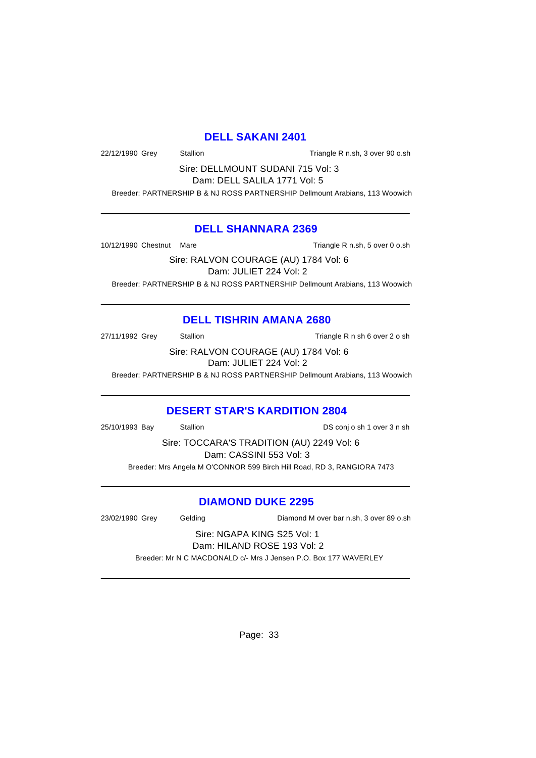### **DELL SAKANI 2401**

22/12/1990 Grey Stallion Stallion Triangle R n.sh, 3 over 90 o.sh

Sire: DELLMOUNT SUDANI 715 Vol: 3 Dam: DELL SALILA 1771 Vol: 5

Breeder: PARTNERSHIP B & NJ ROSS PARTNERSHIP Dellmount Arabians, 113 Woowich

### **DELL SHANNARA 2369**

10/12/1990 Chestnut Mare **Triangle R n.sh, 5 over 0 o.sh** 

Sire: RALVON COURAGE (AU) 1784 Vol: 6 Dam: JULIET 224 Vol: 2 Breeder: PARTNERSHIP B & NJ ROSS PARTNERSHIP Dellmount Arabians, 113 Woowich

## **DELL TISHRIN AMANA 2680**

27/11/1992 Grey Stallion Stallion Stallion Triangle R n sh 6 over 2 o sh

Sire: RALVON COURAGE (AU) 1784 Vol: 6 Dam: JULIET 224 Vol: 2

Breeder: PARTNERSHIP B & NJ ROSS PARTNERSHIP Dellmount Arabians, 113 Woowich

## **DESERT STAR'S KARDITION 2804**

25/10/1993 Bay Stallion DS conj o sh 1 over 3 n sh

Sire: TOCCARA'S TRADITION (AU) 2249 Vol: 6 Dam: CASSINI 553 Vol: 3 Breeder: Mrs Angela M O'CONNOR 599 Birch Hill Road, RD 3, RANGIORA 7473

## **DIAMOND DUKE 2295**

23/02/1990 Grey Gelding Diamond M over bar n.sh, 3 over 89 o.sh

# Sire: NGAPA KING S25 Vol: 1 Dam: HILAND ROSE 193 Vol: 2

Breeder: Mr N C MACDONALD c/- Mrs J Jensen P.O. Box 177 WAVERLEY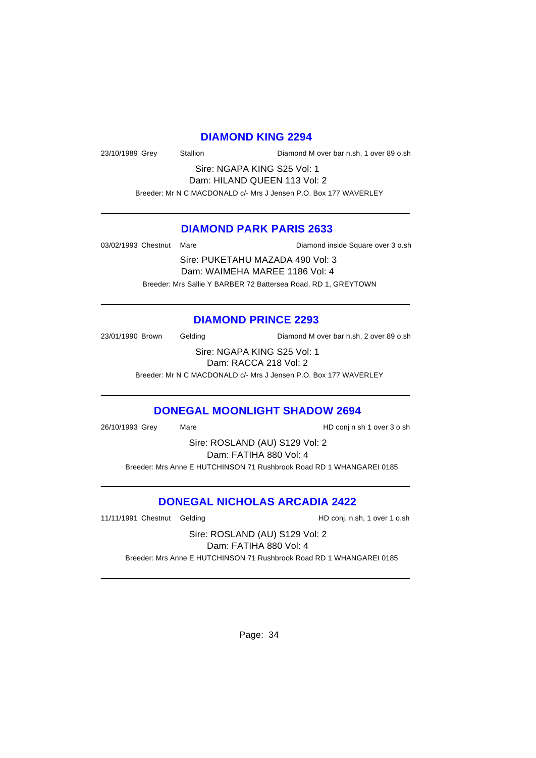#### **DIAMOND KING 2294**

23/10/1989 Grey Stallion Diamond M over bar n.sh, 1 over 89 o.sh

Sire: NGAPA KING S25 Vol: 1 Dam: HILAND QUEEN 113 Vol: 2

Breeder: Mr N C MACDONALD c/- Mrs J Jensen P.O. Box 177 WAVERLEY

### **DIAMOND PARK PARIS 2633**

03/02/1993 Chestnut Mare **Diamond inside Square over 3 o.sh** 

Sire: PUKETAHU MAZADA 490 Vol: 3 Dam: WAIMEHA MAREE 1186 Vol: 4 Breeder: Mrs Sallie Y BARBER 72 Battersea Road, RD 1, GREYTOWN

### **DIAMOND PRINCE 2293**

23/01/1990 Brown Gelding Diamond M over bar n.sh, 2 over 89 o.sh

Sire: NGAPA KING S25 Vol: 1 Dam: RACCA 218 Vol: 2

Breeder: Mr N C MACDONALD c/- Mrs J Jensen P.O. Box 177 WAVERLEY

### **DONEGAL MOONLIGHT SHADOW 2694**

26/10/1993 Grey Mare HD conj n sh 1 over 3 o sh

Sire: ROSLAND (AU) S129 Vol: 2 Dam: FATIHA 880 Vol: 4 Breeder: Mrs Anne E HUTCHINSON 71 Rushbrook Road RD 1 WHANGAREI 0185

### **DONEGAL NICHOLAS ARCADIA 2422**

11/11/1991 Chestnut Gelding The State of HD conj. n.sh, 1 over 1 o.sh

Sire: ROSLAND (AU) S129 Vol: 2 Dam: FATIHA 880 Vol: 4

Breeder: Mrs Anne E HUTCHINSON 71 Rushbrook Road RD 1 WHANGAREI 0185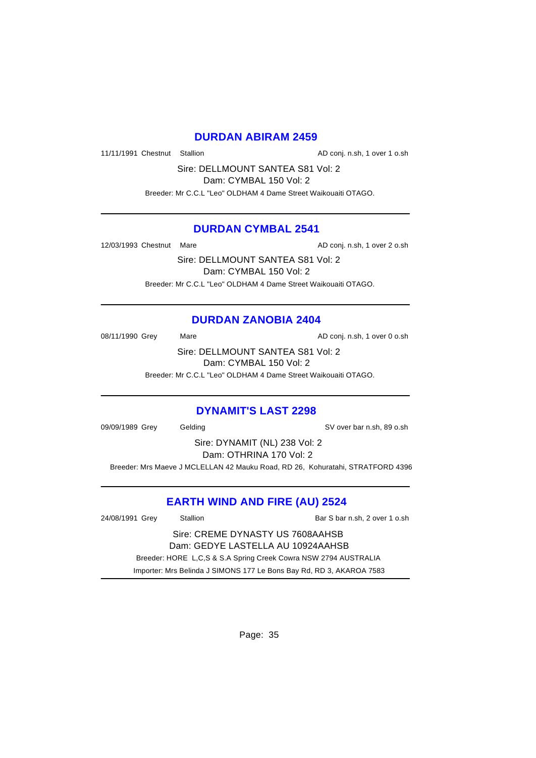### **DURDAN ABIRAM 2459**

11/11/1991 Chestnut Stallion AD conj. n.sh, 1 over 1 o.sh

Sire: DELLMOUNT SANTEA S81 Vol: 2

Dam: CYMBAL 150 Vol: 2

Breeder: Mr C.C.L "Leo" OLDHAM 4 Dame Street Waikouaiti OTAGO.

### **DURDAN CYMBAL 2541**

12/03/1993 Chestnut Mare **AD** conj. n.sh, 1 over 2 o.sh

Sire: DELLMOUNT SANTEA S81 Vol: 2 Dam: CYMBAL 150 Vol: 2 Breeder: Mr C.C.L "Leo" OLDHAM 4 Dame Street Waikouaiti OTAGO.

## **DURDAN ZANOBIA 2404**

08/11/1990 Grey Mare Mare AD conj. n.sh, 1 over 0 o.sh

Sire: DELLMOUNT SANTEA S81 Vol: 2 Dam: CYMBAL 150 Vol: 2

Breeder: Mr C.C.L "Leo" OLDHAM 4 Dame Street Waikouaiti OTAGO.

## **DYNAMIT'S LAST 2298**

09/09/1989 Grey Gelding SV over bar n.sh, 89 o.sh

Sire: DYNAMIT (NL) 238 Vol: 2 Dam: OTHRINA 170 Vol: 2

Breeder: Mrs Maeve J MCLELLAN 42 Mauku Road, RD 26, Kohuratahi, STRATFORD 4396

# **EARTH WIND AND FIRE (AU) 2524**

| 24/08/1991 Grey                   | Stallion | Bar S bar n.sh, 2 over 1 o.sh                                        |
|-----------------------------------|----------|----------------------------------------------------------------------|
| Sire: CREME DYNASTY US 7608AAHSB  |          |                                                                      |
| Dam: GEDYE LASTELLA AU 10924AAHSB |          |                                                                      |
|                                   |          | Breeder: HORE L,C,S & S.A Spring Creek Cowra NSW 2794 AUSTRALIA      |
|                                   |          | Importer: Mrs Belinda J SIMONS 177 Le Bons Bay Rd, RD 3, AKAROA 7583 |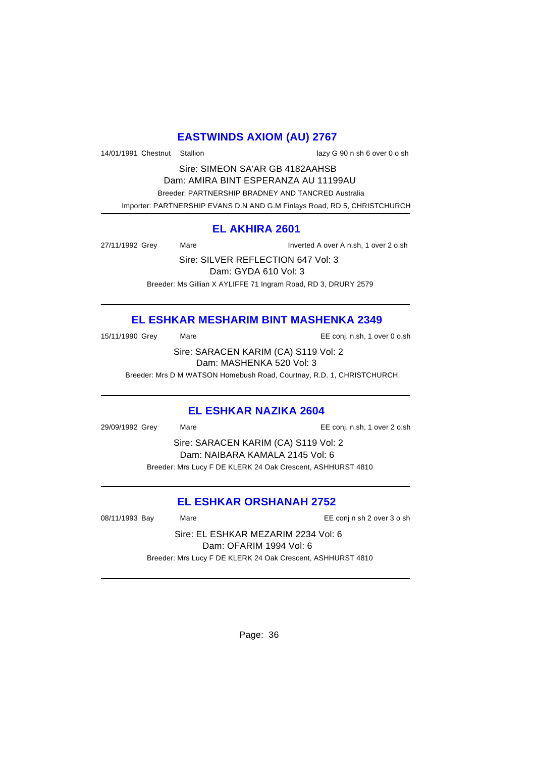# **EASTWINDS AXIOM (AU) 2767**

14/01/1991 Chestnut Stallion lazy G 90 n sh 6 over 0 o sh

Sire: SIMEON SA'AR GB 4182AAHSB Dam: AMIRA BINT ESPERANZA AU 11199AU Breeder: PARTNERSHIP BRADNEY AND TANCRED Australia Importer: PARTNERSHIP EVANS D.N AND G.M Finlays Road, RD 5, CHRISTCHURCH

## **EL AKHIRA 2601**

27/11/1992 Grey Mare Inverted A over A n.sh, 1 over 2 o.sh

Sire: SILVER REFLECTION 647 Vol: 3 Dam: GYDA 610 Vol: 3 Breeder: Ms Gillian X AYLIFFE 71 Ingram Road, RD 3, DRURY 2579

# **EL ESHKAR MESHARIM BINT MASHENKA 2349**

| 5/11/1990 Grev | Maı |
|----------------|-----|

15/11/1990 Grey Mare EE conj. n.sh, 1 over 0 o.sh

Sire: SARACEN KARIM (CA) S119 Vol: 2 Dam: MASHENKA 520 Vol: 3

Breeder: Mrs D M WATSON Homebush Road, Courtnay, R.D. 1, CHRISTCHURCH.

### **EL ESHKAR NAZIKA 2604**

29/09/1992 Grey Mare EE conj. n.sh, 1 over 2 o.sh

Sire: SARACEN KARIM (CA) S119 Vol: 2 Dam: NAIBARA KAMALA 2145 Vol: 6 Breeder: Mrs Lucy F DE KLERK 24 Oak Crescent, ASHHURST 4810

## **EL ESHKAR ORSHANAH 2752**

08/11/1993 Bay Mare EE conj n sh 2 over 3 o sh

Sire: EL ESHKAR MEZARIM 2234 Vol: 6 Dam: OFARIM 1994 Vol: 6 Breeder: Mrs Lucy F DE KLERK 24 Oak Crescent, ASHHURST 4810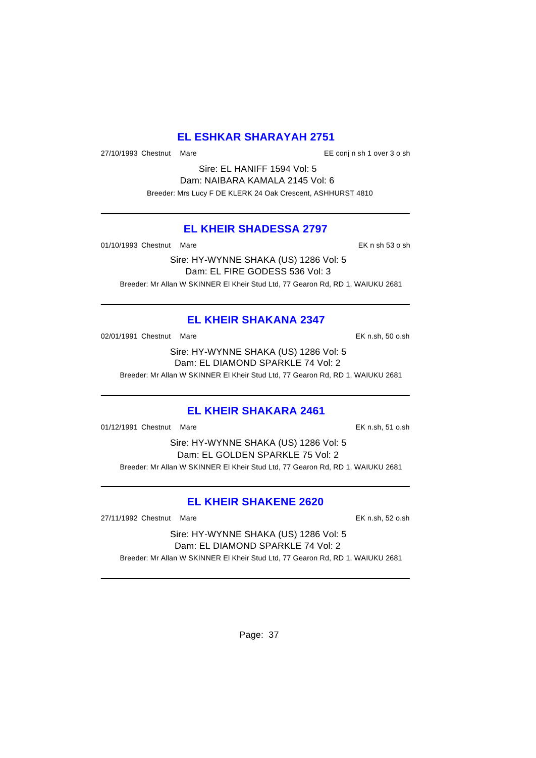# **EL ESHKAR SHARAYAH 2751**

27/10/1993 Chestnut Mare EE conj n sh 1 over 3 o sh

Sire: EL HANIFF 1594 Vol: 5 Dam: NAIBARA KAMALA 2145 Vol: 6 Breeder: Mrs Lucy F DE KLERK 24 Oak Crescent, ASHHURST 4810

# **EL KHEIR SHADESSA 2797**

01/10/1993 Chestnut Mare **EX n** sh 53 o sh

Sire: HY-WYNNE SHAKA (US) 1286 Vol: 5 Dam: EL FIRE GODESS 536 Vol: 3 Breeder: Mr Allan W SKINNER El Kheir Stud Ltd, 77 Gearon Rd, RD 1, WAIUKU 2681

# **EL KHEIR SHAKANA 2347**

02/01/1991 Chestnut Mare **EK n.sh, 50 o.sh** 

Sire: HY-WYNNE SHAKA (US) 1286 Vol: 5 Dam: EL DIAMOND SPARKLE 74 Vol: 2

Breeder: Mr Allan W SKINNER El Kheir Stud Ltd, 77 Gearon Rd, RD 1, WAIUKU 2681

# **EL KHEIR SHAKARA 2461**

01/12/1991 Chestnut Mare **EX n.sh, 51 o.sh** 

Sire: HY-WYNNE SHAKA (US) 1286 Vol: 5 Dam: EL GOLDEN SPARKLE 75 Vol: 2 Breeder: Mr Allan W SKINNER El Kheir Stud Ltd, 77 Gearon Rd, RD 1, WAIUKU 2681

# **EL KHEIR SHAKENE 2620**

27/11/1992 Chestnut Mare EK n.sh, 52 o.sh

Sire: HY-WYNNE SHAKA (US) 1286 Vol: 5 Dam: EL DIAMOND SPARKLE 74 Vol: 2 Breeder: Mr Allan W SKINNER El Kheir Stud Ltd, 77 Gearon Rd, RD 1, WAIUKU 2681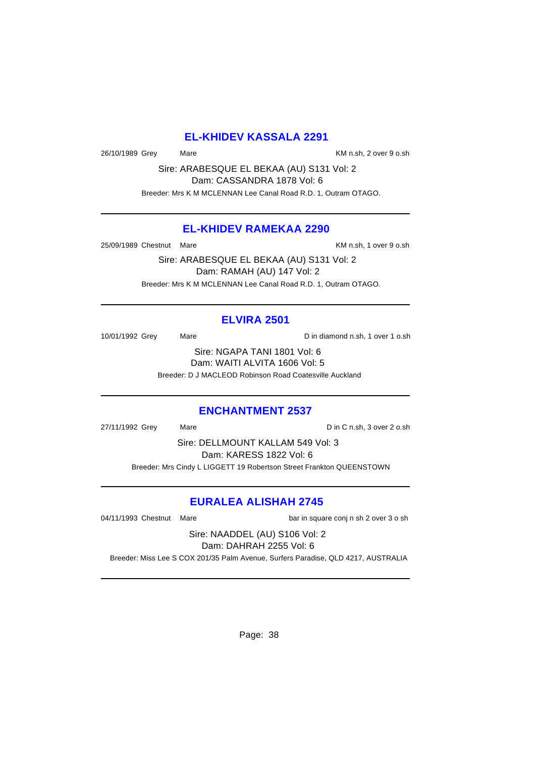# **EL-KHIDEV KASSALA 2291**

26/10/1989 Grey Mare Mare KM n.sh, 2 over 9 o.sh

Sire: ARABESQUE EL BEKAA (AU) S131 Vol: 2 Dam: CASSANDRA 1878 Vol: 6

Breeder: Mrs K M MCLENNAN Lee Canal Road R.D. 1, Outram OTAGO.

# **EL-KHIDEV RAMEKAA 2290**

25/09/1989 Chestnut Mare **KM** n.sh, 1 over 9 o.sh

Sire: ARABESQUE EL BEKAA (AU) S131 Vol: 2 Dam: RAMAH (AU) 147 Vol: 2 Breeder: Mrs K M MCLENNAN Lee Canal Road R.D. 1, Outram OTAGO.

# **ELVIRA 2501**

10/01/1992 Grey Mare Mare Din diamond n.sh, 1 over 1 o.sh

Sire: NGAPA TANI 1801 Vol: 6 Dam: WAITI ALVITA 1606 Vol: 5 Breeder: D J MACLEOD Robinson Road Coatesville Auckland

#### **ENCHANTMENT 2537**

27/11/1992 Grey Mare Mare Din C n.sh, 3 over 2 o.sh

Sire: DELLMOUNT KALLAM 549 Vol: 3 Dam: KARESS 1822 Vol: 6

Breeder: Mrs Cindy L LIGGETT 19 Robertson Street Frankton QUEENSTOWN

# **EURALEA ALISHAH 2745**

04/11/1993 Chestnut Mare bar in square conj n sh 2 over 3 o sh

Sire: NAADDEL (AU) S106 Vol: 2 Dam: DAHRAH 2255 Vol: 6

Breeder: Miss Lee S COX 201/35 Palm Avenue, Surfers Paradise, QLD 4217, AUSTRALIA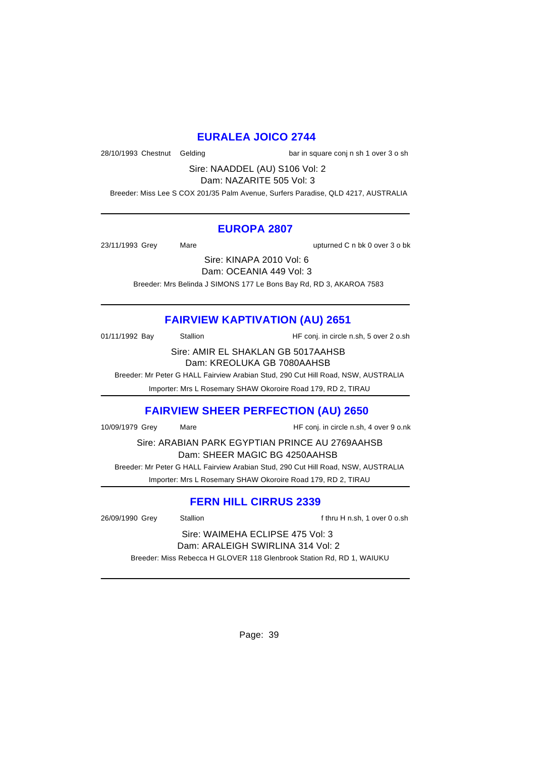# **EURALEA JOICO 2744**

28/10/1993 Chestnut Gelding bar in square conj n sh 1 over 3 o sh

Sire: NAADDEL (AU) S106 Vol: 2 Dam: NAZARITE 505 Vol: 3

Breeder: Miss Lee S COX 201/35 Palm Avenue, Surfers Paradise, QLD 4217, AUSTRALIA

#### **EUROPA 2807**

23/11/1993 Grey Mare upturned C n bk 0 over 3 o bk

Sire: KINAPA 2010 Vol: 6

Dam: OCEANIA 449 Vol: 3

Breeder: Mrs Belinda J SIMONS 177 Le Bons Bay Rd, RD 3, AKAROA 7583

# **FAIRVIEW KAPTIVATION (AU) 2651**

01/11/1992 Bay Stallion Stallion HF conj. in circle n.sh, 5 over 2 o.sh

Sire: AMIR EL SHAKLAN GB 5017AAHSB Dam: KREOLUKA GB 7080AAHSB

Breeder: Mr Peter G HALL Fairview Arabian Stud, 290 Cut Hill Road, NSW, AUSTRALIA

Importer: Mrs L Rosemary SHAW Okoroire Road 179, RD 2, TIRAU

# **FAIRVIEW SHEER PERFECTION (AU) 2650**

10/09/1979 Grey Mare HF conj. in circle n.sh, 4 over 9 o.nk

Sire: ARABIAN PARK EGYPTIAN PRINCE AU 2769AAHSB Dam: SHEER MAGIC BG 4250AAHSB

 Breeder: Mr Peter G HALL Fairview Arabian Stud, 290 Cut Hill Road, NSW, AUSTRALIA Importer: Mrs L Rosemary SHAW Okoroire Road 179, RD 2, TIRAU

# **FERN HILL CIRRUS 2339**

26/09/1990 Grey Stallion Stallion Stallion f thru H n.sh, 1 over 0 o.sh

Sire: WAIMEHA ECLIPSE 475 Vol: 3 Dam: ARALEIGH SWIRLINA 314 Vol: 2

Breeder: Miss Rebecca H GLOVER 118 Glenbrook Station Rd, RD 1, WAIUKU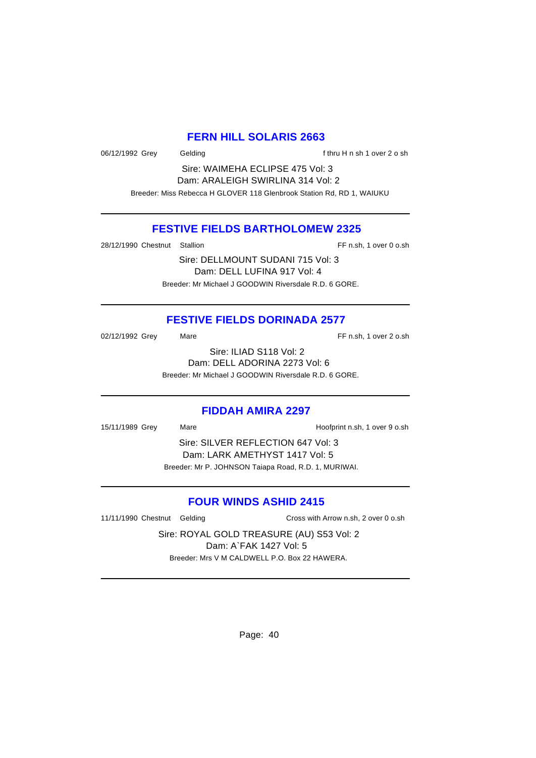#### **FERN HILL SOLARIS 2663**

06/12/1992 Grey Gelding Gelding f thru H n sh 1 over 2 o sh

Sire: WAIMEHA ECLIPSE 475 Vol: 3 Dam: ARALEIGH SWIRLINA 314 Vol: 2 Breeder: Miss Rebecca H GLOVER 118 Glenbrook Station Rd, RD 1, WAIUKU

# **FESTIVE FIELDS BARTHOLOMEW 2325**

28/12/1990 Chestnut Stallion FF n.sh, 1 over 0 o.sh

Sire: DELLMOUNT SUDANI 715 Vol: 3 Dam: DELL LUFINA 917 Vol: 4 Breeder: Mr Michael J GOODWIN Riversdale R.D. 6 GORE.

# **FESTIVE FIELDS DORINADA 2577**

02/12/1992 Grey Mare Mare FF n.sh, 1 over 2 o.sh

Sire: ILIAD S118 Vol: 2 Dam: DELL ADORINA 2273 Vol: 6

Breeder: Mr Michael J GOODWIN Riversdale R.D. 6 GORE.

#### **FIDDAH AMIRA 2297**

15/11/1989 Grey Mare Hoofprint n.sh, 1 over 9 o.sh Sire: SILVER REFLECTION 647 Vol: 3 Dam: LARK AMETHYST 1417 Vol: 5 Breeder: Mr P. JOHNSON Taiapa Road, R.D. 1, MURIWAI.

# **FOUR WINDS ASHID 2415**

11/11/1990 Chestnut Gelding Cross with Arrow n.sh, 2 over 0 o.sh

Sire: ROYAL GOLD TREASURE (AU) S53 Vol: 2 Dam: A`FAK 1427 Vol: 5 Breeder: Mrs V M CALDWELL P.O. Box 22 HAWERA.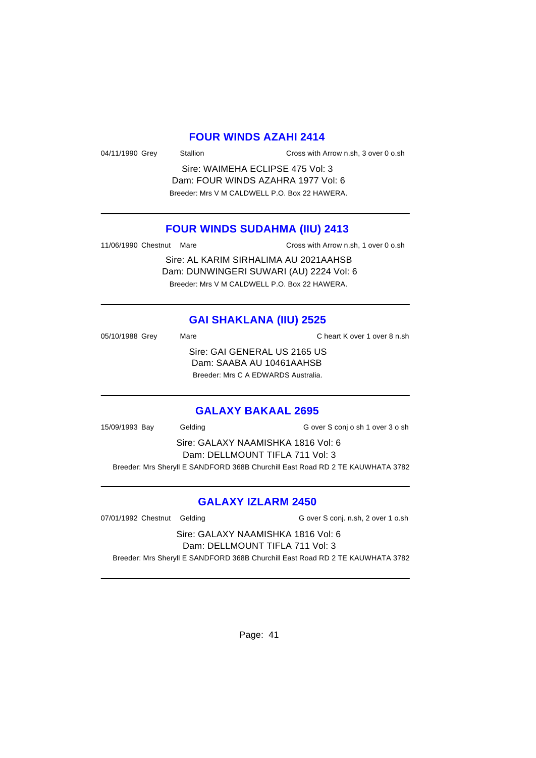#### **FOUR WINDS AZAHI 2414**

04/11/1990 Grey Stallion Cross with Arrow n.sh, 3 over 0 o.sh

Sire: WAIMEHA ECLIPSE 475 Vol: 3 Dam: FOUR WINDS AZAHRA 1977 Vol: 6 Breeder: Mrs V M CALDWELL P.O. Box 22 HAWERA.

#### **FOUR WINDS SUDAHMA (IIU) 2413**

11/06/1990 Chestnut Mare Cross with Arrow n.sh, 1 over 0 o.sh

Sire: AL KARIM SIRHALIMA AU 2021AAHSB Dam: DUNWINGERI SUWARI (AU) 2224 Vol: 6 Breeder: Mrs V M CALDWELL P.O. Box 22 HAWERA.

# **GAI SHAKLANA (IIU) 2525**

05/10/1988 Grey Mare Mare C heart K over 1 over 8 n.sh Sire: GAI GENERAL US 2165 US Dam: SAABA AU 10461AAHSB Breeder: Mrs C A EDWARDS Australia.

#### **GALAXY BAKAAL 2695**

15/09/1993 Bay Gelding G over S conj o sh 1 over 3 o sh Sire: GALAXY NAAMISHKA 1816 Vol: 6 Dam: DELLMOUNT TIFLA 711 Vol: 3 Breeder: Mrs Sheryll E SANDFORD 368B Churchill East Road RD 2 TE KAUWHATA 3782

#### **GALAXY IZLARM 2450**

07/01/1992 Chestnut Gelding G over S conj. n.sh, 2 over 1 o.sh

#### Sire: GALAXY NAAMISHKA 1816 Vol: 6 Dam: DELLMOUNT TIFLA 711 Vol: 3

Breeder: Mrs Sheryll E SANDFORD 368B Churchill East Road RD 2 TE KAUWHATA 3782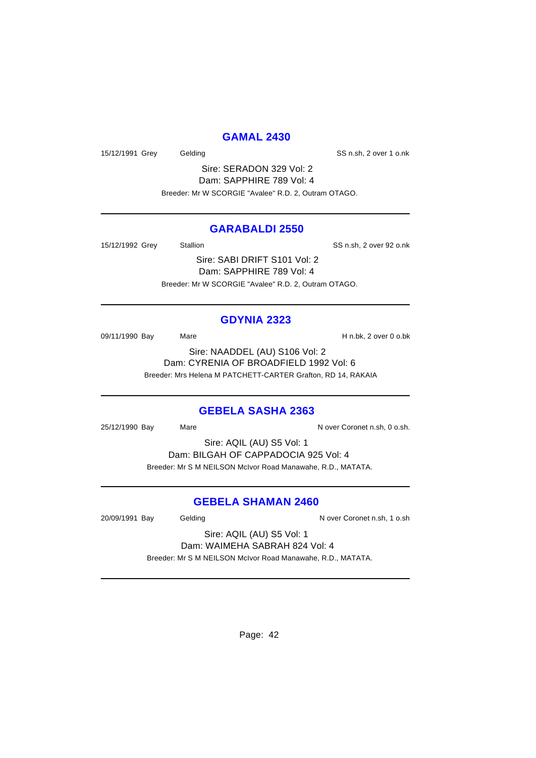## **GAMAL 2430**

15/12/1991 Grey Gelding Gelding SS n.sh, 2 over 1 o.nk

Sire: SERADON 329 Vol: 2 Dam: SAPPHIRE 789 Vol: 4 Breeder: Mr W SCORGIE "Avalee" R.D. 2, Outram OTAGO.

# **GARABALDI 2550**

15/12/1992 Grey Stallion Stallion SS n.sh, 2 over 92 o.nk

Sire: SABI DRIFT S101 Vol: 2 Dam: SAPPHIRE 789 Vol: 4 Breeder: Mr W SCORGIE "Avalee" R.D. 2, Outram OTAGO.

#### **GDYNIA 2323**

09/11/1990 Bay Mare Mare H n.bk, 2 over 0 o.bk

Sire: NAADDEL (AU) S106 Vol: 2 Dam: CYRENIA OF BROADFIELD 1992 Vol: 6 Breeder: Mrs Helena M PATCHETT-CARTER Grafton, RD 14, RAKAIA

#### **GEBELA SASHA 2363**

25/12/1990 Bay Mare Nare November 25/12/1990 Bay Mare

Sire: AQIL (AU) S5 Vol: 1 Dam: BILGAH OF CAPPADOCIA 925 Vol: 4 Breeder: Mr S M NEILSON McIvor Road Manawahe, R.D., MATATA.

# **GEBELA SHAMAN 2460**

20/09/1991 Bay Gelding Gelding N over Coronet n.sh, 1 o.sh

Sire: AQIL (AU) S5 Vol: 1 Dam: WAIMEHA SABRAH 824 Vol: 4

Breeder: Mr S M NEILSON McIvor Road Manawahe, R.D., MATATA.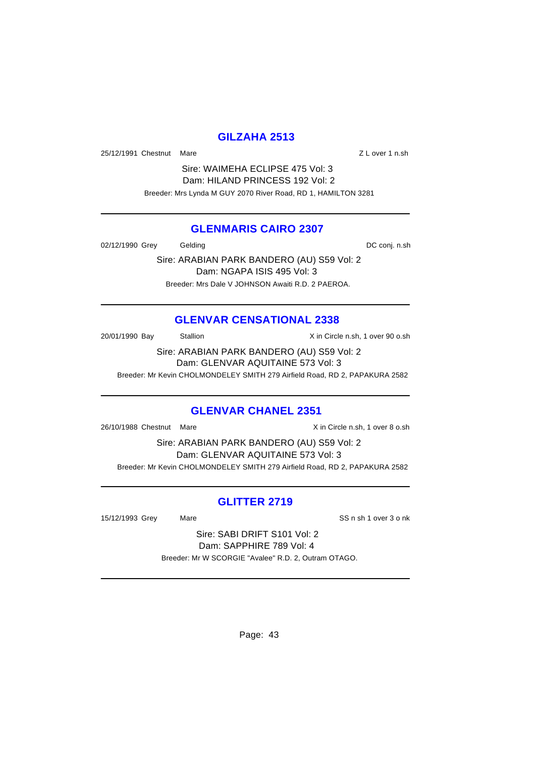# **GILZAHA 2513**

25/12/1991 Chestnut Mare 2012 2012 2020 2020 21:00:00 22:00:00 21:00:00 21:00:00 21:00:00 21:00:00 21:00:00 21:00:00 21:00:00 21:00:00 21:00:00 21:00:00 21:00:00 21:00:00 21:00:00 21:00:00 21:00:00 21:00:00 21:00:00 21:00:

Sire: WAIMEHA ECLIPSE 475 Vol: 3 Dam: HILAND PRINCESS 192 Vol: 2 Breeder: Mrs Lynda M GUY 2070 River Road, RD 1, HAMILTON 3281

#### **GLENMARIS CAIRO 2307**

02/12/1990 Grey Gelding Gelding Conj. n.sh

Sire: ARABIAN PARK BANDERO (AU) S59 Vol: 2 Dam: NGAPA ISIS 495 Vol: 3 Breeder: Mrs Dale V JOHNSON Awaiti R.D. 2 PAEROA.

# **GLENVAR CENSATIONAL 2338**

20/01/1990 Bay Stallion Stallion X in Circle n.sh, 1 over 90 o.sh

Sire: ARABIAN PARK BANDERO (AU) S59 Vol: 2 Dam: GLENVAR AQUITAINE 573 Vol: 3

Breeder: Mr Kevin CHOLMONDELEY SMITH 279 Airfield Road, RD 2, PAPAKURA 2582

#### **GLENVAR CHANEL 2351**

26/10/1988 Chestnut Mare X in Circle n.sh, 1 over 8 o.sh

Sire: ARABIAN PARK BANDERO (AU) S59 Vol: 2 Dam: GLENVAR AQUITAINE 573 Vol: 3 Breeder: Mr Kevin CHOLMONDELEY SMITH 279 Airfield Road, RD 2, PAPAKURA 2582

# **GLITTER 2719**

15/12/1993 Grey Mare SS n sh 1 over 3 o nk

Sire: SABI DRIFT S101 Vol: 2 Dam: SAPPHIRE 789 Vol: 4 Breeder: Mr W SCORGIE "Avalee" R.D. 2, Outram OTAGO.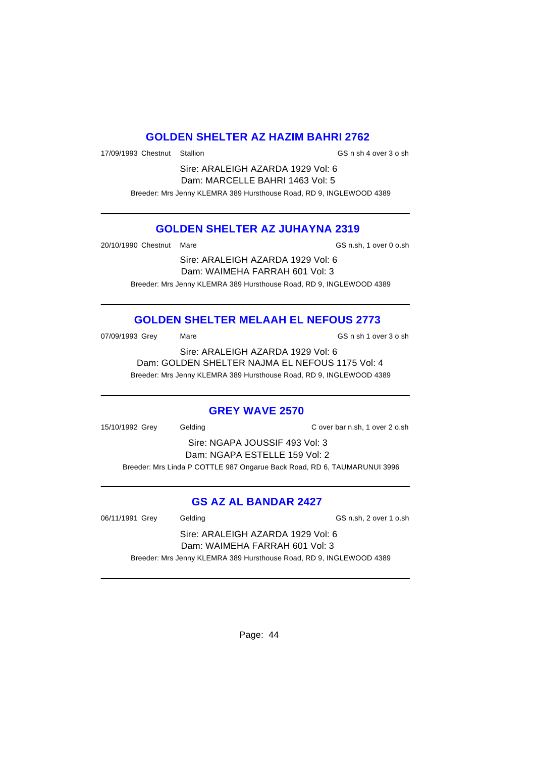# **GOLDEN SHELTER AZ HAZIM BAHRI 2762**

17/09/1993 Chestnut Stallion GS n sh 4 over 3 o sh

Sire: ARALEIGH AZARDA 1929 Vol: 6 Dam: MARCELLE BAHRI 1463 Vol: 5 Breeder: Mrs Jenny KLEMRA 389 Hursthouse Road, RD 9, INGLEWOOD 4389

# **GOLDEN SHELTER AZ JUHAYNA 2319**

20/10/1990 Chestnut Mare GS n.sh, 1 over 0 o.sh

Sire: ARALEIGH AZARDA 1929 Vol: 6 Dam: WAIMEHA FARRAH 601 Vol: 3 Breeder: Mrs Jenny KLEMRA 389 Hursthouse Road, RD 9, INGLEWOOD 4389

# **GOLDEN SHELTER MELAAH EL NEFOUS 2773**

07/09/1993 Grey Mare Mare GS n sh 1 over 3 o sh

Sire: ARALEIGH AZARDA 1929 Vol: 6 Dam: GOLDEN SHELTER NAJMA EL NEFOUS 1175 Vol: 4 Breeder: Mrs Jenny KLEMRA 389 Hursthouse Road, RD 9, INGLEWOOD 4389

#### **GREY WAVE 2570**

15/10/1992 Grey Gelding C over bar n.sh, 1 over 2 o.sh

Sire: NGAPA JOUSSIF 493 Vol: 3 Dam: NGAPA ESTELLE 159 Vol: 2 Breeder: Mrs Linda P COTTLE 987 Ongarue Back Road, RD 6, TAUMARUNUI 3996

# **GS AZ AL BANDAR 2427**

06/11/1991 Grey Gelding GS n.sh, 2 over 1 o.sh

Sire: ARALEIGH AZARDA 1929 Vol: 6 Dam: WAIMEHA FARRAH 601 Vol: 3 Breeder: Mrs Jenny KLEMRA 389 Hursthouse Road, RD 9, INGLEWOOD 4389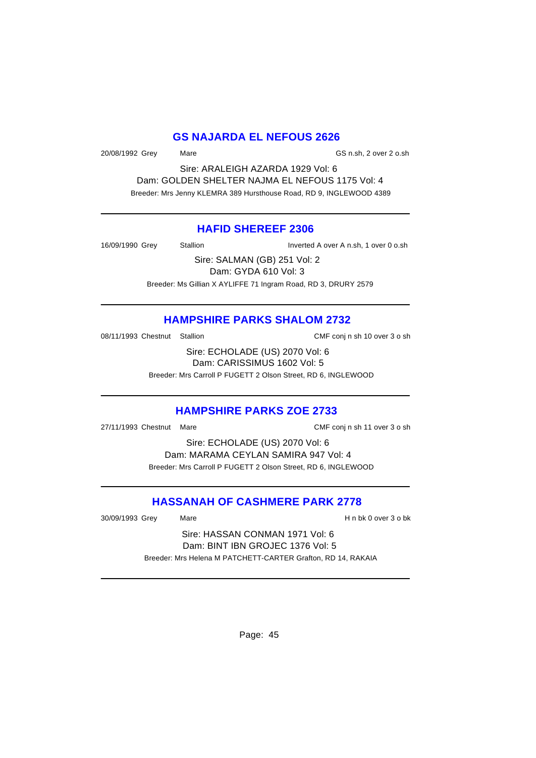#### **GS NAJARDA EL NEFOUS 2626**

20/08/1992 Grey Mare GS n.sh, 2 over 2 o.sh

Sire: ARALEIGH AZARDA 1929 Vol: 6 Dam: GOLDEN SHELTER NAJMA EL NEFOUS 1175 Vol: 4 Breeder: Mrs Jenny KLEMRA 389 Hursthouse Road, RD 9, INGLEWOOD 4389

#### **HAFID SHEREEF 2306**

16/09/1990 Grey Stallion Inverted A over A n.sh, 1 over 0 o.sh

Sire: SALMAN (GB) 251 Vol: 2 Dam: GYDA 610 Vol: 3 Breeder: Ms Gillian X AYLIFFE 71 Ingram Road, RD 3, DRURY 2579

#### **HAMPSHIRE PARKS SHALOM 2732**

08/11/1993 Chestnut Stallion CMF conj n sh 10 over 3 o sh

Sire: ECHOLADE (US) 2070 Vol: 6 Dam: CARISSIMUS 1602 Vol: 5 Breeder: Mrs Carroll P FUGETT 2 Olson Street, RD 6, INGLEWOOD

# **HAMPSHIRE PARKS ZOE 2733**

27/11/1993 Chestnut Mare CMF conj n sh 11 over 3 o sh

Sire: ECHOLADE (US) 2070 Vol: 6 Dam: MARAMA CEYLAN SAMIRA 947 Vol: 4 Breeder: Mrs Carroll P FUGETT 2 Olson Street, RD 6, INGLEWOOD

# **HASSANAH OF CASHMERE PARK 2778**

30/09/1993 Grey Mare H n bk 0 over 3 o bk

Sire: HASSAN CONMAN 1971 Vol: 6 Dam: BINT IBN GROJEC 1376 Vol: 5 Breeder: Mrs Helena M PATCHETT-CARTER Grafton, RD 14, RAKAIA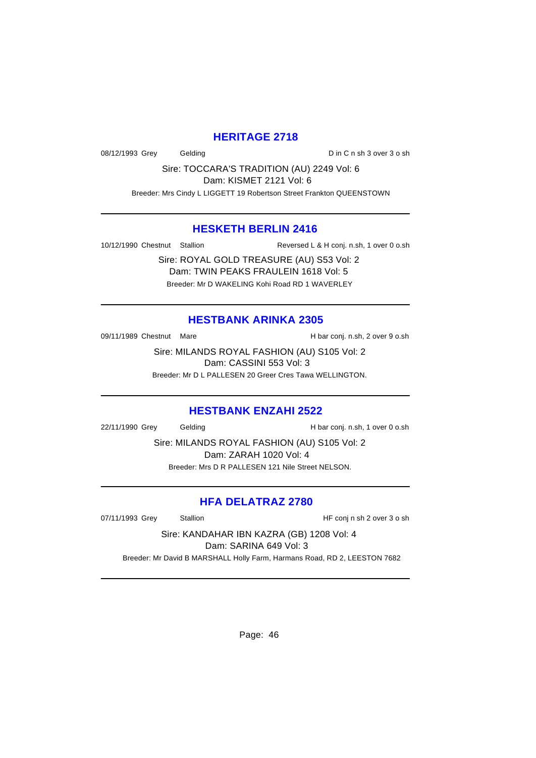# **HERITAGE 2718**

08/12/1993 Grey Gelding Din C n sh 3 over 3 o sh

Sire: TOCCARA'S TRADITION (AU) 2249 Vol: 6 Dam: KISMET 2121 Vol: 6

Breeder: Mrs Cindy L LIGGETT 19 Robertson Street Frankton QUEENSTOWN

#### **HESKETH BERLIN 2416**

10/12/1990 Chestnut Stallion Reversed L & H conj. n.sh, 1 over 0 o.sh

Sire: ROYAL GOLD TREASURE (AU) S53 Vol: 2 Dam: TWIN PEAKS FRAULEIN 1618 Vol: 5 Breeder: Mr D WAKELING Kohi Road RD 1 WAVERLEY

# **HESTBANK ARINKA 2305**

09/11/1989 Chestnut Mare **H** bar conj. n.sh, 2 over 9 o.sh

Sire: MILANDS ROYAL FASHION (AU) S105 Vol: 2 Dam: CASSINI 553 Vol: 3 Breeder: Mr D L PALLESEN 20 Greer Cres Tawa WELLINGTON.

#### **HESTBANK ENZAHI 2522**

22/11/1990 Grey Gelding Gelding H bar conj. n.sh, 1 over 0 o.sh

Sire: MILANDS ROYAL FASHION (AU) S105 Vol: 2 Dam: ZARAH 1020 Vol: 4 Breeder: Mrs D R PALLESEN 121 Nile Street NELSON.

# **HFA DELATRAZ 2780**

07/11/1993 Grey Stallion Stallion State State State State State State State State State State State State State State State State State State State State State State State State State State State State State State State St

Sire: KANDAHAR IBN KAZRA (GB) 1208 Vol: 4

Dam: SARINA 649 Vol: 3

Breeder: Mr David B MARSHALL Holly Farm, Harmans Road, RD 2, LEESTON 7682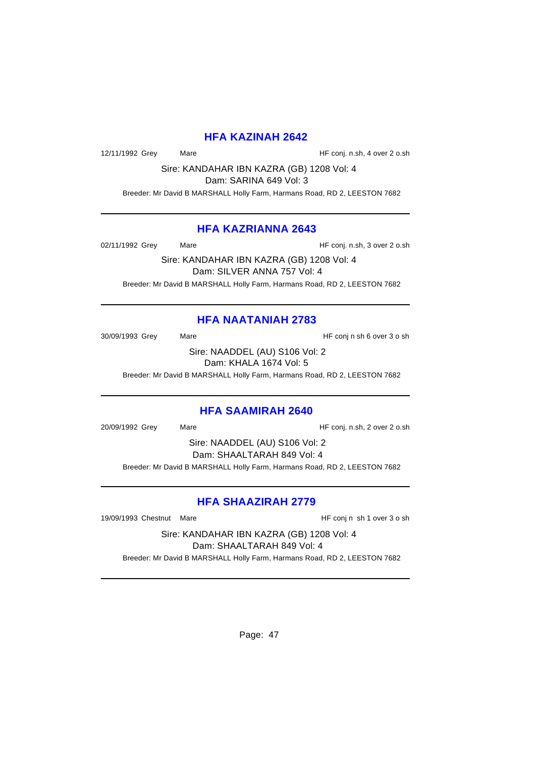#### **HFA KAZINAH 2642**

12/11/1992 Grey Mare Mare HF conj. n.sh, 4 over 2 o.sh

Sire: KANDAHAR IBN KAZRA (GB) 1208 Vol: 4

Dam: SARINA 649 Vol: 3

Breeder: Mr David B MARSHALL Holly Farm, Harmans Road, RD 2, LEESTON 7682

# **HFA KAZRIANNA 2643**

02/11/1992 Grey Mare Mare HF conj. n.sh, 3 over 2 o.sh

Sire: KANDAHAR IBN KAZRA (GB) 1208 Vol: 4 Dam: SILVER ANNA 757 Vol: 4 Breeder: Mr David B MARSHALL Holly Farm, Harmans Road, RD 2, LEESTON 7682

# **HFA NAATANIAH 2783**

30/09/1993 Grey Mare Mare HF conj n sh 6 over 3 o sh

Sire: NAADDEL (AU) S106 Vol: 2 Dam: KHALA 1674 Vol: 5

Breeder: Mr David B MARSHALL Holly Farm, Harmans Road, RD 2, LEESTON 7682

# **HFA SAAMIRAH 2640**

20/09/1992 Grey Mare Mare HF conj. n.sh, 2 over 2 o.sh

Sire: NAADDEL (AU) S106 Vol: 2 Dam: SHAALTARAH 849 Vol: 4 Breeder: Mr David B MARSHALL Holly Farm, Harmans Road, RD 2, LEESTON 7682

# **HFA SHAAZIRAH 2779**

19/09/1993 Chestnut Mare **HF** conj n sh 1 over 3 o sh

Sire: KANDAHAR IBN KAZRA (GB) 1208 Vol: 4 Dam: SHAALTARAH 849 Vol: 4 Breeder: Mr David B MARSHALL Holly Farm, Harmans Road, RD 2, LEESTON 7682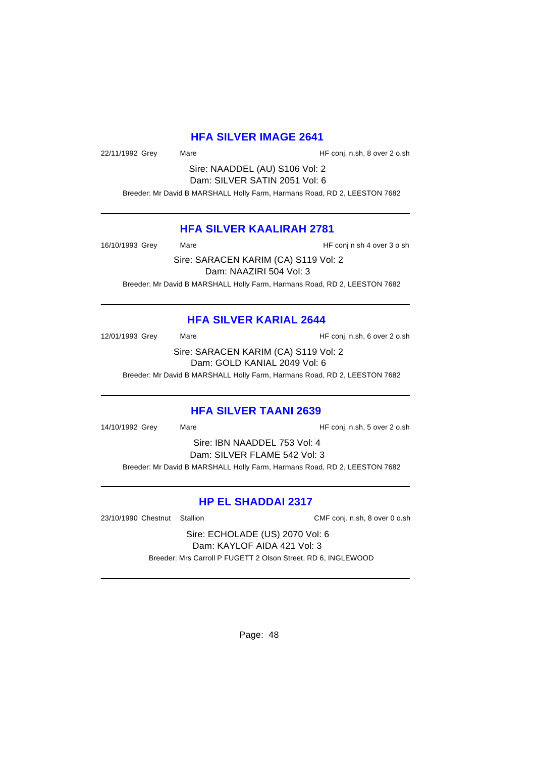#### **HFA SILVER IMAGE 2641**

22/11/1992 Grey Mare Mare HF conj. n.sh, 8 over 2 o.sh

Sire: NAADDEL (AU) S106 Vol: 2 Dam: SILVER SATIN 2051 Vol: 6

Breeder: Mr David B MARSHALL Holly Farm, Harmans Road, RD 2, LEESTON 7682

# **HFA SILVER KAALIRAH 2781**

16/10/1993 Grey Mare Mare HF conj n sh 4 over 3 o sh

Sire: SARACEN KARIM (CA) S119 Vol: 2 Dam: NAAZIRI 504 Vol: 3 Breeder: Mr David B MARSHALL Holly Farm, Harmans Road, RD 2, LEESTON 7682

# **HFA SILVER KARIAL 2644**

12/01/1993 Grey Mare Mare HF conj. n.sh, 6 over 2 o.sh

Sire: SARACEN KARIM (CA) S119 Vol: 2 Dam: GOLD KANIAL 2049 Vol: 6

Breeder: Mr David B MARSHALL Holly Farm, Harmans Road, RD 2, LEESTON 7682

# **HFA SILVER TAANI 2639**

14/10/1992 Grey Mare Mare HF conj. n.sh, 5 over 2 o.sh

Sire: IBN NAADDEL 753 Vol: 4 Dam: SILVER FLAME 542 Vol: 3 Breeder: Mr David B MARSHALL Holly Farm, Harmans Road, RD 2, LEESTON 7682

# **HP EL SHADDAI 2317**

23/10/1990 Chestnut Stallion CMF conj. n.sh, 8 over 0 o.sh

Sire: ECHOLADE (US) 2070 Vol: 6 Dam: KAYLOF AIDA 421 Vol: 3 Breeder: Mrs Carroll P FUGETT 2 Olson Street, RD 6, INGLEWOOD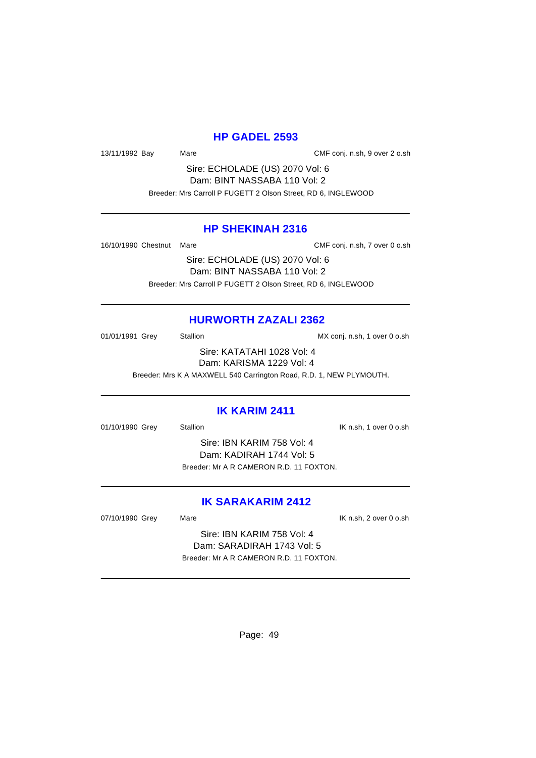#### **HP GADEL 2593**

13/11/1992 Bay Mare CMF conj. n.sh, 9 over 2 o.sh

Sire: ECHOLADE (US) 2070 Vol: 6 Dam: BINT NASSABA 110 Vol: 2 Breeder: Mrs Carroll P FUGETT 2 Olson Street, RD 6, INGLEWOOD

#### **HP SHEKINAH 2316**

16/10/1990 Chestnut Mare CMF conj. n.sh, 7 over 0 o.sh

Sire: ECHOLADE (US) 2070 Vol: 6 Dam: BINT NASSABA 110 Vol: 2 Breeder: Mrs Carroll P FUGETT 2 Olson Street, RD 6, INGLEWOOD

# **HURWORTH ZAZALI 2362**

01/01/1991 Grey Stallion Stallion MX conj. n.sh, 1 over 0 o.sh

Sire: KATATAHI 1028 Vol: 4 Dam: KARISMA 1229 Vol: 4

Breeder: Mrs K A MAXWELL 540 Carrington Road, R.D. 1, NEW PLYMOUTH.

#### **IK KARIM 2411**

01/10/1990 Grey Stallion Stallion Stallion State State State State State State State State State State State State State State State State State State State State State State State State State State State State State State

Sire: IBN KARIM 758 Vol: 4 Dam: KADIRAH 1744 Vol: 5 Breeder: Mr A R CAMERON R.D. 11 FOXTON.

# **IK SARAKARIM 2412**

07/10/1990 Grey Mare Mare IX n.sh, 2 over 0 o.sh

Sire: IBN KARIM 758 Vol: 4 Dam: SARADIRAH 1743 Vol: 5 Breeder: Mr A R CAMERON R.D. 11 FOXTON.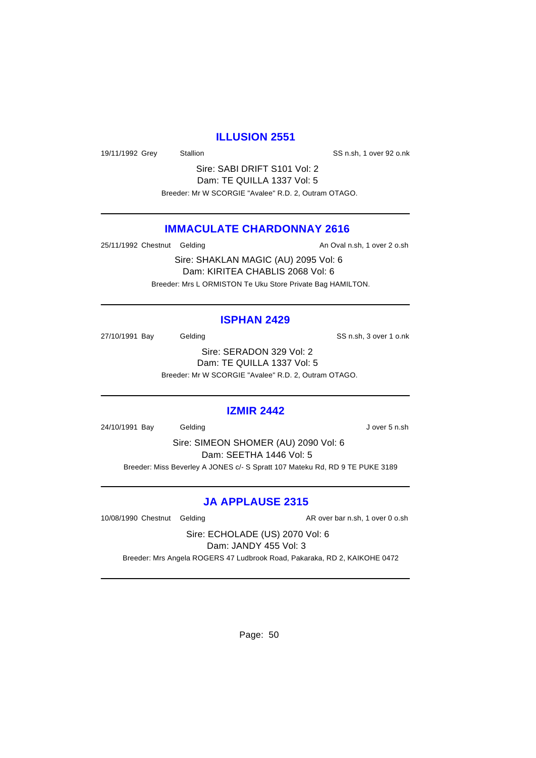#### **ILLUSION 2551**

19/11/1992 Grey Stallion Stallion SS n.sh, 1 over 92 o.nk

Sire: SABI DRIFT S101 Vol: 2 Dam: TE QUILLA 1337 Vol: 5 Breeder: Mr W SCORGIE "Avalee" R.D. 2, Outram OTAGO.

# **IMMACULATE CHARDONNAY 2616**

25/11/1992 Chestnut Gelding and an analysis of the An Oval n.sh, 1 over 2 o.sh

Sire: SHAKLAN MAGIC (AU) 2095 Vol: 6 Dam: KIRITEA CHABLIS 2068 Vol: 6 Breeder: Mrs L ORMISTON Te Uku Store Private Bag HAMILTON.

#### **ISPHAN 2429**

27/10/1991 Bay Gelding Gelding SS n.sh, 3 over 1 o.nk

Sire: SERADON 329 Vol: 2 Dam: TE QUILLA 1337 Vol: 5 Breeder: Mr W SCORGIE "Avalee" R.D. 2, Outram OTAGO.

#### **IZMIR 2442**

24/10/1991 Bay Gelding Gelding J over 5 n.sh

Sire: SIMEON SHOMER (AU) 2090 Vol: 6 Dam: SEETHA 1446 Vol: 5 Breeder: Miss Beverley A JONES c/- S Spratt 107 Mateku Rd, RD 9 TE PUKE 3189

#### **JA APPLAUSE 2315**

10/08/1990 Chestnut Gelding and AR over bar n.sh, 1 over 0 o.sh

Sire: ECHOLADE (US) 2070 Vol: 6 Dam: JANDY 455 Vol: 3

Breeder: Mrs Angela ROGERS 47 Ludbrook Road, Pakaraka, RD 2, KAIKOHE 0472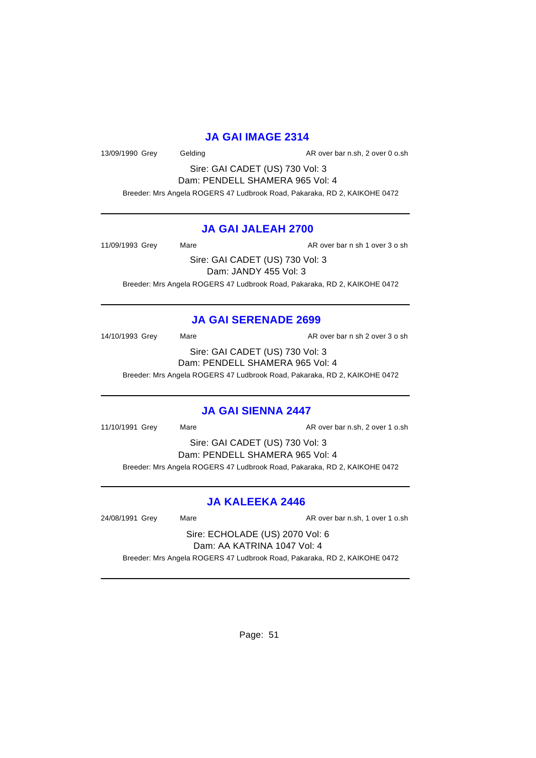#### **JA GAI IMAGE 2314**

13/09/1990 Grey Gelding Casset Controller and AR over bar n.sh, 2 over 0 o.sh

Sire: GAI CADET (US) 730 Vol: 3 Dam: PENDELL SHAMERA 965 Vol: 4

Breeder: Mrs Angela ROGERS 47 Ludbrook Road, Pakaraka, RD 2, KAIKOHE 0472

# **JA GAI JALEAH 2700**

11/09/1993 Grey Mare Mare AR over bar n sh 1 over 3 o sh

Sire: GAI CADET (US) 730 Vol: 3 Dam: JANDY 455 Vol: 3 Breeder: Mrs Angela ROGERS 47 Ludbrook Road, Pakaraka, RD 2, KAIKOHE 0472

# **JA GAI SERENADE 2699**

14/10/1993 Grey Mare Mare AR over bar n sh 2 over 3 o sh

Sire: GAI CADET (US) 730 Vol: 3 Dam: PENDELL SHAMERA 965 Vol: 4

Breeder: Mrs Angela ROGERS 47 Ludbrook Road, Pakaraka, RD 2, KAIKOHE 0472

#### **JA GAI SIENNA 2447**

11/10/1991 Grey Mare Mare AR over bar n.sh, 2 over 1 o.sh

Sire: GAI CADET (US) 730 Vol: 3 Dam: PENDELL SHAMERA 965 Vol: 4

Breeder: Mrs Angela ROGERS 47 Ludbrook Road, Pakaraka, RD 2, KAIKOHE 0472

# **JA KALEEKA 2446**

24/08/1991 Grey Mare AR over bar n.sh, 1 over 1 o.sh

Sire: ECHOLADE (US) 2070 Vol: 6 Dam: AA KATRINA 1047 Vol: 4

Breeder: Mrs Angela ROGERS 47 Ludbrook Road, Pakaraka, RD 2, KAIKOHE 0472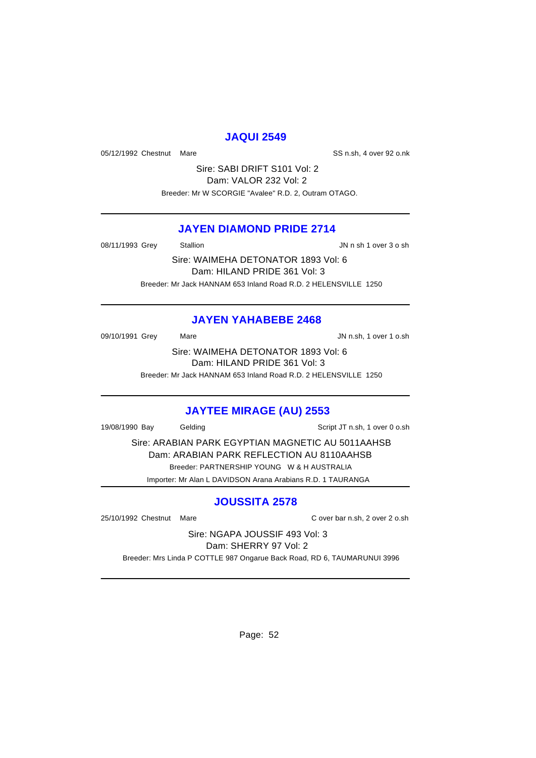# **JAQUI 2549**

05/12/1992 Chestnut Mare SS n.sh, 4 over 92 o.nk

Sire: SABI DRIFT S101 Vol: 2 Dam: VALOR 232 Vol: 2 Breeder: Mr W SCORGIE "Avalee" R.D. 2, Outram OTAGO.

#### **JAYEN DIAMOND PRIDE 2714**

08/11/1993 Grey Stallion Stallion State State State State State State State State State State State State State

Sire: WAIMEHA DETONATOR 1893 Vol: 6 Dam: HILAND PRIDE 361 Vol: 3 Breeder: Mr Jack HANNAM 653 Inland Road R.D. 2 HELENSVILLE 1250

# **JAYEN YAHABEBE 2468**

09/10/1991 Grey Mare Mare JN n.sh, 1 over 1 o.sh Sire: WAIMEHA DETONATOR 1893 Vol: 6

Dam: HILAND PRIDE 361 Vol: 3

Breeder: Mr Jack HANNAM 653 Inland Road R.D. 2 HELENSVILLE 1250

# **JAYTEE MIRAGE (AU) 2553**

19/08/1990 Bay Gelding Script JT n.sh, 1 over 0 o.sh

Sire: ARABIAN PARK EGYPTIAN MAGNETIC AU 5011AAHSB Dam: ARABIAN PARK REFLECTION AU 8110AAHSB Breeder: PARTNERSHIP YOUNG W & H AUSTRALIA Importer: Mr Alan L DAVIDSON Arana Arabians R.D. 1 TAURANGA

# **JOUSSITA 2578**

25/10/1992 Chestnut Mare C over bar n.sh, 2 over 2 o.sh

Sire: NGAPA JOUSSIF 493 Vol: 3 Dam: SHERRY 97 Vol: 2

Breeder: Mrs Linda P COTTLE 987 Ongarue Back Road, RD 6, TAUMARUNUI 3996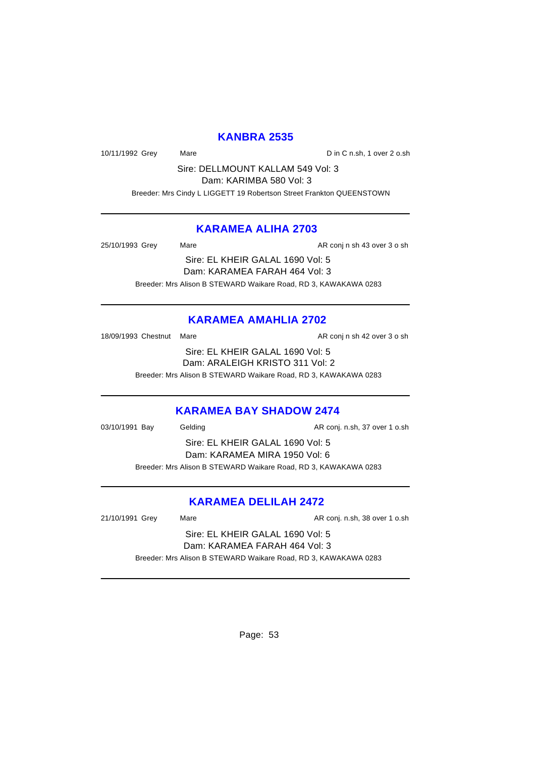# **KANBRA 2535**

10/11/1992 Grey Mare Mare Din C n.sh, 1 over 2 o.sh

Sire: DELLMOUNT KALLAM 549 Vol: 3

Dam: KARIMBA 580 Vol: 3

Breeder: Mrs Cindy L LIGGETT 19 Robertson Street Frankton QUEENSTOWN

# **KARAMEA ALIHA 2703**

25/10/1993 Grey Mare Mare AR conj n sh 43 over 3 o sh

Sire: EL KHEIR GALAL 1690 Vol: 5 Dam: KARAMEA FARAH 464 Vol: 3 Breeder: Mrs Alison B STEWARD Waikare Road, RD 3, KAWAKAWA 0283

# **KARAMEA AMAHLIA 2702**

18/09/1993 Chestnut Mare **AR** conj n sh 42 over 3 o sh

Sire: EL KHEIR GALAL 1690 Vol: 5 Dam: ARALEIGH KRISTO 311 Vol: 2 Breeder: Mrs Alison B STEWARD Waikare Road, RD 3, KAWAKAWA 0283

# **KARAMEA BAY SHADOW 2474**

03/10/1991 Bay Gelding Casset Conj. n.sh, 37 over 1 o.sh

Sire: EL KHEIR GALAL 1690 Vol: 5 Dam: KARAMEA MIRA 1950 Vol: 6 Breeder: Mrs Alison B STEWARD Waikare Road, RD 3, KAWAKAWA 0283

# **KARAMEA DELILAH 2472**

21/10/1991 Grey Mare Mare AR conj. n.sh, 38 over 1 o.sh

Sire: EL KHEIR GALAL 1690 Vol: 5 Dam: KARAMEA FARAH 464 Vol: 3 Breeder: Mrs Alison B STEWARD Waikare Road, RD 3, KAWAKAWA 0283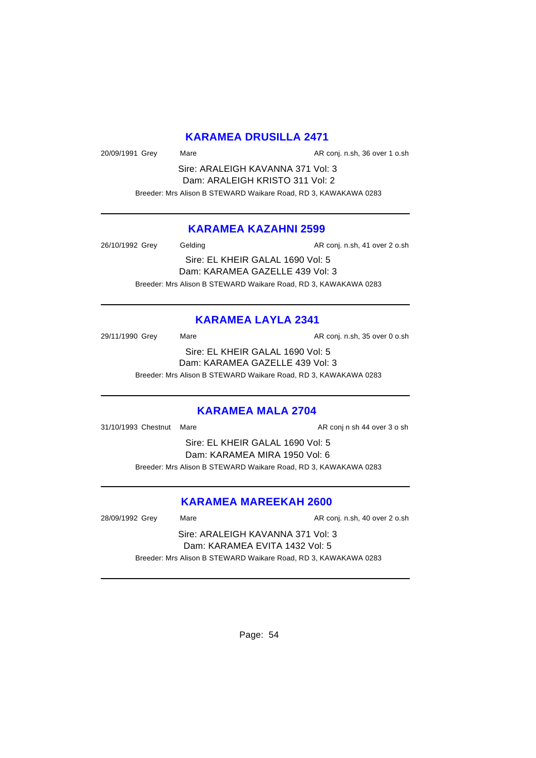# **KARAMEA DRUSILLA 2471**

20/09/1991 Grey Mare Mare AR conj. n.sh, 36 over 1 o.sh

Sire: ARALEIGH KAVANNA 371 Vol: 3 Dam: ARALEIGH KRISTO 311 Vol: 2 Breeder: Mrs Alison B STEWARD Waikare Road, RD 3, KAWAKAWA 0283

# **KARAMEA KAZAHNI 2599**

26/10/1992 Grey Gelding Cash Care AR conj. n.sh, 41 over 2 o.sh Sire: EL KHEIR GALAL 1690 Vol: 5 Dam: KARAMEA GAZELLE 439 Vol: 3 Breeder: Mrs Alison B STEWARD Waikare Road, RD 3, KAWAKAWA 0283

# **KARAMEA LAYLA 2341**

29/11/1990 Grey Mare Mare AR conj. n.sh, 35 over 0 o.sh Sire: EL KHEIR GALAL 1690 Vol: 5 Dam: KARAMEA GAZELLE 439 Vol: 3

Breeder: Mrs Alison B STEWARD Waikare Road, RD 3, KAWAKAWA 0283

#### **KARAMEA MALA 2704**

31/10/1993 Chestnut Mare **AR conj n** sh 44 over 3 o sh

Sire: EL KHEIR GALAL 1690 Vol: 5 Dam: KARAMEA MIRA 1950 Vol: 6 Breeder: Mrs Alison B STEWARD Waikare Road, RD 3, KAWAKAWA 0283

#### **KARAMEA MAREEKAH 2600**

28/09/1992 Grey Mare Mare AR conj. n.sh, 40 over 2 o.sh

Sire: ARALEIGH KAVANNA 371 Vol: 3 Dam: KARAMEA EVITA 1432 Vol: 5 Breeder: Mrs Alison B STEWARD Waikare Road, RD 3, KAWAKAWA 0283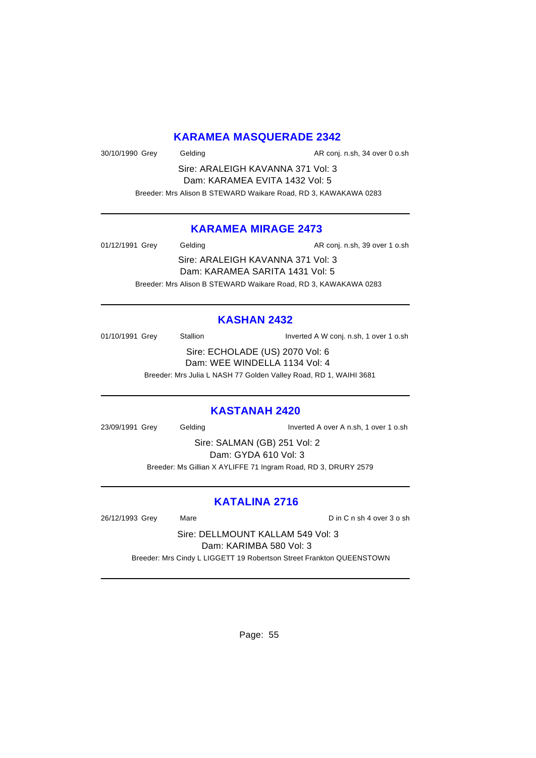# **KARAMEA MASQUERADE 2342**

30/10/1990 Grey Gelding Gelding AR conj. n.sh, 34 over 0 o.sh

Sire: ARALEIGH KAVANNA 371 Vol: 3 Dam: KARAMEA EVITA 1432 Vol: 5

Breeder: Mrs Alison B STEWARD Waikare Road, RD 3, KAWAKAWA 0283

# **KARAMEA MIRAGE 2473**

01/12/1991 Grey Gelding Casset Conj. n.sh, 39 over 1 o.sh Sire: ARALEIGH KAVANNA 371 Vol: 3 Dam: KARAMEA SARITA 1431 Vol: 5 Breeder: Mrs Alison B STEWARD Waikare Road, RD 3, KAWAKAWA 0283

# **KASHAN 2432**

01/10/1991 Grey Stallion Stallion Stallion Inverted A W conj. n.sh, 1 over 1 o.sh Sire: ECHOLADE (US) 2070 Vol: 6

Dam: WEE WINDELLA 1134 Vol: 4

Breeder: Mrs Julia L NASH 77 Golden Valley Road, RD 1, WAIHI 3681

# **KASTANAH 2420**

23/09/1991 Grey Gelding Inverted A over A n.sh, 1 over 1 o.sh

Sire: SALMAN (GB) 251 Vol: 2 Dam: GYDA 610 Vol: 3 Breeder: Ms Gillian X AYLIFFE 71 Ingram Road, RD 3, DRURY 2579

# **KATALINA 2716**

26/12/1993 Grey Mare Mare Din C n sh 4 over 3 o sh

Sire: DELLMOUNT KALLAM 549 Vol: 3 Dam: KARIMBA 580 Vol: 3

Breeder: Mrs Cindy L LIGGETT 19 Robertson Street Frankton QUEENSTOWN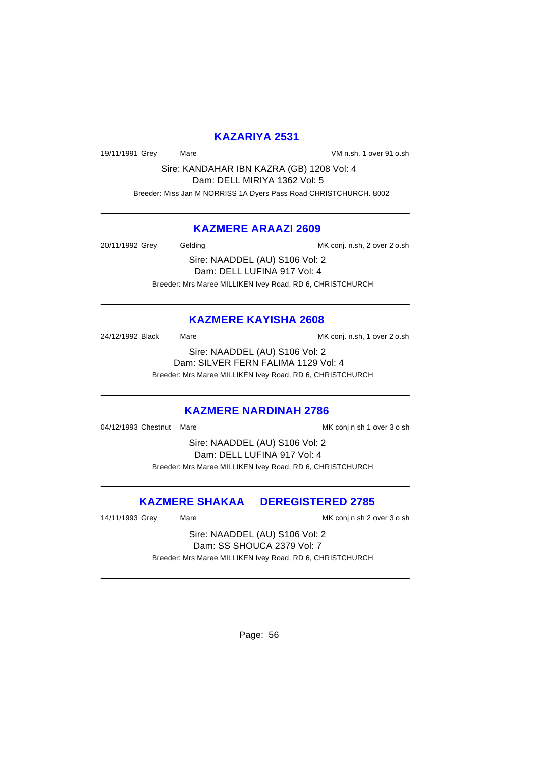# **KAZARIYA 2531**

19/11/1991 Grey Mare VM n.sh, 1 over 91 o.sh

Sire: KANDAHAR IBN KAZRA (GB) 1208 Vol: 4 Dam: DELL MIRIYA 1362 Vol: 5 Breeder: Miss Jan M NORRISS 1A Dyers Pass Road CHRISTCHURCH. 8002

# **KAZMERE ARAAZI 2609**

20/11/1992 Grey Gelding MK conj. n.sh, 2 over 2 o.sh

Sire: NAADDEL (AU) S106 Vol: 2 Dam: DELL LUFINA 917 Vol: 4 Breeder: Mrs Maree MILLIKEN Ivey Road, RD 6, CHRISTCHURCH

# **KAZMERE KAYISHA 2608**

24/12/1992 Black Mare Mare MK conj. n.sh, 1 over 2 o.sh

Sire: NAADDEL (AU) S106 Vol: 2 Dam: SILVER FERN FALIMA 1129 Vol: 4 Breeder: Mrs Maree MILLIKEN Ivey Road, RD 6, CHRISTCHURCH

#### **KAZMERE NARDINAH 2786**

04/12/1993 Chestnut Mare MK conj n sh 1 over 3 o sh

Sire: NAADDEL (AU) S106 Vol: 2 Dam: DELL LUFINA 917 Vol: 4 Breeder: Mrs Maree MILLIKEN Ivey Road, RD 6, CHRISTCHURCH

# **KAZMERE SHAKAA DEREGISTERED 2785**

14/11/1993 Grey Mare Mare MK conj n sh 2 over 3 o sh

Sire: NAADDEL (AU) S106 Vol: 2 Dam: SS SHOUCA 2379 Vol: 7 Breeder: Mrs Maree MILLIKEN Ivey Road, RD 6, CHRISTCHURCH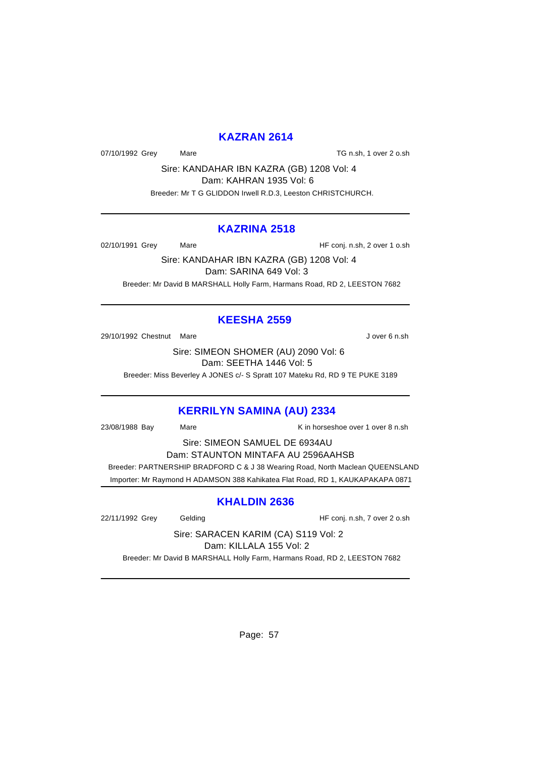#### **KAZRAN 2614**

07/10/1992 Grey Mare Mare TG n.sh, 1 over 2 o.sh

Sire: KANDAHAR IBN KAZRA (GB) 1208 Vol: 4 Dam: KAHRAN 1935 Vol: 6 Breeder: Mr T G GLIDDON Irwell R.D.3, Leeston CHRISTCHURCH.

#### **KAZRINA 2518**

02/10/1991 Grey Mare Mare HF conj. n.sh, 2 over 1 o.sh

Sire: KANDAHAR IBN KAZRA (GB) 1208 Vol: 4 Dam: SARINA 649 Vol: 3 Breeder: Mr David B MARSHALL Holly Farm, Harmans Road, RD 2, LEESTON 7682

# **KEESHA 2559**

29/10/1992 Chestnut Mare **J** over 6 n.sh

Sire: SIMEON SHOMER (AU) 2090 Vol: 6 Dam: SEETHA 1446 Vol: 5

Breeder: Miss Beverley A JONES c/- S Spratt 107 Mateku Rd, RD 9 TE PUKE 3189

#### **KERRILYN SAMINA (AU) 2334**

23/08/1988 Bay Mare K in horseshoe over 1 over 8 n.sh

Sire: SIMEON SAMUEL DE 6934AU Dam: STAUNTON MINTAFA AU 2596AAHSB Breeder: PARTNERSHIP BRADFORD C & J 38 Wearing Road, North Maclean QUEENSLAND Importer: Mr Raymond H ADAMSON 388 Kahikatea Flat Road, RD 1, KAUKAPAKAPA 0871

# **KHALDIN 2636**

22/11/1992 Grey Gelding Gelding HF conj. n.sh, 7 over 2 o.sh

Sire: SARACEN KARIM (CA) S119 Vol: 2 Dam: KILLALA 155 Vol: 2

Breeder: Mr David B MARSHALL Holly Farm, Harmans Road, RD 2, LEESTON 7682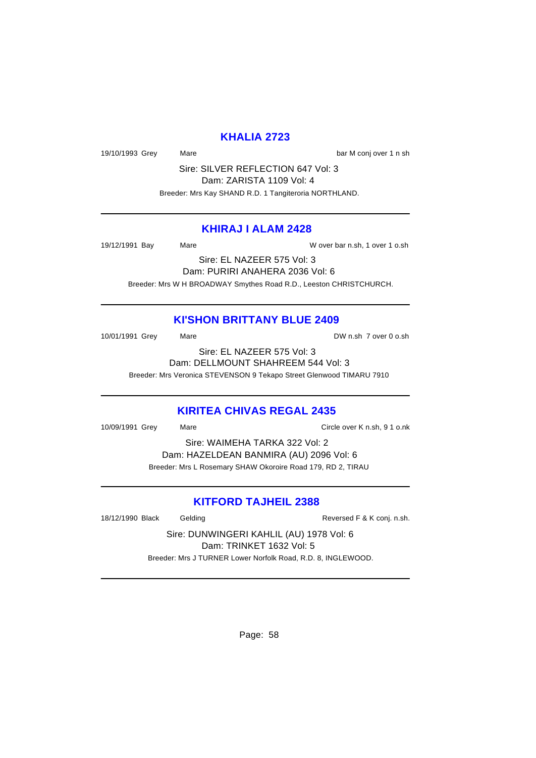# **KHALIA 2723**

19/10/1993 Grey Mare Mare bar M conj over 1 n sh

Sire: SILVER REFLECTION 647 Vol: 3 Dam: ZARISTA 1109 Vol: 4 Breeder: Mrs Kay SHAND R.D. 1 Tangiteroria NORTHLAND.

#### **KHIRAJ I ALAM 2428**

19/12/1991 Bay Mare W over bar n.sh, 1 over 1 o.sh

Sire: EL NAZEER 575 Vol: 3 Dam: PURIRI ANAHERA 2036 Vol: 6 Breeder: Mrs W H BROADWAY Smythes Road R.D., Leeston CHRISTCHURCH.

#### **KI'SHON BRITTANY BLUE 2409**

10/01/1991 Grey Mare Mare DW n.sh 7 over 0 o.sh Sire: EL NAZEER 575 Vol: 3

Dam: DELLMOUNT SHAHREEM 544 Vol: 3 Breeder: Mrs Veronica STEVENSON 9 Tekapo Street Glenwood TIMARU 7910

#### **KIRITEA CHIVAS REGAL 2435**

10/09/1991 Grey Mare Circle over K n.sh, 9 1 o.nk

Sire: WAIMEHA TARKA 322 Vol: 2 Dam: HAZELDEAN BANMIRA (AU) 2096 Vol: 6 Breeder: Mrs L Rosemary SHAW Okoroire Road 179, RD 2, TIRAU

# **KITFORD TAJHEIL 2388**

18/12/1990 Black Gelding Cast Conjecture Reversed F & K conj. n.sh.

Sire: DUNWINGERI KAHLIL (AU) 1978 Vol: 6 Dam: TRINKET 1632 Vol: 5 Breeder: Mrs J TURNER Lower Norfolk Road, R.D. 8, INGLEWOOD.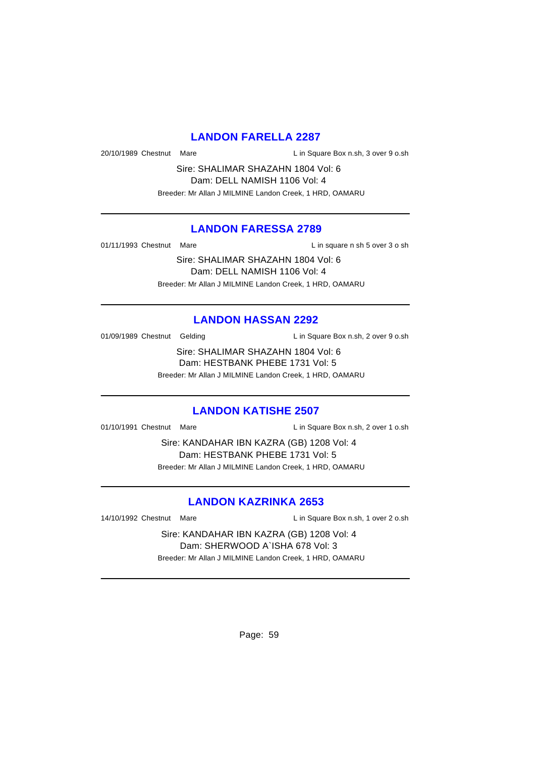#### **LANDON FARELLA 2287**

20/10/1989 Chestnut Mare Lin Square Box n.sh, 3 over 9 o.sh

Sire: SHALIMAR SHAZAHN 1804 Vol: 6 Dam: DELL NAMISH 1106 Vol: 4 Breeder: Mr Allan J MILMINE Landon Creek, 1 HRD, OAMARU

#### **LANDON FARESSA 2789**

01/11/1993 Chestnut Mare **L** in square n sh 5 over 3 o sh

Sire: SHALIMAR SHAZAHN 1804 Vol: 6 Dam: DELL NAMISH 1106 Vol: 4 Breeder: Mr Allan J MILMINE Landon Creek, 1 HRD, OAMARU

# **LANDON HASSAN 2292**

01/09/1989 Chestnut Gelding Lin Square Box n.sh, 2 over 9 o.sh

Sire: SHALIMAR SHAZAHN 1804 Vol: 6 Dam: HESTBANK PHEBE 1731 Vol: 5

Breeder: Mr Allan J MILMINE Landon Creek, 1 HRD, OAMARU

#### **LANDON KATISHE 2507**

01/10/1991 Chestnut Mare Lin Square Box n.sh, 2 over 1 o.sh

Sire: KANDAHAR IBN KAZRA (GB) 1208 Vol: 4 Dam: HESTBANK PHEBE 1731 Vol: 5 Breeder: Mr Allan J MILMINE Landon Creek, 1 HRD, OAMARU

# **LANDON KAZRINKA 2653**

14/10/1992 Chestnut Mare Lin Square Box n.sh, 1 over 2 o.sh

Sire: KANDAHAR IBN KAZRA (GB) 1208 Vol: 4 Dam: SHERWOOD A`ISHA 678 Vol: 3 Breeder: Mr Allan J MILMINE Landon Creek, 1 HRD, OAMARU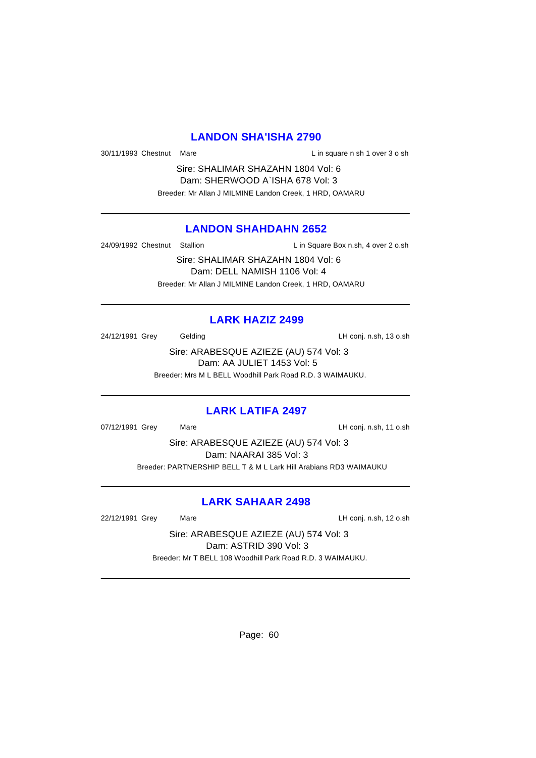#### **LANDON SHA'ISHA 2790**

30/11/1993 Chestnut Mare **L** in square n sh 1 over 3 o sh

Sire: SHALIMAR SHAZAHN 1804 Vol: 6 Dam: SHERWOOD A`ISHA 678 Vol: 3 Breeder: Mr Allan J MILMINE Landon Creek, 1 HRD, OAMARU

# **LANDON SHAHDAHN 2652**

24/09/1992 Chestnut Stallion Lin Square Box n.sh, 4 over 2 o.sh

Sire: SHALIMAR SHAZAHN 1804 Vol: 6 Dam: DELL NAMISH 1106 Vol: 4 Breeder: Mr Allan J MILMINE Landon Creek, 1 HRD, OAMARU

#### **LARK HAZIZ 2499**

24/12/1991 Grey Gelding LH conj. n.sh, 13 o.sh

Sire: ARABESQUE AZIEZE (AU) 574 Vol: 3 Dam: AA JULIET 1453 Vol: 5 Breeder: Mrs M L BELL Woodhill Park Road R.D. 3 WAIMAUKU.

#### **LARK LATIFA 2497**

07/12/1991 Grey Mare Mare LH conj. n.sh, 11 o.sh

Sire: ARABESQUE AZIEZE (AU) 574 Vol: 3 Dam: NAARAI 385 Vol: 3 Breeder: PARTNERSHIP BELL T & M L Lark Hill Arabians RD3 WAIMAUKU

# **LARK SAHAAR 2498**

22/12/1991 Grey Mare LH conj. n.sh, 12 o.sh

Sire: ARABESQUE AZIEZE (AU) 574 Vol: 3 Dam: ASTRID 390 Vol: 3 Breeder: Mr T BELL 108 Woodhill Park Road R.D. 3 WAIMAUKU.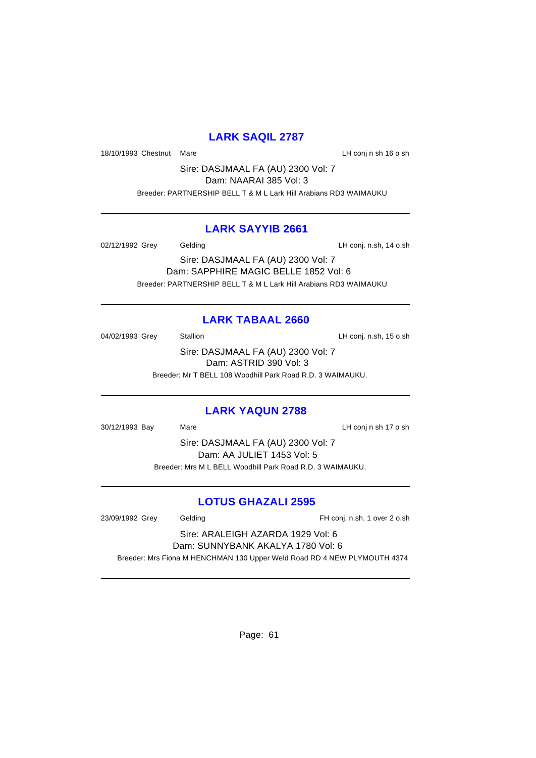# **LARK SAQIL 2787**

18/10/1993 Chestnut Mare **LH** conj n sh 16 o sh

Sire: DASJMAAL FA (AU) 2300 Vol: 7 Dam: NAARAI 385 Vol: 3 Breeder: PARTNERSHIP BELL T & M L Lark Hill Arabians RD3 WAIMAUKU

# **LARK SAYYIB 2661**

02/12/1992 Grey Gelding Constant Conj. n.sh, 14 o.sh

Sire: DASJMAAL FA (AU) 2300 Vol: 7 Dam: SAPPHIRE MAGIC BELLE 1852 Vol: 6 Breeder: PARTNERSHIP BELL T & M L Lark Hill Arabians RD3 WAIMAUKU

# **LARK TABAAL 2660**

04/02/1993 Grey Stallion Stallion CH Conj. n.sh, 15 o.sh Sire: DASJMAAL FA (AU) 2300 Vol: 7

Dam: ASTRID 390 Vol: 3

Breeder: Mr T BELL 108 Woodhill Park Road R.D. 3 WAIMAUKU.

# **LARK YAQUN 2788**

30/12/1993 Bay Mare LH conj n sh 17 o sh Sire: DASJMAAL FA (AU) 2300 Vol: 7 Dam: AA JULIET 1453 Vol: 5 Breeder: Mrs M L BELL Woodhill Park Road R.D. 3 WAIMAUKU.

# **LOTUS GHAZALI 2595**

23/09/1992 Grey Gelding FH conj. n.sh, 1 over 2 o.sh Sire: ARALEIGH AZARDA 1929 Vol: 6 Dam: SUNNYBANK AKALYA 1780 Vol: 6 Breeder: Mrs Fiona M HENCHMAN 130 Upper Weld Road RD 4 NEW PLYMOUTH 4374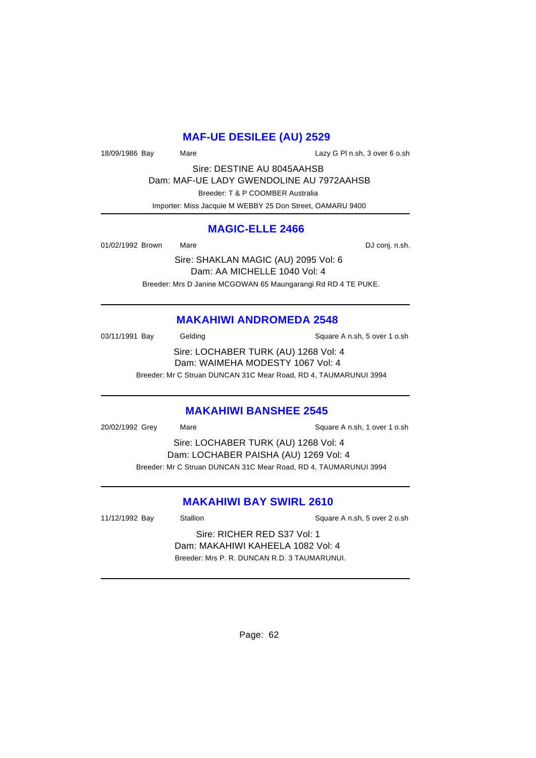# **MAF-UE DESILEE (AU) 2529**

18/09/1986 Bay Mare Mare Lazy G Pl n.sh, 3 over 6 o.sh

Sire: DESTINE AU 8045AAHSB Dam: MAF-UE LADY GWENDOLINE AU 7972AAHSB Breeder: T & P COOMBER Australia Importer: Miss Jacquie M WEBBY 25 Don Street, OAMARU 9400

#### **MAGIC-ELLE 2466**

01/02/1992 Brown Mare Mare DJ conj. n.sh.

Sire: SHAKLAN MAGIC (AU) 2095 Vol: 6 Dam: AA MICHELLE 1040 Vol: 4 Breeder: Mrs D Janine MCGOWAN 65 Maungarangi Rd RD 4 TE PUKE.

# **MAKAHIWI ANDROMEDA 2548**

03/11/1991 Bay Gelding Gelding Square A n.sh, 5 over 1 o.sh Sire: LOCHABER TURK (AU) 1268 Vol: 4 Dam: WAIMEHA MODESTY 1067 Vol: 4 Breeder: Mr C Struan DUNCAN 31C Mear Road, RD 4, TAUMARUNUI 3994

#### **MAKAHIWI BANSHEE 2545**

20/02/1992 Grey Mare Square A n.sh, 1 over 1 o.sh Sire: LOCHABER TURK (AU) 1268 Vol: 4 Dam: LOCHABER PAISHA (AU) 1269 Vol: 4 Breeder: Mr C Struan DUNCAN 31C Mear Road, RD 4, TAUMARUNUI 3994

# **MAKAHIWI BAY SWIRL 2610**

11/12/1992 Bay Stallion Stallion Supervice Square A n.sh, 5 over 2 o.sh

Sire: RICHER RED S37 Vol: 1 Dam: MAKAHIWI KAHEELA 1082 Vol: 4 Breeder: Mrs P. R. DUNCAN R.D. 3 TAUMARUNUI.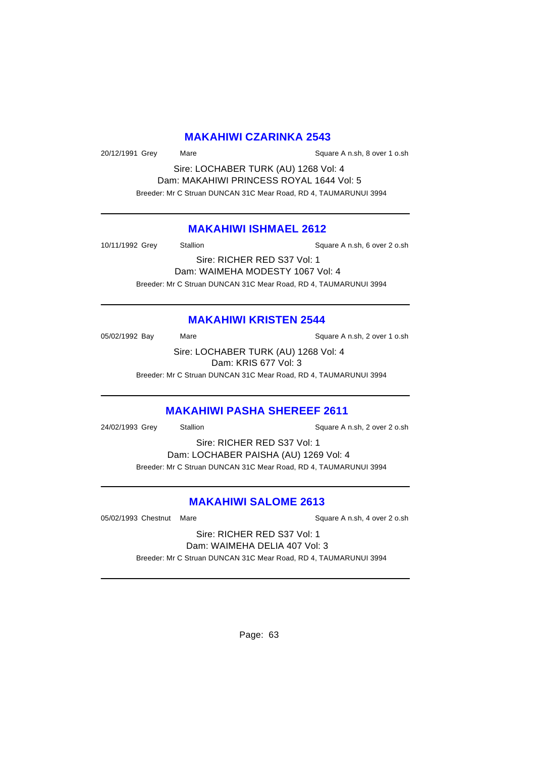#### **MAKAHIWI CZARINKA 2543**

20/12/1991 Grey Mare Square A n.sh, 8 over 1 o.sh

Sire: LOCHABER TURK (AU) 1268 Vol: 4 Dam: MAKAHIWI PRINCESS ROYAL 1644 Vol: 5 Breeder: Mr C Struan DUNCAN 31C Mear Road, RD 4, TAUMARUNUI 3994

#### **MAKAHIWI ISHMAEL 2612**

10/11/1992 Grey Stallion Stallion Square A n.sh, 6 over 2 o.sh

Sire: RICHER RED S37 Vol: 1 Dam: WAIMEHA MODESTY 1067 Vol: 4 Breeder: Mr C Struan DUNCAN 31C Mear Road, RD 4, TAUMARUNUI 3994

#### **MAKAHIWI KRISTEN 2544**

05/02/1992 Bay Mare Mare Square A n.sh, 2 over 1 o.sh Sire: LOCHABER TURK (AU) 1268 Vol: 4 Dam: KRIS 677 Vol: 3

Breeder: Mr C Struan DUNCAN 31C Mear Road, RD 4, TAUMARUNUI 3994

#### **MAKAHIWI PASHA SHEREEF 2611**

24/02/1993 Grey Stallion Stallion State A n.sh, 2 over 2 o.sh

Sire: RICHER RED S37 Vol: 1 Dam: LOCHABER PAISHA (AU) 1269 Vol: 4 Breeder: Mr C Struan DUNCAN 31C Mear Road, RD 4, TAUMARUNUI 3994

# **MAKAHIWI SALOME 2613**

05/02/1993 Chestnut Mare Square A n.sh, 4 over 2 o.sh

Sire: RICHER RED S37 Vol: 1 Dam: WAIMEHA DELIA 407 Vol: 3 Breeder: Mr C Struan DUNCAN 31C Mear Road, RD 4, TAUMARUNUI 3994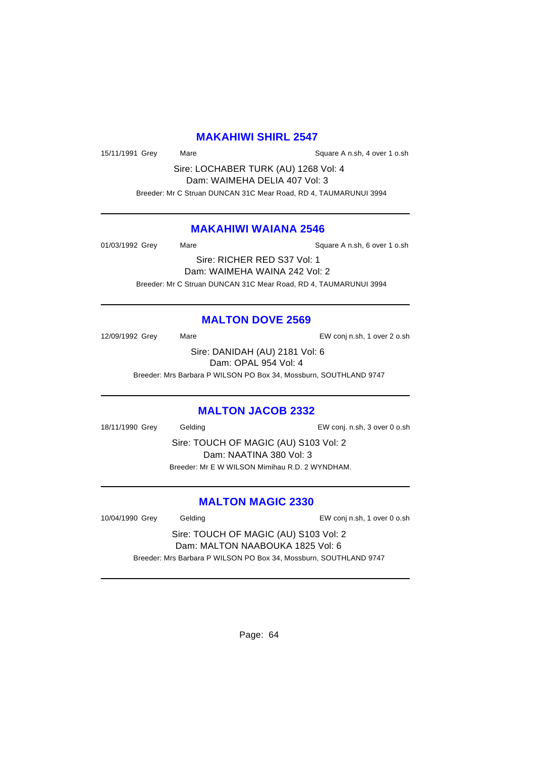#### **MAKAHIWI SHIRL 2547**

15/11/1991 Grey Mare Mare Square A n.sh, 4 over 1 o.sh

Sire: LOCHABER TURK (AU) 1268 Vol: 4 Dam: WAIMEHA DELIA 407 Vol: 3 Breeder: Mr C Struan DUNCAN 31C Mear Road, RD 4, TAUMARUNUI 3994

#### **MAKAHIWI WAIANA 2546**

| 01/03/1992 Grey | Mare                          | Square A n.sh, 6 over 1 o.sh |
|-----------------|-------------------------------|------------------------------|
|                 | Sire: RICHER RED S37 Vol: 1   |                              |
|                 | Dam: WAIMEHA WAINA 242 Vol: 2 |                              |

Breeder: Mr C Struan DUNCAN 31C Mear Road, RD 4, TAUMARUNUI 3994

#### **MALTON DOVE 2569**

12/09/1992 Grey Mare EW conj n.sh, 1 over 2 o.sh Sire: DANIDAH (AU) 2181 Vol: 6 Dam: OPAL 954 Vol: 4

Breeder: Mrs Barbara P WILSON PO Box 34, Mossburn, SOUTHLAND 9747

#### **MALTON JACOB 2332**

18/11/1990 Grey Gelding Cash Conj. n.sh, 3 over 0 o.sh

Sire: TOUCH OF MAGIC (AU) S103 Vol: 2 Dam: NAATINA 380 Vol: 3 Breeder: Mr E W WILSON Mimihau R.D. 2 WYNDHAM.

#### **MALTON MAGIC 2330**

10/04/1990 Grey Gelding EW conj n.sh, 1 over 0 o.sh

Sire: TOUCH OF MAGIC (AU) S103 Vol: 2 Dam: MALTON NAABOUKA 1825 Vol: 6 Breeder: Mrs Barbara P WILSON PO Box 34, Mossburn, SOUTHLAND 9747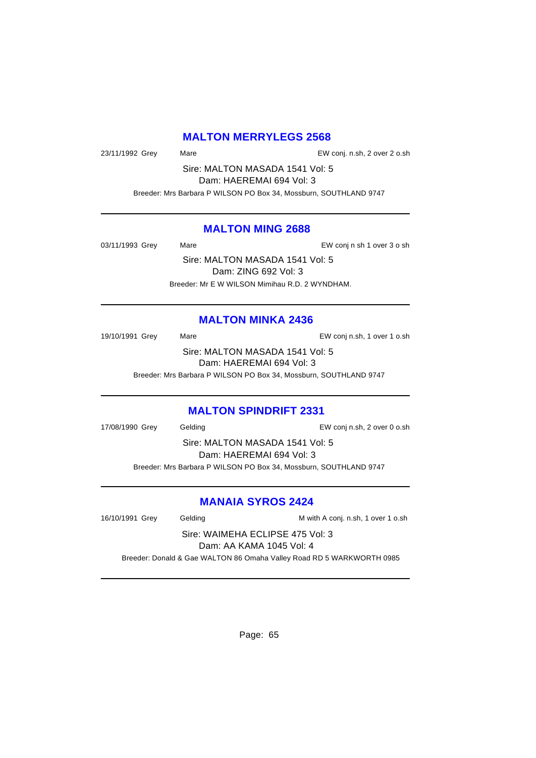# **MALTON MERRYLEGS 2568**

23/11/1992 Grey Mare EW conj. n.sh, 2 over 2 o.sh

Sire: MALTON MASADA 1541 Vol: 5 Dam: HAEREMAI 694 Vol: 3

Breeder: Mrs Barbara P WILSON PO Box 34, Mossburn, SOUTHLAND 9747

#### **MALTON MING 2688**

03/11/1993 Grey Mare Mare EW conj n sh 1 over 3 o sh

Sire: MALTON MASADA 1541 Vol: 5 Dam: ZING 692 Vol: 3 Breeder: Mr E W WILSON Mimihau R.D. 2 WYNDHAM.

#### **MALTON MINKA 2436**

19/10/1991 Grey Mare EW conj n.sh, 1 over 1 o.sh Sire: MALTON MASADA 1541 Vol: 5 Dam: HAEREMAI 694 Vol: 3

Breeder: Mrs Barbara P WILSON PO Box 34, Mossburn, SOUTHLAND 9747

#### **MALTON SPINDRIFT 2331**

17/08/1990 Grey Gelding EW conj n.sh, 2 over 0 o.sh

Sire: MALTON MASADA 1541 Vol: 5 Dam: HAEREMAI 694 Vol: 3 Breeder: Mrs Barbara P WILSON PO Box 34, Mossburn, SOUTHLAND 9747

# **MANAIA SYROS 2424**

16/10/1991 Grey Gelding M With A conj. n.sh, 1 over 1 o.sh Sire: WAIMEHA ECLIPSE 475 Vol: 3 Dam: AA KAMA 1045 Vol: 4 Breeder: Donald & Gae WALTON 86 Omaha Valley Road RD 5 WARKWORTH 0985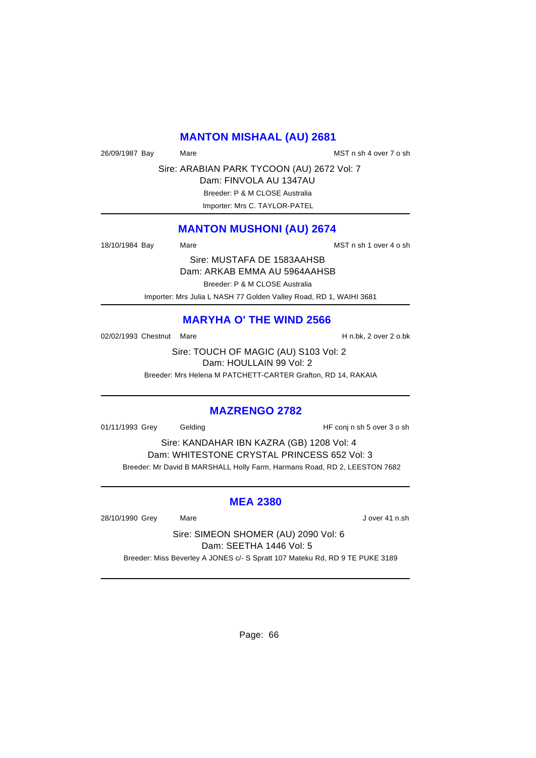#### **MANTON MISHAAL (AU) 2681**

26/09/1987 Bay Mare MST n sh 4 over 7 o sh

Sire: ARABIAN PARK TYCOON (AU) 2672 Vol: 7

Dam: FINVOLA AU 1347AU Breeder: P & M CLOSE Australia

Importer: Mrs C. TAYLOR-PATEL

# **MANTON MUSHONI (AU) 2674**

18/10/1984 Bay Mare Mare Manuel MST n sh 1 over 4 o sh

Sire: MUSTAFA DE 1583AAHSB Dam: ARKAB EMMA AU 5964AAHSB

Breeder: P & M CLOSE Australia

Importer: Mrs Julia L NASH 77 Golden Valley Road, RD 1, WAIHI 3681

# **MARYHA O' THE WIND 2566**

02/02/1993 Chestnut Mare **H** n.bk, 2 over 2 o.bk

Sire: TOUCH OF MAGIC (AU) S103 Vol: 2 Dam: HOULLAIN 99 Vol: 2

Breeder: Mrs Helena M PATCHETT-CARTER Grafton, RD 14, RAKAIA

#### **MAZRENGO 2782**

01/11/1993 Grey Gelding Gelding HF conj n sh 5 over 3 o sh

Sire: KANDAHAR IBN KAZRA (GB) 1208 Vol: 4 Dam: WHITESTONE CRYSTAL PRINCESS 652 Vol: 3 Breeder: Mr David B MARSHALL Holly Farm, Harmans Road, RD 2, LEESTON 7682

#### **MEA 2380**

28/10/1990 Grey Mare J over 41 n.sh

Sire: SIMEON SHOMER (AU) 2090 Vol: 6 Dam: SEETHA 1446 Vol: 5 Breeder: Miss Beverley A JONES c/- S Spratt 107 Mateku Rd, RD 9 TE PUKE 3189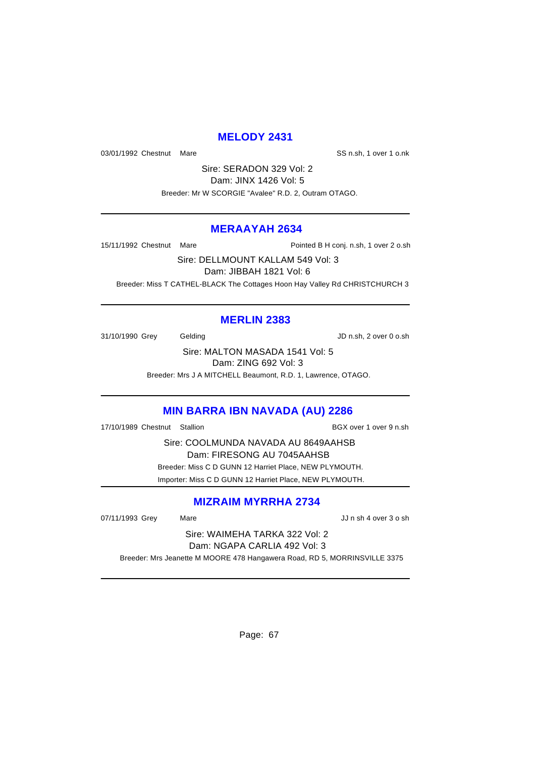# **MELODY 2431**

03/01/1992 Chestnut Mare **SS n.sh, 1** over 1 o.nk

Sire: SERADON 329 Vol: 2 Dam: JINX 1426 Vol: 5 Breeder: Mr W SCORGIE "Avalee" R.D. 2, Outram OTAGO.

#### **MERAAYAH 2634**

15/11/1992 Chestnut Mare **Pointed B H conj.** n.sh, 1 over 2 o.sh

Sire: DELLMOUNT KALLAM 549 Vol: 3 Dam: JIBBAH 1821 Vol: 6 Breeder: Miss T CATHEL-BLACK The Cottages Hoon Hay Valley Rd CHRISTCHURCH 3

# **MERLIN 2383**

31/10/1990 Grey Gelding Gelding JD n.sh, 2 over 0 o.sh

Sire: MALTON MASADA 1541 Vol: 5 Dam: ZING 692 Vol: 3

Breeder: Mrs J A MITCHELL Beaumont, R.D. 1, Lawrence, OTAGO.

# **MIN BARRA IBN NAVADA (AU) 2286**

17/10/1989 Chestnut Stallion BGX over 1 over 9 n.sh

Sire: COOLMUNDA NAVADA AU 8649AAHSB Dam: FIRESONG AU 7045AAHSB Breeder: Miss C D GUNN 12 Harriet Place, NEW PLYMOUTH. Importer: Miss C D GUNN 12 Harriet Place, NEW PLYMOUTH.

# **MIZRAIM MYRRHA 2734**

07/11/1993 Grey Mare Mare JJ n sh 4 over 3 o sh

Sire: WAIMEHA TARKA 322 Vol: 2 Dam: NGAPA CARLIA 492 Vol: 3

Breeder: Mrs Jeanette M MOORE 478 Hangawera Road, RD 5, MORRINSVILLE 3375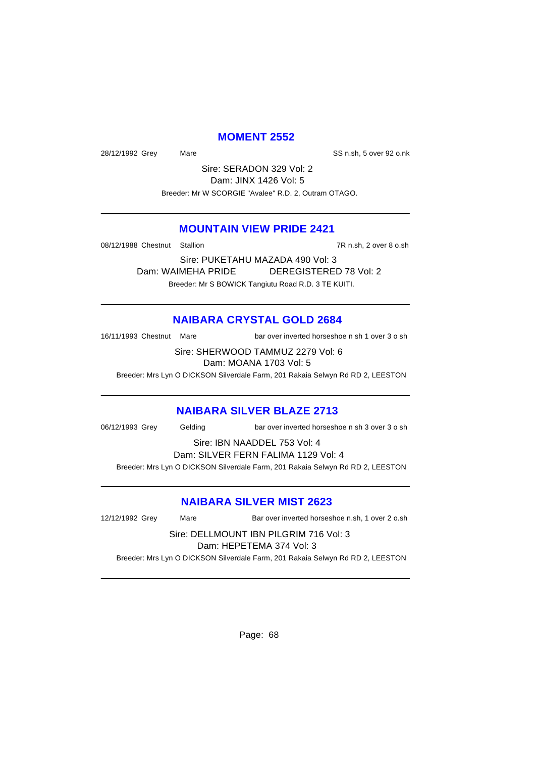## **MOMENT 2552**

28/12/1992 Grey Mare SS n.sh, 5 over 92 o.nk

Sire: SERADON 329 Vol: 2 Dam: JINX 1426 Vol: 5 Breeder: Mr W SCORGIE "Avalee" R.D. 2, Outram OTAGO.

# **MOUNTAIN VIEW PRIDE 2421**

08/12/1988 Chestnut Stallion 7R n.sh, 2 over 8 o.sh

Sire: PUKETAHU MAZADA 490 Vol: 3 Dam: WAIMEHA PRIDE DEREGISTERED 78 Vol: 2 Breeder: Mr S BOWICK Tangiutu Road R.D. 3 TE KUITI.

#### **NAIBARA CRYSTAL GOLD 2684**

16/11/1993 Chestnut Mare bar over inverted horseshoe n sh 1 over 3 o sh

Sire: SHERWOOD TAMMUZ 2279 Vol: 6 Dam: MOANA 1703 Vol: 5

Breeder: Mrs Lyn O DICKSON Silverdale Farm, 201 Rakaia Selwyn Rd RD 2, LEESTON

#### **NAIBARA SILVER BLAZE 2713**

06/12/1993 Grey Gelding bar over inverted horseshoe n sh 3 over 3 o sh

Sire: IBN NAADDEL 753 Vol: 4

Dam: SILVER FERN FALIMA 1129 Vol: 4

Breeder: Mrs Lyn O DICKSON Silverdale Farm, 201 Rakaia Selwyn Rd RD 2, LEESTON

#### **NAIBARA SILVER MIST 2623**

12/12/1992 Grey Mare Bar over inverted horseshoe n.sh, 1 over 2 o.sh

Sire: DELLMOUNT IBN PILGRIM 716 Vol: 3 Dam: HEPETEMA 374 Vol: 3

Breeder: Mrs Lyn O DICKSON Silverdale Farm, 201 Rakaia Selwyn Rd RD 2, LEESTON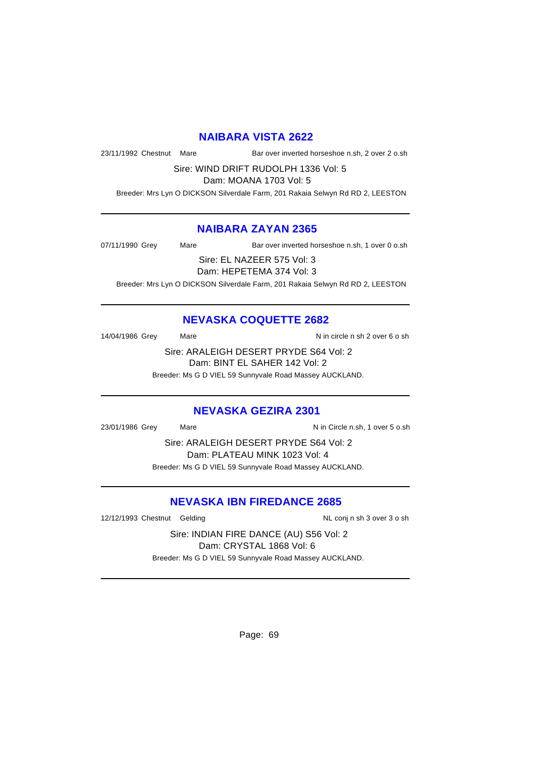# **NAIBARA VISTA 2622**

23/11/1992 Chestnut Mare Bar over inverted horseshoe n.sh, 2 over 2 o.sh

Sire: WIND DRIFT RUDOLPH 1336 Vol: 5

Dam: MOANA 1703 Vol: 5

Breeder: Mrs Lyn O DICKSON Silverdale Farm, 201 Rakaia Selwyn Rd RD 2, LEESTON

# **NAIBARA ZAYAN 2365**

07/11/1990 Grey Mare Bar over inverted horseshoe n.sh, 1 over 0 o.sh

Sire: EL NAZEER 575 Vol: 3

Dam: HEPETEMA 374 Vol: 3

Breeder: Mrs Lyn O DICKSON Silverdale Farm, 201 Rakaia Selwyn Rd RD 2, LEESTON

# **NEVASKA COQUETTE 2682**

14/04/1986 Grey Mare Mare N in circle n sh 2 over 6 o sh

Sire: ARALEIGH DESERT PRYDE S64 Vol: 2 Dam: BINT EL SAHER 142 Vol: 2

Breeder: Ms G D VIEL 59 Sunnyvale Road Massey AUCKLAND.

#### **NEVASKA GEZIRA 2301**

23/01/1986 Grey Mare Mare Nin Circle n.sh, 1 over 5 o.sh

Sire: ARALEIGH DESERT PRYDE S64 Vol: 2 Dam: PLATEAU MINK 1023 Vol: 4 Breeder: Ms G D VIEL 59 Sunnyvale Road Massey AUCKLAND.

# **NEVASKA IBN FIREDANCE 2685**

12/12/1993 Chestnut Gelding NL conj n sh 3 over 3 o sh

Sire: INDIAN FIRE DANCE (AU) S56 Vol: 2 Dam: CRYSTAL 1868 Vol: 6 Breeder: Ms G D VIEL 59 Sunnyvale Road Massey AUCKLAND.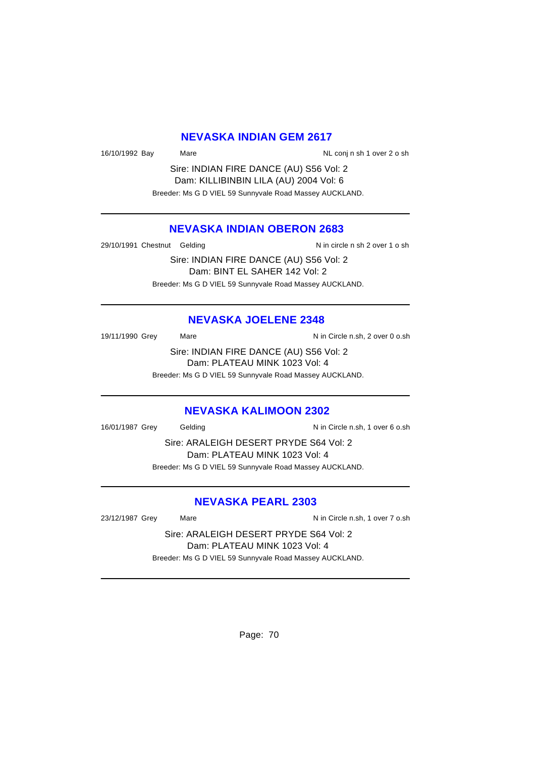#### **NEVASKA INDIAN GEM 2617**

16/10/1992 Bay Mare Number 2 o sh NL conj n sh 1 over 2 o sh

Sire: INDIAN FIRE DANCE (AU) S56 Vol: 2 Dam: KILLIBINBIN LILA (AU) 2004 Vol: 6 Breeder: Ms G D VIEL 59 Sunnyvale Road Massey AUCKLAND.

# **NEVASKA INDIAN OBERON 2683**

29/10/1991 Chestnut Gelding Nine and N in circle n sh 2 over 1 o sh

Sire: INDIAN FIRE DANCE (AU) S56 Vol: 2 Dam: BINT EL SAHER 142 Vol: 2 Breeder: Ms G D VIEL 59 Sunnyvale Road Massey AUCKLAND.

#### **NEVASKA JOELENE 2348**

19/11/1990 Grey Mare Mare N in Circle n.sh, 2 over 0 o.sh

Sire: INDIAN FIRE DANCE (AU) S56 Vol: 2 Dam: PLATEAU MINK 1023 Vol: 4

Breeder: Ms G D VIEL 59 Sunnyvale Road Massey AUCKLAND.

#### **NEVASKA KALIMOON 2302**

16/01/1987 Grey Gelding Communication N in Circle n.sh, 1 over 6 o.sh

Sire: ARALEIGH DESERT PRYDE S64 Vol: 2 Dam: PLATEAU MINK 1023 Vol: 4 Breeder: Ms G D VIEL 59 Sunnyvale Road Massey AUCKLAND.

#### **NEVASKA PEARL 2303**

23/12/1987 Grey Mare Mare Nin Circle n.sh, 1 over 7 o.sh

Sire: ARALEIGH DESERT PRYDE S64 Vol: 2 Dam: PLATEAU MINK 1023 Vol: 4 Breeder: Ms G D VIEL 59 Sunnyvale Road Massey AUCKLAND.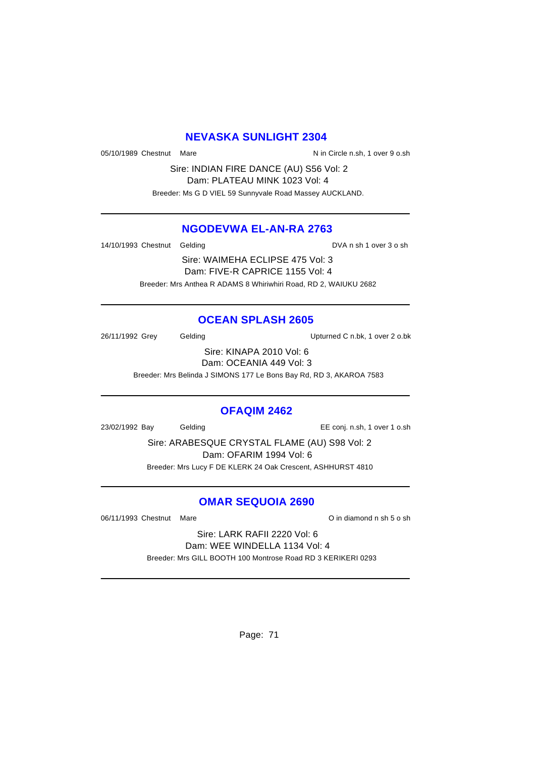#### **NEVASKA SUNLIGHT 2304**

05/10/1989 Chestnut Mare  $N$  in Circle n.sh, 1 over 9 o.sh

Sire: INDIAN FIRE DANCE (AU) S56 Vol: 2 Dam: PLATEAU MINK 1023 Vol: 4 Breeder: Ms G D VIEL 59 Sunnyvale Road Massey AUCKLAND.

#### **NGODEVWA EL-AN-RA 2763**

14/10/1993 Chestnut Gelding and DVA n sh 1 over 3 o sh

Sire: WAIMEHA ECLIPSE 475 Vol: 3 Dam: FIVE-R CAPRICE 1155 Vol: 4 Breeder: Mrs Anthea R ADAMS 8 Whiriwhiri Road, RD 2, WAIUKU 2682

# **OCEAN SPLASH 2605**

26/11/1992 Grey Gelding Upturned C n.bk, 1 over 2 o.bk

Sire: KINAPA 2010 Vol: 6 Dam: OCEANIA 449 Vol: 3

Breeder: Mrs Belinda J SIMONS 177 Le Bons Bay Rd, RD 3, AKAROA 7583

#### **OFAQIM 2462**

23/02/1992 Bay Gelding EE conj. n.sh, 1 over 1 o.sh

Sire: ARABESQUE CRYSTAL FLAME (AU) S98 Vol: 2 Dam: OFARIM 1994 Vol: 6 Breeder: Mrs Lucy F DE KLERK 24 Oak Crescent, ASHHURST 4810

# **OMAR SEQUOIA 2690**

06/11/1993 Chestnut Mare **O in diamond n** sh 5 o sh

Sire: LARK RAFII 2220 Vol: 6 Dam: WEE WINDELLA 1134 Vol: 4 Breeder: Mrs GILL BOOTH 100 Montrose Road RD 3 KERIKERI 0293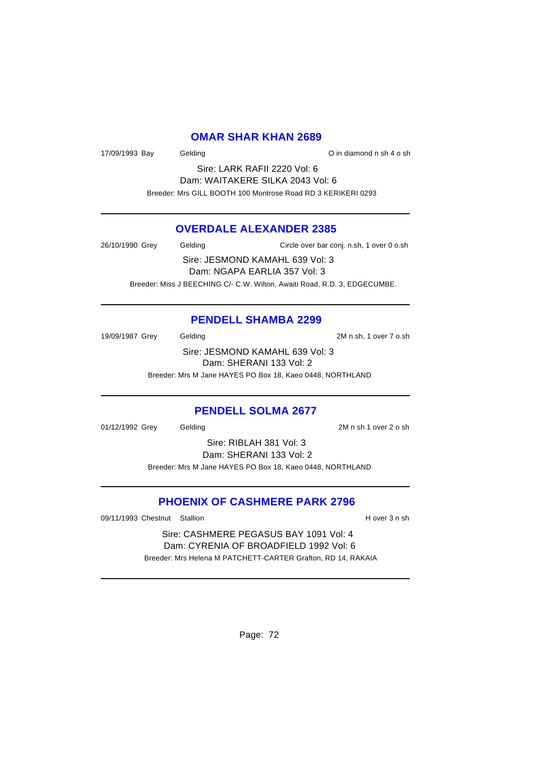#### **OMAR SHAR KHAN 2689**

17/09/1993 Bay Gelding Communication C in diamond n sh 4 o sh

Sire: LARK RAFII 2220 Vol: 6 Dam: WAITAKERE SILKA 2043 Vol: 6 Breeder: Mrs GILL BOOTH 100 Montrose Road RD 3 KERIKERI 0293

# **OVERDALE ALEXANDER 2385**

26/10/1990 Grey Gelding Circle over bar conj. n.sh, 1 over 0 o.sh Sire: JESMOND KAMAHL 639 Vol: 3 Dam: NGAPA EARLIA 357 Vol: 3 Breeder: Miss J BEECHING C/- C.W. Wilton, Awaiti Road, R.D. 3, EDGECUMBE.

# **PENDELL SHAMBA 2299**

19/09/1987 Grey Gelding 2M n.sh, 1 over 7 o.sh Sire: JESMOND KAMAHL 639 Vol: 3 Dam: SHERANI 133 Vol: 2 Breeder: Mrs M Jane HAYES PO Box 18, Kaeo 0448, NORTHLAND

#### **PENDELL SOLMA 2677**

01/12/1992 Grey Gelding 2M n sh 1 over 2 o sh

Sire: RIBLAH 381 Vol: 3 Dam: SHERANI 133 Vol: 2 Breeder: Mrs M Jane HAYES PO Box 18, Kaeo 0448, NORTHLAND

# **PHOENIX OF CASHMERE PARK 2796**

09/11/1993 Chestnut Stallion **H** over 3 n sh

Sire: CASHMERE PEGASUS BAY 1091 Vol: 4 Dam: CYRENIA OF BROADFIELD 1992 Vol: 6 Breeder: Mrs Helena M PATCHETT-CARTER Grafton, RD 14, RAKAIA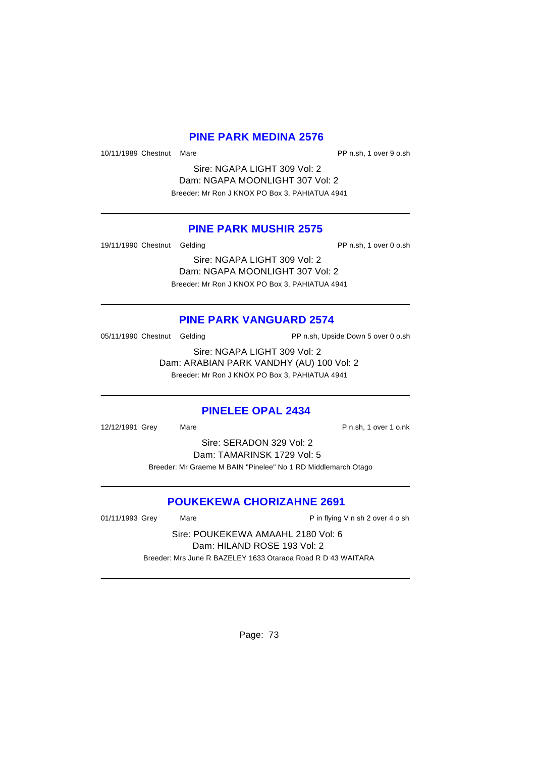#### **PINE PARK MEDINA 2576**

10/11/1989 Chestnut Mare PP n.sh, 1 over 9 o.sh

Sire: NGAPA LIGHT 309 Vol: 2 Dam: NGAPA MOONLIGHT 307 Vol: 2 Breeder: Mr Ron J KNOX PO Box 3, PAHIATUA 4941

# **PINE PARK MUSHIR 2575**

19/11/1990 Chestnut Gelding **PP n.sh, 1** over 0 o.sh

Sire: NGAPA LIGHT 309 Vol: 2 Dam: NGAPA MOONLIGHT 307 Vol: 2 Breeder: Mr Ron J KNOX PO Box 3, PAHIATUA 4941

# **PINE PARK VANGUARD 2574**

05/11/1990 Chestnut Gelding **PP n.sh, Upside Down 5 over 0 o.sh** 

Sire: NGAPA LIGHT 309 Vol: 2 Dam: ARABIAN PARK VANDHY (AU) 100 Vol: 2 Breeder: Mr Ron J KNOX PO Box 3, PAHIATUA 4941

# **PINELEE OPAL 2434**

12/12/1991 Grey Mare Mare P n.sh, 1 over 1 o.nk

Sire: SERADON 329 Vol: 2 Dam: TAMARINSK 1729 Vol: 5 Breeder: Mr Graeme M BAIN "Pinelee" No 1 RD Middlemarch Otago

# **POUKEKEWA CHORIZAHNE 2691**

01/11/1993 Grey Mare **Mare** Pin flying V n sh 2 over 4 o sh

Sire: POUKEKEWA AMAAHL 2180 Vol: 6 Dam: HILAND ROSE 193 Vol: 2 Breeder: Mrs June R BAZELEY 1633 Otaraoa Road R D 43 WAITARA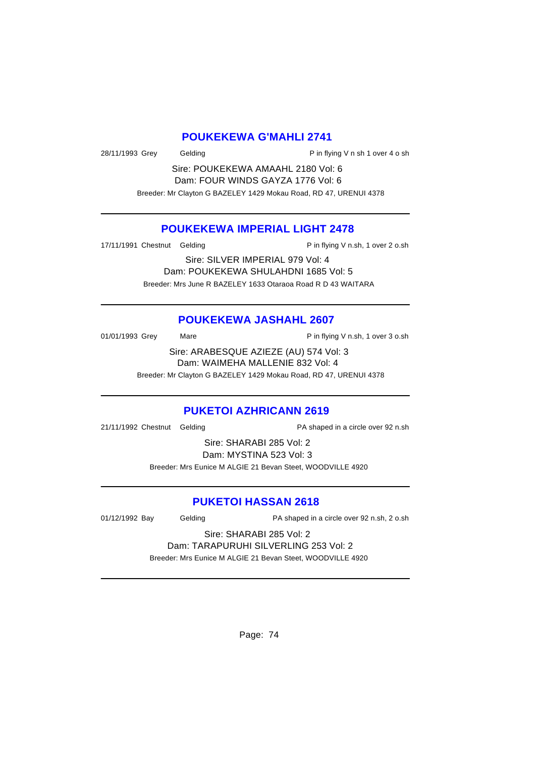#### **POUKEKEWA G'MAHLI 2741**

28/11/1993 Grey Gelding Pin flying V n sh 1 over 4 o sh

Sire: POUKEKEWA AMAAHL 2180 Vol: 6 Dam: FOUR WINDS GAYZA 1776 Vol: 6 Breeder: Mr Clayton G BAZELEY 1429 Mokau Road, RD 47, URENUI 4378

# **POUKEKEWA IMPERIAL LIGHT 2478**

17/11/1991 Chestnut Gelding **P** in flying V n.sh, 1 over 2 o.sh

Sire: SILVER IMPERIAL 979 Vol: 4 Dam: POUKEKEWA SHULAHDNI 1685 Vol: 5 Breeder: Mrs June R BAZELEY 1633 Otaraoa Road R D 43 WAITARA

# **POUKEKEWA JASHAHL 2607**

 $01/01/1993$  Grey Mare  $P$  in flying V n.sh, 1 over 3 o.sh

Sire: ARABESQUE AZIEZE (AU) 574 Vol: 3 Dam: WAIMEHA MALLENIE 832 Vol: 4 Breeder: Mr Clayton G BAZELEY 1429 Mokau Road, RD 47, URENUI 4378

#### **PUKETOI AZHRICANN 2619**

21/11/1992 Chestnut Gelding PA shaped in a circle over 92 n.sh

Sire: SHARABI 285 Vol: 2 Dam: MYSTINA 523 Vol: 3 Breeder: Mrs Eunice M ALGIE 21 Bevan Steet, WOODVILLE 4920

# **PUKETOI HASSAN 2618**

01/12/1992 Bay Gelding PA shaped in a circle over 92 n.sh, 2 o.sh

Sire: SHARABI 285 Vol: 2 Dam: TARAPURUHI SILVERLING 253 Vol: 2

Breeder: Mrs Eunice M ALGIE 21 Bevan Steet, WOODVILLE 4920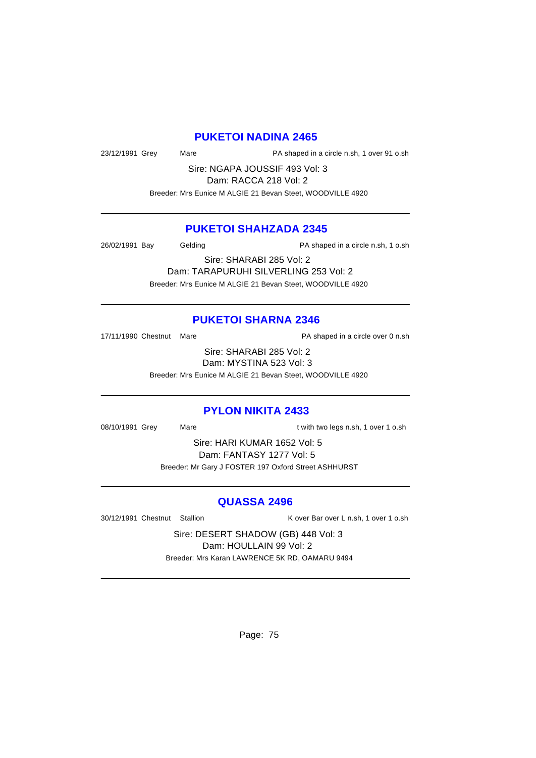#### **PUKETOI NADINA 2465**

23/12/1991 Grey Mare PA shaped in a circle n.sh, 1 over 91 o.sh

Sire: NGAPA JOUSSIF 493 Vol: 3 Dam: RACCA 218 Vol: 2

Breeder: Mrs Eunice M ALGIE 21 Bevan Steet, WOODVILLE 4920

# **PUKETOI SHAHZADA 2345**

26/02/1991 Bay Gelding Casset and Ranged in a circle n.sh, 1 o.sh

Sire: SHARABI 285 Vol: 2 Dam: TARAPURUHI SILVERLING 253 Vol: 2 Breeder: Mrs Eunice M ALGIE 21 Bevan Steet, WOODVILLE 4920

#### **PUKETOI SHARNA 2346**

17/11/1990 Chestnut Mare **PA** shaped in a circle over 0 n.sh

Sire: SHARABI 285 Vol: 2 Dam: MYSTINA 523 Vol: 3

Breeder: Mrs Eunice M ALGIE 21 Bevan Steet, WOODVILLE 4920

# **PYLON NIKITA 2433**

08/10/1991 Grey Mare Mare t with two legs n.sh, 1 over 1 o.sh

Sire: HARI KUMAR 1652 Vol: 5 Dam: FANTASY 1277 Vol: 5 Breeder: Mr Gary J FOSTER 197 Oxford Street ASHHURST

#### **QUASSA 2496**

30/12/1991 Chestnut Stallion K over Bar over L n.sh, 1 over 1 o.sh

Sire: DESERT SHADOW (GB) 448 Vol: 3 Dam: HOULLAIN 99 Vol: 2 Breeder: Mrs Karan LAWRENCE 5K RD, OAMARU 9494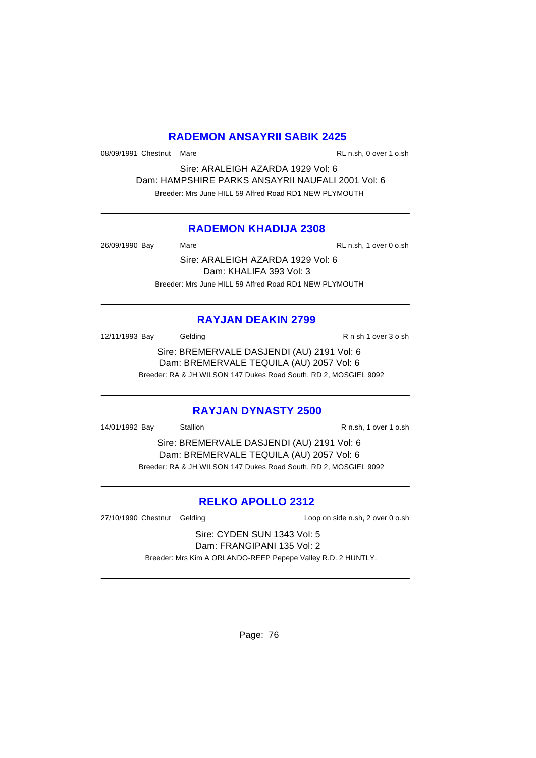# **RADEMON ANSAYRII SABIK 2425**

08/09/1991 Chestnut Mare **RL n.sh, 0 over 1 o.sh** 

Sire: ARALEIGH AZARDA 1929 Vol: 6 Dam: HAMPSHIRE PARKS ANSAYRII NAUFALI 2001 Vol: 6 Breeder: Mrs June HILL 59 Alfred Road RD1 NEW PLYMOUTH

# **RADEMON KHADIJA 2308**

26/09/1990 Bay Mare RL n.sh, 1 over 0 o.sh

Sire: ARALEIGH AZARDA 1929 Vol: 6 Dam: KHALIFA 393 Vol: 3 Breeder: Mrs June HILL 59 Alfred Road RD1 NEW PLYMOUTH

# **RAYJAN DEAKIN 2799**

12/11/1993 Bay Gelding Case Contract R n sh 1 over 3 o sh

Sire: BREMERVALE DASJENDI (AU) 2191 Vol: 6 Dam: BREMERVALE TEQUILA (AU) 2057 Vol: 6 Breeder: RA & JH WILSON 147 Dukes Road South, RD 2, MOSGIEL 9092

# **RAYJAN DYNASTY 2500**

14/01/1992 Bay Stallion R n.sh, 1 over 1 o.sh

Sire: BREMERVALE DASJENDI (AU) 2191 Vol: 6 Dam: BREMERVALE TEQUILA (AU) 2057 Vol: 6 Breeder: RA & JH WILSON 147 Dukes Road South, RD 2, MOSGIEL 9092

# **RELKO APOLLO 2312**

27/10/1990 Chestnut Gelding Loop on side n.sh, 2 over 0 o.sh

Sire: CYDEN SUN 1343 Vol: 5 Dam: FRANGIPANI 135 Vol: 2

Breeder: Mrs Kim A ORLANDO-REEP Pepepe Valley R.D. 2 HUNTLY.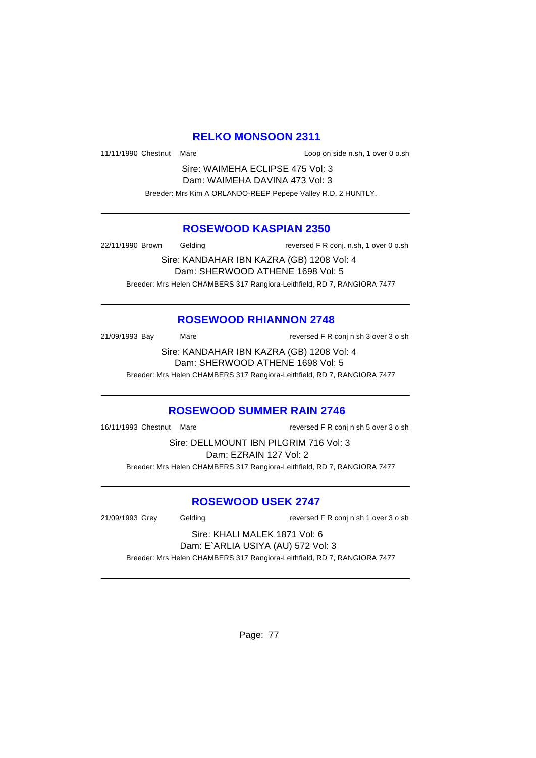# **RELKO MONSOON 2311**

11/11/1990 Chestnut Mare Loop on side n.sh, 1 over 0 o.sh

Sire: WAIMEHA ECLIPSE 475 Vol: 3 Dam: WAIMEHA DAVINA 473 Vol: 3 Breeder: Mrs Kim A ORLANDO-REEP Pepepe Valley R.D. 2 HUNTLY.

#### **ROSEWOOD KASPIAN 2350**

22/11/1990 Brown Gelding reversed F R conj. n.sh, 1 over 0 o.sh

Sire: KANDAHAR IBN KAZRA (GB) 1208 Vol: 4 Dam: SHERWOOD ATHENE 1698 Vol: 5 Breeder: Mrs Helen CHAMBERS 317 Rangiora-Leithfield, RD 7, RANGIORA 7477

# **ROSEWOOD RHIANNON 2748**

21/09/1993 Bay Mare reversed F R conj n sh 3 over 3 o sh

Sire: KANDAHAR IBN KAZRA (GB) 1208 Vol: 4 Dam: SHERWOOD ATHENE 1698 Vol: 5

Breeder: Mrs Helen CHAMBERS 317 Rangiora-Leithfield, RD 7, RANGIORA 7477

#### **ROSEWOOD SUMMER RAIN 2746**

16/11/1993 Chestnut Mare reversed F R conj n sh 5 over 3 o sh

Sire: DELLMOUNT IBN PILGRIM 716 Vol: 3 Dam: EZRAIN 127 Vol: 2 Breeder: Mrs Helen CHAMBERS 317 Rangiora-Leithfield, RD 7, RANGIORA 7477

# **ROSEWOOD USEK 2747**

21/09/1993 Grey Gelding reversed F R conj n sh 1 over 3 o sh

#### Sire: KHALI MALEK 1871 Vol: 6 Dam: E`ARLIA USIYA (AU) 572 Vol: 3

Breeder: Mrs Helen CHAMBERS 317 Rangiora-Leithfield, RD 7, RANGIORA 7477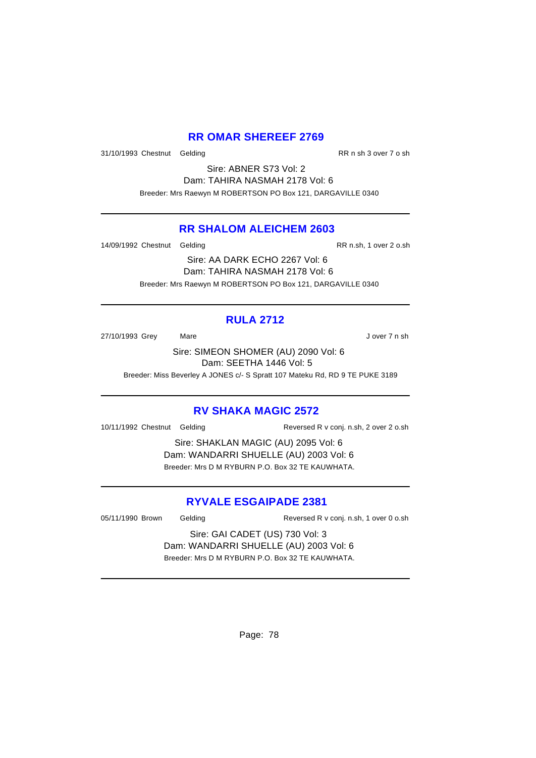# **RR OMAR SHEREEF 2769**

31/10/1993 Chestnut Gelding RR n sh 3 over 7 o sh

Sire: ABNER S73 Vol: 2 Dam: TAHIRA NASMAH 2178 Vol: 6 Breeder: Mrs Raewyn M ROBERTSON PO Box 121, DARGAVILLE 0340

# **RR SHALOM ALEICHEM 2603**

14/09/1992 Chestnut Gelding RR n.sh, 1 over 2 o.sh

Sire: AA DARK ECHO 2267 Vol: 6 Dam: TAHIRA NASMAH 2178 Vol: 6 Breeder: Mrs Raewyn M ROBERTSON PO Box 121, DARGAVILLE 0340

# **RULA 2712**

27/10/1993 Grey Mare Mare J over 7 n sh

Sire: SIMEON SHOMER (AU) 2090 Vol: 6 Dam: SEETHA 1446 Vol: 5

Breeder: Miss Beverley A JONES c/- S Spratt 107 Mateku Rd, RD 9 TE PUKE 3189

# **RV SHAKA MAGIC 2572**

10/11/1992 Chestnut Gelding Reversed R v conj. n.sh, 2 over 2 o.sh

Sire: SHAKLAN MAGIC (AU) 2095 Vol: 6 Dam: WANDARRI SHUELLE (AU) 2003 Vol: 6 Breeder: Mrs D M RYBURN P.O. Box 32 TE KAUWHATA.

# **RYVALE ESGAIPADE 2381**

05/11/1990 Brown Gelding Reversed R v conj. n.sh, 1 over 0 o.sh

Sire: GAI CADET (US) 730 Vol: 3 Dam: WANDARRI SHUELLE (AU) 2003 Vol: 6 Breeder: Mrs D M RYBURN P.O. Box 32 TE KAUWHATA.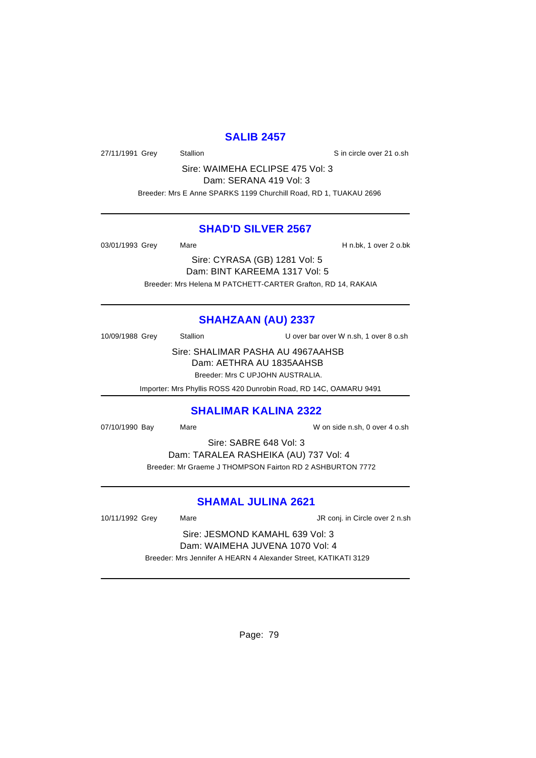# **SALIB 2457**

27/11/1991 Grey Stallion Stallion State State State State State State State State State State State State State

Sire: WAIMEHA ECLIPSE 475 Vol: 3 Dam: SERANA 419 Vol: 3

Breeder: Mrs E Anne SPARKS 1199 Churchill Road, RD 1, TUAKAU 2696

#### **SHAD'D SILVER 2567**

03/01/1993 Grey Mare Mare H n.bk, 1 over 2 o.bk

Sire: CYRASA (GB) 1281 Vol: 5 Dam: BINT KAREEMA 1317 Vol: 5 Breeder: Mrs Helena M PATCHETT-CARTER Grafton, RD 14, RAKAIA

# **SHAHZAAN (AU) 2337**

10/09/1988 Grey Stallion U over bar over W n.sh, 1 over 8 o.sh

Sire: SHALIMAR PASHA AU 4967AAHSB Dam: AETHRA AU 1835AAHSB Breeder: Mrs C UPJOHN AUSTRALIA.

Importer: Mrs Phyllis ROSS 420 Dunrobin Road, RD 14C, OAMARU 9491

#### **SHALIMAR KALINA 2322**

07/10/1990 Bay Mare Mare W on side n.sh, 0 over 4 o.sh

Sire: SABRE 648 Vol: 3

Dam: TARALEA RASHEIKA (AU) 737 Vol: 4 Breeder: Mr Graeme J THOMPSON Fairton RD 2 ASHBURTON 7772

# **SHAMAL JULINA 2621**

10/11/1992 Grey Mare Mare JR conj. in Circle over 2 n.sh

Sire: JESMOND KAMAHL 639 Vol: 3 Dam: WAIMEHA JUVENA 1070 Vol: 4 Breeder: Mrs Jennifer A HEARN 4 Alexander Street, KATIKATI 3129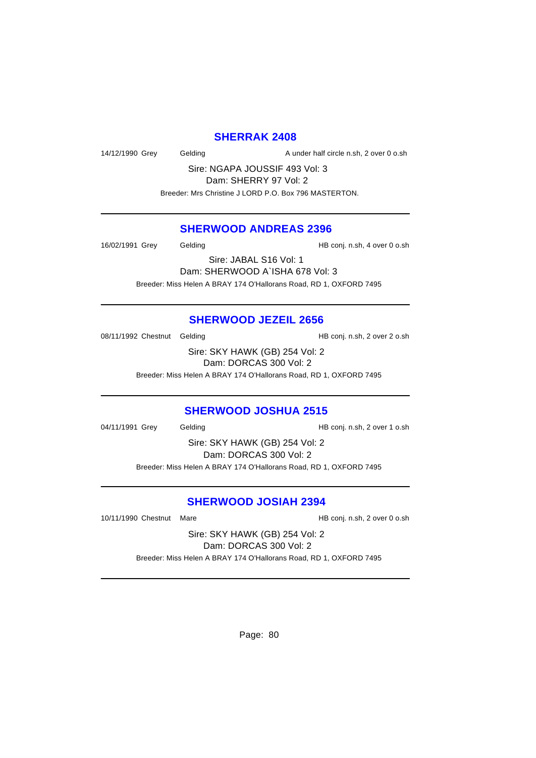#### **SHERRAK 2408**

14/12/1990 Grey Gelding Cash A under half circle n.sh, 2 over 0 o.sh

Sire: NGAPA JOUSSIF 493 Vol: 3 Dam: SHERRY 97 Vol: 2 Breeder: Mrs Christine J LORD P.O. Box 796 MASTERTON.

# **SHERWOOD ANDREAS 2396**

16/02/1991 Grey Gelding Gelding HB conj. n.sh, 4 over 0 o.sh

Sire: JABAL S16 Vol: 1 Dam: SHERWOOD A`ISHA 678 Vol: 3 Breeder: Miss Helen A BRAY 174 O'Hallorans Road, RD 1, OXFORD 7495

# **SHERWOOD JEZEIL 2656**

08/11/1992 Chestnut Gelding The State of HB conj. n.sh, 2 over 2 o.sh

Sire: SKY HAWK (GB) 254 Vol: 2 Dam: DORCAS 300 Vol: 2

Breeder: Miss Helen A BRAY 174 O'Hallorans Road, RD 1, OXFORD 7495

# **SHERWOOD JOSHUA 2515**

04/11/1991 Grey Gelding Gelding HB conj. n.sh, 2 over 1 o.sh

Sire: SKY HAWK (GB) 254 Vol: 2 Dam: DORCAS 300 Vol: 2 Breeder: Miss Helen A BRAY 174 O'Hallorans Road, RD 1, OXFORD 7495

#### **SHERWOOD JOSIAH 2394**

10/11/1990 Chestnut Mare **HB** conj. n.sh, 2 over 0 o.sh

Sire: SKY HAWK (GB) 254 Vol: 2 Dam: DORCAS 300 Vol: 2 Breeder: Miss Helen A BRAY 174 O'Hallorans Road, RD 1, OXFORD 7495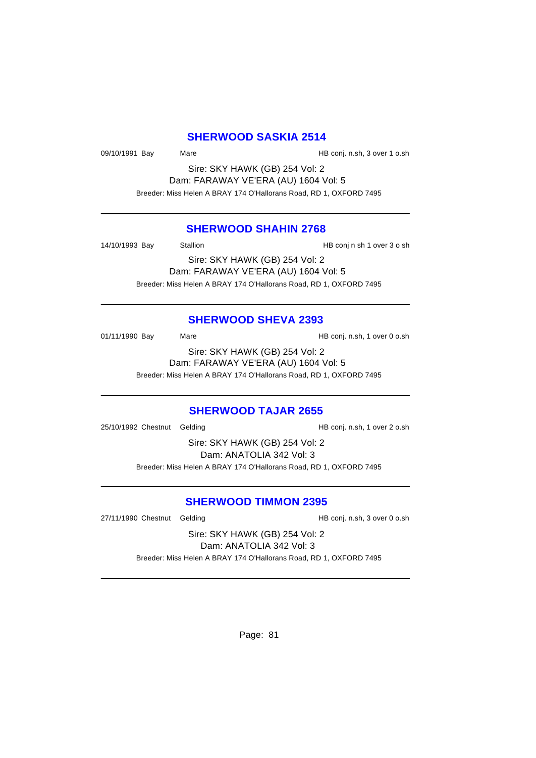#### **SHERWOOD SASKIA 2514**

09/10/1991 Bay Mare Mare HB conj. n.sh, 3 over 1 o.sh

Sire: SKY HAWK (GB) 254 Vol: 2 Dam: FARAWAY VE'ERA (AU) 1604 Vol: 5 Breeder: Miss Helen A BRAY 174 O'Hallorans Road, RD 1, OXFORD 7495

#### **SHERWOOD SHAHIN 2768**

14/10/1993 Bay Stallion Stallion Stallion HB conj n sh 1 over 3 o sh

Sire: SKY HAWK (GB) 254 Vol: 2 Dam: FARAWAY VE'ERA (AU) 1604 Vol: 5 Breeder: Miss Helen A BRAY 174 O'Hallorans Road, RD 1, OXFORD 7495

# **SHERWOOD SHEVA 2393**

01/11/1990 Bay Mare Mare HB conj. n.sh, 1 over 0 o.sh

Sire: SKY HAWK (GB) 254 Vol: 2 Dam: FARAWAY VE'ERA (AU) 1604 Vol: 5 Breeder: Miss Helen A BRAY 174 O'Hallorans Road, RD 1, OXFORD 7495

# **SHERWOOD TAJAR 2655**

25/10/1992 Chestnut Gelding HB conj. n.sh, 1 over 2 o.sh

Sire: SKY HAWK (GB) 254 Vol: 2 Dam: ANATOLIA 342 Vol: 3 Breeder: Miss Helen A BRAY 174 O'Hallorans Road, RD 1, OXFORD 7495

#### **SHERWOOD TIMMON 2395**

27/11/1990 Chestnut Gelding extending HB conj. n.sh, 3 over 0 o.sh

Sire: SKY HAWK (GB) 254 Vol: 2 Dam: ANATOLIA 342 Vol: 3

Breeder: Miss Helen A BRAY 174 O'Hallorans Road, RD 1, OXFORD 7495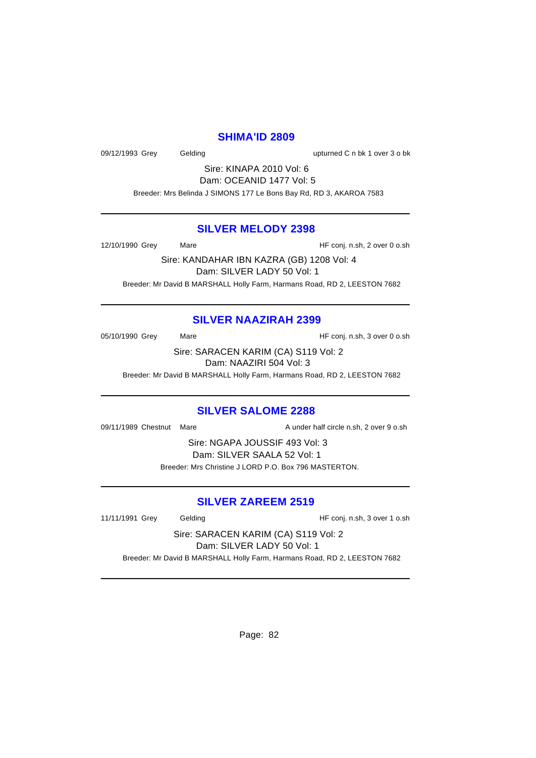#### **SHIMA'ID 2809**

09/12/1993 Grey Gelding Construction of the Upturned C n bk 1 over 3 o bk

Sire: KINAPA 2010 Vol: 6 Dam: OCEANID 1477 Vol: 5

Breeder: Mrs Belinda J SIMONS 177 Le Bons Bay Rd, RD 3, AKAROA 7583

#### **SILVER MELODY 2398**

12/10/1990 Grey Mare Mare HF conj. n.sh, 2 over 0 o.sh

Sire: KANDAHAR IBN KAZRA (GB) 1208 Vol: 4 Dam: SILVER LADY 50 Vol: 1 Breeder: Mr David B MARSHALL Holly Farm, Harmans Road, RD 2, LEESTON 7682

# **SILVER NAAZIRAH 2399**

05/10/1990 Grey Mare Mare HF conj. n.sh, 3 over 0 o.sh

Sire: SARACEN KARIM (CA) S119 Vol: 2 Dam: NAAZIRI 504 Vol: 3

Breeder: Mr David B MARSHALL Holly Farm, Harmans Road, RD 2, LEESTON 7682

# **SILVER SALOME 2288**

09/11/1989 Chestnut Mare A under half circle n.sh, 2 over 9 o.sh

Sire: NGAPA JOUSSIF 493 Vol: 3 Dam: SILVER SAALA 52 Vol: 1 Breeder: Mrs Christine J LORD P.O. Box 796 MASTERTON.

#### **SILVER ZAREEM 2519**

11/11/1991 Grey Gelding Gelding HF conj. n.sh, 3 over 1 o.sh

Sire: SARACEN KARIM (CA) S119 Vol: 2 Dam: SILVER LADY 50 Vol: 1

Breeder: Mr David B MARSHALL Holly Farm, Harmans Road, RD 2, LEESTON 7682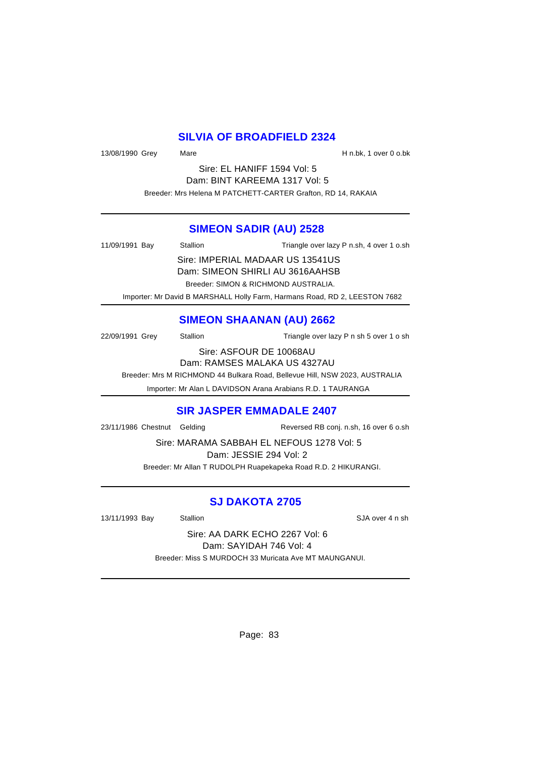# **SILVIA OF BROADFIELD 2324**

13/08/1990 Grey Mare Mare H n.bk, 1 over 0 o.bk

Sire: EL HANIFF 1594 Vol: 5 Dam: BINT KAREEMA 1317 Vol: 5 Breeder: Mrs Helena M PATCHETT-CARTER Grafton, RD 14, RAKAIA

#### **SIMEON SADIR (AU) 2528**

| 11/09/1991 Bay | Stallion                         | Triangle over lazy P n.sh, 4 over 1 o.sh                                   |
|----------------|----------------------------------|----------------------------------------------------------------------------|
|                | Sire: IMPERIAL MADAAR US 13541US |                                                                            |
|                |                                  | Dam: SIMEON SHIRLI AU 3616AAHSB                                            |
|                |                                  | Breeder: SIMON & RICHMOND AUSTRALIA.                                       |
|                |                                  | Importer: Mr David B MARSHALL Holly Farm, Harmans Road, RD 2, LEESTON 7682 |

# **SIMEON SHAANAN (AU) 2662**

22/09/1991 Grey Stallion Stallion Triangle over lazy P n sh 5 over 1 o sh

Sire: ASFOUR DE 10068AU

Dam: RAMSES MALAKA US 4327AU

Breeder: Mrs M RICHMOND 44 Bulkara Road, Bellevue Hill, NSW 2023, AUSTRALIA

Importer: Mr Alan L DAVIDSON Arana Arabians R.D. 1 TAURANGA

#### **SIR JASPER EMMADALE 2407**

23/11/1986 Chestnut Gelding Reversed RB conj. n.sh, 16 over 6 o.sh

Sire: MARAMA SABBAH EL NEFOUS 1278 Vol: 5

Dam: JESSIE 294 Vol: 2

Breeder: Mr Allan T RUDOLPH Ruapekapeka Road R.D. 2 HIKURANGI.

# **SJ DAKOTA 2705**

13/11/1993 Bay Stallion Stallion State State State State State State State State State State State State State

Sire: AA DARK ECHO 2267 Vol: 6 Dam: SAYIDAH 746 Vol: 4 Breeder: Miss S MURDOCH 33 Muricata Ave MT MAUNGANUI.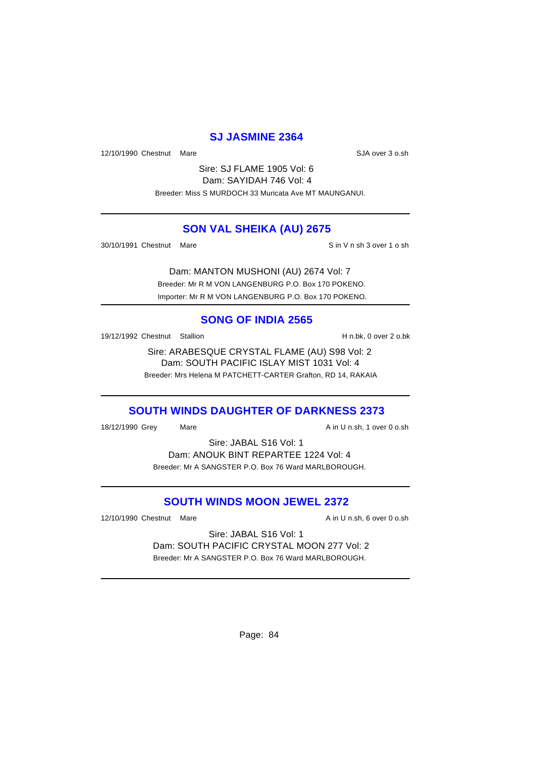# **SJ JASMINE 2364**

12/10/1990 Chestnut Mare SJA over 3 o.sh

Sire: SJ FLAME 1905 Vol: 6 Dam: SAYIDAH 746 Vol: 4 Breeder: Miss S MURDOCH 33 Muricata Ave MT MAUNGANUI.

# **SON VAL SHEIKA (AU) 2675**

30/10/1991 Chestnut Mare Sin V n sh 3 over 1 o sh

Dam: MANTON MUSHONI (AU) 2674 Vol: 7 Breeder: Mr R M VON LANGENBURG P.O. Box 170 POKENO. Importer: Mr R M VON LANGENBURG P.O. Box 170 POKENO.

# **SONG OF INDIA 2565**

19/12/1992 Chestnut Stallion **H** n.bk, 0 over 2 o.bk

Sire: ARABESQUE CRYSTAL FLAME (AU) S98 Vol: 2 Dam: SOUTH PACIFIC ISLAY MIST 1031 Vol: 4 Breeder: Mrs Helena M PATCHETT-CARTER Grafton, RD 14, RAKAIA

# **SOUTH WINDS DAUGHTER OF DARKNESS 2373**

18/12/1990 Grey Mare Mare A in U n.sh, 1 over 0 o.sh

Sire: JABAL S16 Vol: 1 Dam: ANOUK BINT REPARTEE 1224 Vol: 4 Breeder: Mr A SANGSTER P.O. Box 76 Ward MARLBOROUGH.

# **SOUTH WINDS MOON JEWEL 2372**

12/10/1990 Chestnut Mare **A in U n.sh, 6 over 0 o.sh** 

Sire: JABAL S16 Vol: 1 Dam: SOUTH PACIFIC CRYSTAL MOON 277 Vol: 2 Breeder: Mr A SANGSTER P.O. Box 76 Ward MARLBOROUGH.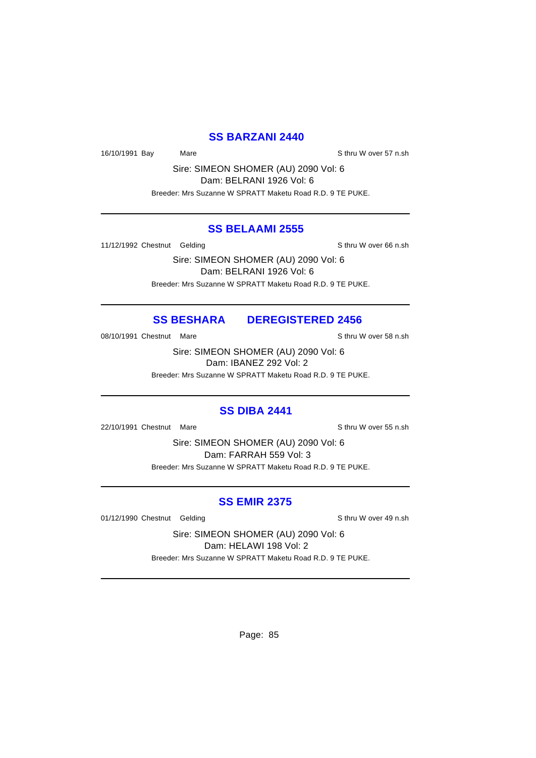# **SS BARZANI 2440**

16/10/1991 Bay Mare Mare Share Sthru W over 57 n.sh

Sire: SIMEON SHOMER (AU) 2090 Vol: 6 Dam: BELRANI 1926 Vol: 6 Breeder: Mrs Suzanne W SPRATT Maketu Road R.D. 9 TE PUKE.

#### **SS BELAAMI 2555**

11/12/1992 Chestnut Gelding Sthru W over 66 n.sh

Sire: SIMEON SHOMER (AU) 2090 Vol: 6 Dam: BELRANI 1926 Vol: 6 Breeder: Mrs Suzanne W SPRATT Maketu Road R.D. 9 TE PUKE.

# **SS BESHARA DEREGISTERED 2456**

08/10/1991 Chestnut Mare S thru W over 58 n.sh

Sire: SIMEON SHOMER (AU) 2090 Vol: 6 Dam: IBANEZ 292 Vol: 2

Breeder: Mrs Suzanne W SPRATT Maketu Road R.D. 9 TE PUKE.

#### **SS DIBA 2441**

22/10/1991 Chestnut Mare Sthru W over 55 n.sh

Sire: SIMEON SHOMER (AU) 2090 Vol: 6 Dam: FARRAH 559 Vol: 3 Breeder: Mrs Suzanne W SPRATT Maketu Road R.D. 9 TE PUKE.

# **SS EMIR 2375**

01/12/1990 Chestnut Gelding Sthru W over 49 n.sh

Sire: SIMEON SHOMER (AU) 2090 Vol: 6 Dam: HELAWI 198 Vol: 2

Breeder: Mrs Suzanne W SPRATT Maketu Road R.D. 9 TE PUKE.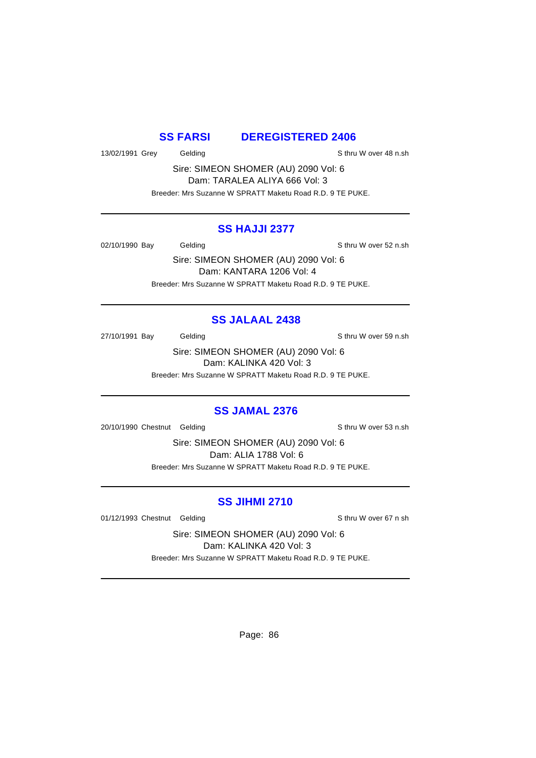#### **SS FARSI DEREGISTERED 2406**

13/02/1991 Grey Gelding School Charles Sthru W over 48 n.sh

Sire: SIMEON SHOMER (AU) 2090 Vol: 6 Dam: TARALEA ALIYA 666 Vol: 3 Breeder: Mrs Suzanne W SPRATT Maketu Road R.D. 9 TE PUKE.

#### **SS HAJJI 2377**

02/10/1990 Bay Gelding Gelding Sthru W over 52 n.sh

Sire: SIMEON SHOMER (AU) 2090 Vol: 6 Dam: KANTARA 1206 Vol: 4 Breeder: Mrs Suzanne W SPRATT Maketu Road R.D. 9 TE PUKE.

# **SS JALAAL 2438**

27/10/1991 Bay Gelding Gelding Sthru W over 59 n.sh

Sire: SIMEON SHOMER (AU) 2090 Vol: 6 Dam: KALINKA 420 Vol: 3 Breeder: Mrs Suzanne W SPRATT Maketu Road R.D. 9 TE PUKE.

#### **SS JAMAL 2376**

20/10/1990 Chestnut Gelding Sthru W over 53 n.sh

Sire: SIMEON SHOMER (AU) 2090 Vol: 6 Dam: ALIA 1788 Vol: 6 Breeder: Mrs Suzanne W SPRATT Maketu Road R.D. 9 TE PUKE.

# **SS JIHMI 2710**

01/12/1993 Chestnut Gelding Sthru W over 67 n sh

Sire: SIMEON SHOMER (AU) 2090 Vol: 6 Dam: KALINKA 420 Vol: 3 Breeder: Mrs Suzanne W SPRATT Maketu Road R.D. 9 TE PUKE.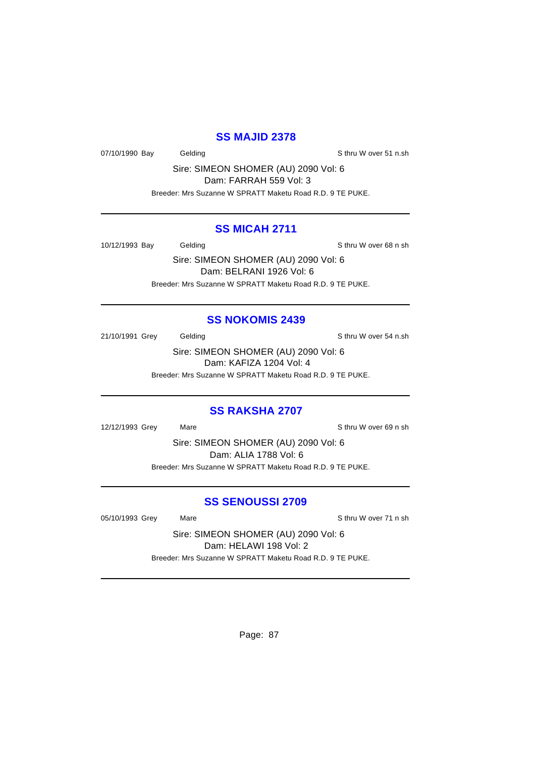# **SS MAJID 2378**

07/10/1990 Bay Gelding Gelding Sthru W over 51 n.sh

Sire: SIMEON SHOMER (AU) 2090 Vol: 6 Dam: FARRAH 559 Vol: 3

Breeder: Mrs Suzanne W SPRATT Maketu Road R.D. 9 TE PUKE.

#### **SS MICAH 2711**

10/12/1993 Bay Gelding Schrift Schrift Stevens Stephen Stephen Stephen Stephen Stephen Stephen Stephen Stephen Stephen Stephen Stephen Stephen Stephen Stephen Stephen Stephen Stephen Stephen Stephen Stephen Stephen Stephen

Sire: SIMEON SHOMER (AU) 2090 Vol: 6 Dam: BELRANI 1926 Vol: 6 Breeder: Mrs Suzanne W SPRATT Maketu Road R.D. 9 TE PUKE.

# **SS NOKOMIS 2439**

21/10/1991 Grey Gelding Gelding Sthru W over 54 n.sh

Sire: SIMEON SHOMER (AU) 2090 Vol: 6 Dam: KAFIZA 1204 Vol: 4 Breeder: Mrs Suzanne W SPRATT Maketu Road R.D. 9 TE PUKE.

#### **SS RAKSHA 2707**

12/12/1993 Grey Mare Sthru W over 69 n sh

Sire: SIMEON SHOMER (AU) 2090 Vol: 6 Dam: ALIA 1788 Vol: 6 Breeder: Mrs Suzanne W SPRATT Maketu Road R.D. 9 TE PUKE.

#### **SS SENOUSSI 2709**

05/10/1993 Grey Mare Sthru W over 71 n sh

Sire: SIMEON SHOMER (AU) 2090 Vol: 6 Dam: HELAWI 198 Vol: 2 Breeder: Mrs Suzanne W SPRATT Maketu Road R.D. 9 TE PUKE.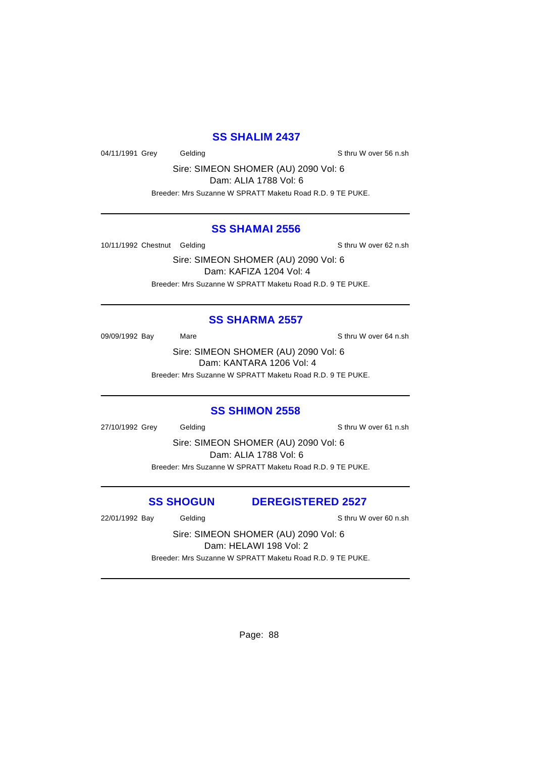#### **SS SHALIM 2437**

04/11/1991 Grey Gelding Gelding Schritten Sthru W over 56 n.sh

Sire: SIMEON SHOMER (AU) 2090 Vol: 6 Dam: ALIA 1788 Vol: 6

Breeder: Mrs Suzanne W SPRATT Maketu Road R.D. 9 TE PUKE.

#### **SS SHAMAI 2556**

10/11/1992 Chestnut Gelding Sthru W over 62 n.sh

Sire: SIMEON SHOMER (AU) 2090 Vol: 6 Dam: KAFIZA 1204 Vol: 4 Breeder: Mrs Suzanne W SPRATT Maketu Road R.D. 9 TE PUKE.

# **SS SHARMA 2557**

09/09/1992 Bay Mare Mare Share S thru W over 64 n.sh

Sire: SIMEON SHOMER (AU) 2090 Vol: 6 Dam: KANTARA 1206 Vol: 4 Breeder: Mrs Suzanne W SPRATT Maketu Road R.D. 9 TE PUKE.

#### **SS SHIMON 2558**

27/10/1992 Grey Gelding Sthru W over 61 n.sh

Sire: SIMEON SHOMER (AU) 2090 Vol: 6 Dam: ALIA 1788 Vol: 6 Breeder: Mrs Suzanne W SPRATT Maketu Road R.D. 9 TE PUKE.

**SS SHOGUN DEREGISTERED 2527**

22/01/1992 Bay Gelding Sthru W over 60 n.sh

Sire: SIMEON SHOMER (AU) 2090 Vol: 6 Dam: HELAWI 198 Vol: 2

Breeder: Mrs Suzanne W SPRATT Maketu Road R.D. 9 TE PUKE.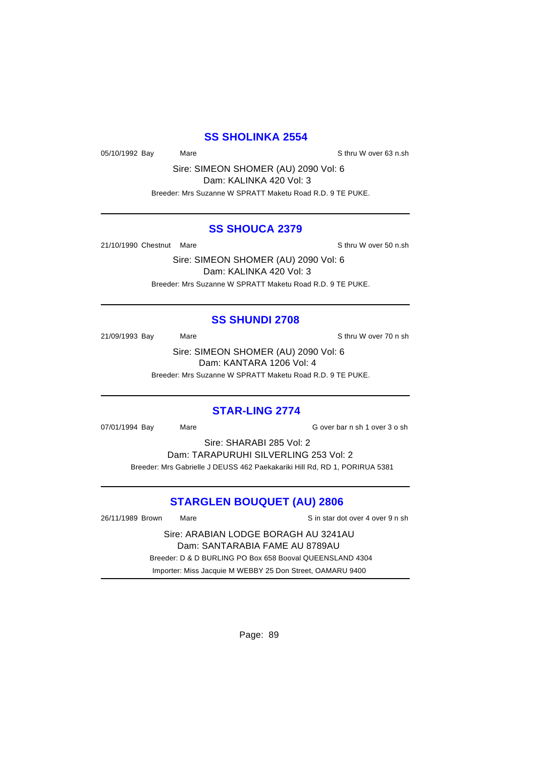# **SS SHOLINKA 2554**

05/10/1992 Bay Mare Mare Sthru W over 63 n.sh

Sire: SIMEON SHOMER (AU) 2090 Vol: 6 Dam: KALINKA 420 Vol: 3 Breeder: Mrs Suzanne W SPRATT Maketu Road R.D. 9 TE PUKE.

#### **SS SHOUCA 2379**

21/10/1990 Chestnut Mare S thru W over 50 n.sh

Sire: SIMEON SHOMER (AU) 2090 Vol: 6 Dam: KALINKA 420 Vol: 3 Breeder: Mrs Suzanne W SPRATT Maketu Road R.D. 9 TE PUKE.

# **SS SHUNDI 2708**

21/09/1993 Bay Mare Mare Share S thru W over 70 n sh

Sire: SIMEON SHOMER (AU) 2090 Vol: 6 Dam: KANTARA 1206 Vol: 4 Breeder: Mrs Suzanne W SPRATT Maketu Road R.D. 9 TE PUKE.

#### **STAR-LING 2774**

07/01/1994 Bay Mare Cover bar n sh 1 over 3 o sh

Sire: SHARABI 285 Vol: 2

Dam: TARAPURUHI SILVERLING 253 Vol: 2 Breeder: Mrs Gabrielle J DEUSS 462 Paekakariki Hill Rd, RD 1, PORIRUA 5381

# **STARGLEN BOUQUET (AU) 2806**

26/11/1989 Brown Mare Sand Star dot over 4 over 9 n sh Sire: ARABIAN LODGE BORAGH AU 3241AU Dam: SANTARABIA FAME AU 8789AU Breeder: D & D BURLING PO Box 658 Booval QUEENSLAND 4304 Importer: Miss Jacquie M WEBBY 25 Don Street, OAMARU 9400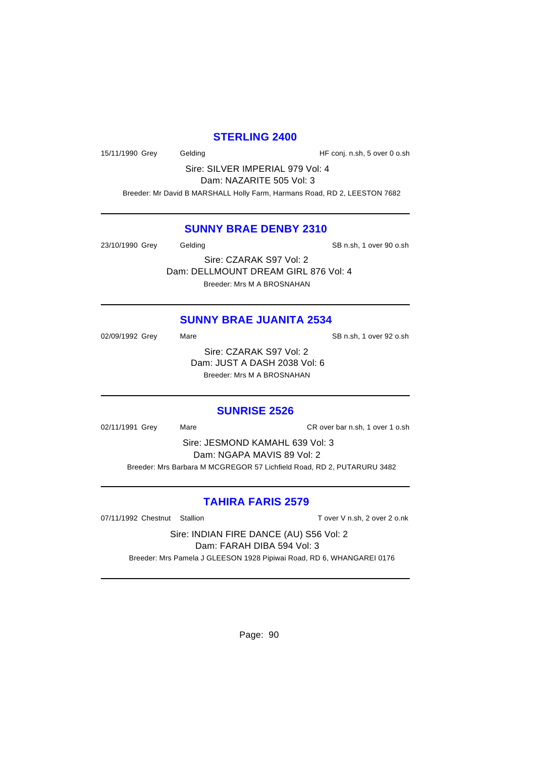#### **STERLING 2400**

15/11/1990 Grey Gelding Gelding HF conj. n.sh, 5 over 0 o.sh

Sire: SILVER IMPERIAL 979 Vol: 4 Dam: NAZARITE 505 Vol: 3

Breeder: Mr David B MARSHALL Holly Farm, Harmans Road, RD 2, LEESTON 7682

# **SUNNY BRAE DENBY 2310**

23/10/1990 Grey Gelding SB n.sh, 1 over 90 o.sh Sire: CZARAK S97 Vol: 2 Dam: DELLMOUNT DREAM GIRL 876 Vol: 4

Breeder: Mrs M A BROSNAHAN

# **SUNNY BRAE JUANITA 2534**

02/09/1992 Grey Mare Mare SB n.sh, 1 over 92 o.sh Sire: CZARAK S97 Vol: 2 Dam: JUST A DASH 2038 Vol: 6 Breeder: Mrs M A BROSNAHAN

#### **SUNRISE 2526**

02/11/1991 Grey Mare CR over bar n.sh, 1 over 1 o.sh

Sire: JESMOND KAMAHL 639 Vol: 3 Dam: NGAPA MAVIS 89 Vol: 2 Breeder: Mrs Barbara M MCGREGOR 57 Lichfield Road, RD 2, PUTARURU 3482

# **TAHIRA FARIS 2579**

07/11/1992 Chestnut Stallion Tover V n.sh, 2 over 2 o.nk

Sire: INDIAN FIRE DANCE (AU) S56 Vol: 2 Dam: FARAH DIBA 594 Vol: 3 Breeder: Mrs Pamela J GLEESON 1928 Pipiwai Road, RD 6, WHANGAREI 0176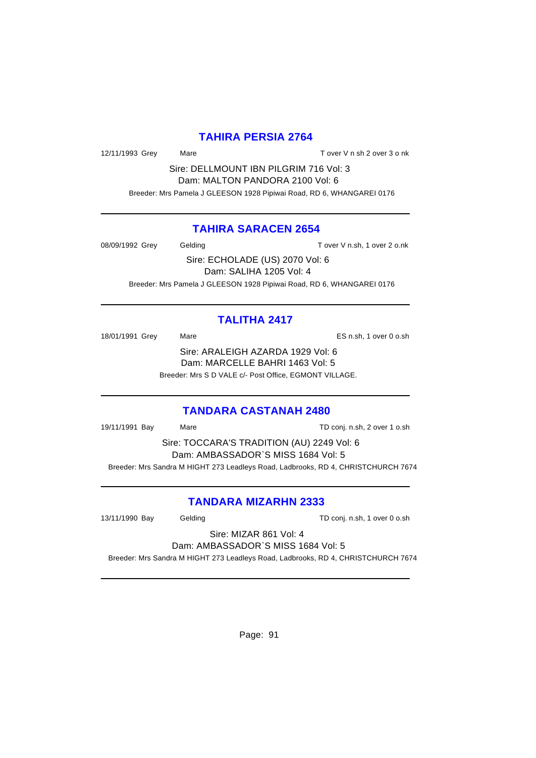# **TAHIRA PERSIA 2764**

12/11/1993 Grey Mare Mare T over V n sh 2 over 3 o nk

Sire: DELLMOUNT IBN PILGRIM 716 Vol: 3 Dam: MALTON PANDORA 2100 Vol: 6 Breeder: Mrs Pamela J GLEESON 1928 Pipiwai Road, RD 6, WHANGAREI 0176

#### **TAHIRA SARACEN 2654**

08/09/1992 Grey Gelding Gelding T over V n.sh, 1 over 2 o.nk Sire: ECHOLADE (US) 2070 Vol: 6 Dam: SALIHA 1205 Vol: 4 Breeder: Mrs Pamela J GLEESON 1928 Pipiwai Road, RD 6, WHANGAREI 0176

# **TALITHA 2417**

18/01/1991 Grey Mare Mare Consultant Mare ES n.sh, 1 over 0 o.sh Sire: ARALEIGH AZARDA 1929 Vol: 6 Dam: MARCELLE BAHRI 1463 Vol: 5 Breeder: Mrs S D VALE c/- Post Office, EGMONT VILLAGE.

#### **TANDARA CASTANAH 2480**

19/11/1991 Bay Mare TD conj. n.sh, 2 over 1 o.sh

Sire: TOCCARA'S TRADITION (AU) 2249 Vol: 6 Dam: AMBASSADOR`S MISS 1684 Vol: 5 Breeder: Mrs Sandra M HIGHT 273 Leadleys Road, Ladbrooks, RD 4, CHRISTCHURCH 7674

#### **TANDARA MIZARHN 2333**

13/11/1990 Bay Gelding Gelding TD conj. n.sh, 1 over 0 o.sh

Sire: MIZAR 861 Vol: 4 Dam: AMBASSADOR`S MISS 1684 Vol: 5

Breeder: Mrs Sandra M HIGHT 273 Leadleys Road, Ladbrooks, RD 4, CHRISTCHURCH 7674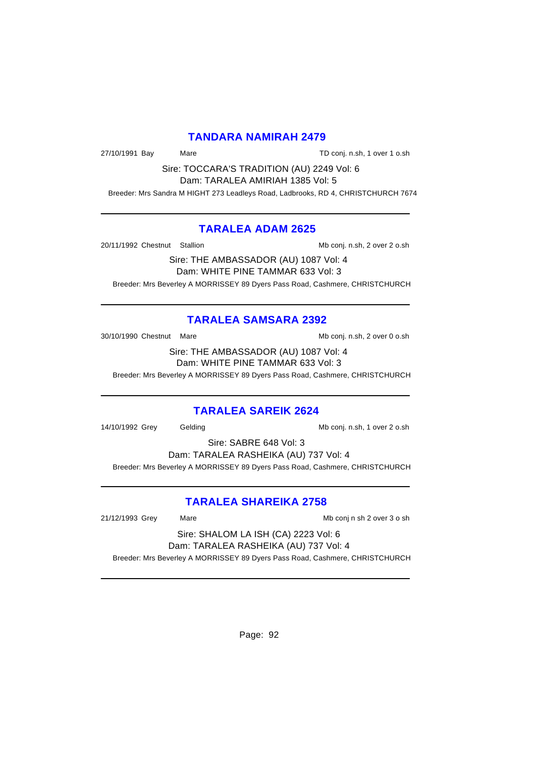#### **TANDARA NAMIRAH 2479**

27/10/1991 Bay Mare Mare TD conj. n.sh, 1 over 1 o.sh

Sire: TOCCARA'S TRADITION (AU) 2249 Vol: 6 Dam: TARALEA AMIRIAH 1385 Vol: 5

Breeder: Mrs Sandra M HIGHT 273 Leadleys Road, Ladbrooks, RD 4, CHRISTCHURCH 7674

#### **TARALEA ADAM 2625**

20/11/1992 Chestnut Stallion Mb conj. n.sh, 2 over 2 o.sh

Sire: THE AMBASSADOR (AU) 1087 Vol: 4 Dam: WHITE PINE TAMMAR 633 Vol: 3 Breeder: Mrs Beverley A MORRISSEY 89 Dyers Pass Road, Cashmere, CHRISTCHURCH

# **TARALEA SAMSARA 2392**

30/10/1990 Chestnut Mare Maximum Mare Mb conj. n.sh, 2 over 0 o.sh

Sire: THE AMBASSADOR (AU) 1087 Vol: 4 Dam: WHITE PINE TAMMAR 633 Vol: 3

Breeder: Mrs Beverley A MORRISSEY 89 Dyers Pass Road, Cashmere, CHRISTCHURCH

# **TARALEA SAREIK 2624**

14/10/1992 Grey Gelding Mb conj. n.sh, 1 over 2 o.sh

Sire: SABRE 648 Vol: 3

Dam: TARALEA RASHEIKA (AU) 737 Vol: 4

Breeder: Mrs Beverley A MORRISSEY 89 Dyers Pass Road, Cashmere, CHRISTCHURCH

# **TARALEA SHAREIKA 2758**

21/12/1993 Grey Mare Mare Matchest Mb conj n sh 2 over 3 o sh

Sire: SHALOM LA ISH (CA) 2223 Vol: 6 Dam: TARALEA RASHEIKA (AU) 737 Vol: 4

Breeder: Mrs Beverley A MORRISSEY 89 Dyers Pass Road, Cashmere, CHRISTCHURCH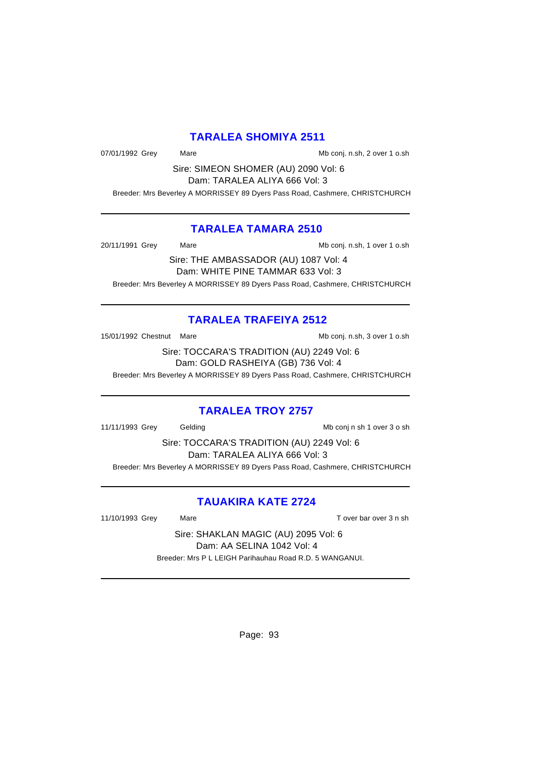# **TARALEA SHOMIYA 2511**

07/01/1992 Grey Mare Mare Mb conj. n.sh, 2 over 1 o.sh

Sire: SIMEON SHOMER (AU) 2090 Vol: 6 Dam: TARALEA ALIYA 666 Vol: 3

Breeder: Mrs Beverley A MORRISSEY 89 Dyers Pass Road, Cashmere, CHRISTCHURCH

# **TARALEA TAMARA 2510**

20/11/1991 Grey Mare Mare Mb conj. n.sh, 1 over 1 o.sh

Sire: THE AMBASSADOR (AU) 1087 Vol: 4 Dam: WHITE PINE TAMMAR 633 Vol: 3 Breeder: Mrs Beverley A MORRISSEY 89 Dyers Pass Road, Cashmere, CHRISTCHURCH

# **TARALEA TRAFEIYA 2512**

15/01/1992 Chestnut Mare Maximus And Mb conj. n.sh, 3 over 1 o.sh

Sire: TOCCARA'S TRADITION (AU) 2249 Vol: 6 Dam: GOLD RASHEIYA (GB) 736 Vol: 4

Breeder: Mrs Beverley A MORRISSEY 89 Dyers Pass Road, Cashmere, CHRISTCHURCH

# **TARALEA TROY 2757**

11/11/1993 Grey Gelding Constant Constant Constant Constant Constant Constant Constant Constant Constant Const

Sire: TOCCARA'S TRADITION (AU) 2249 Vol: 6 Dam: TARALEA ALIYA 666 Vol: 3 Breeder: Mrs Beverley A MORRISSEY 89 Dyers Pass Road, Cashmere, CHRISTCHURCH

# **TAUAKIRA KATE 2724**

11/10/1993 Grey Mare Mare T over bar over 3 n sh

Sire: SHAKLAN MAGIC (AU) 2095 Vol: 6 Dam: AA SELINA 1042 Vol: 4 Breeder: Mrs P L LEIGH Parihauhau Road R.D. 5 WANGANUI.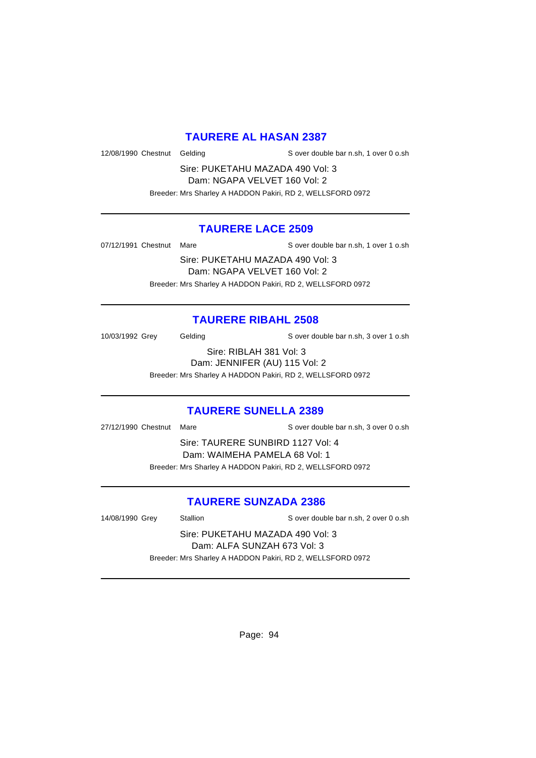# **TAURERE AL HASAN 2387**

12/08/1990 Chestnut Gelding Sover double bar n.sh, 1 over 0 o.sh

Sire: PUKETAHU MAZADA 490 Vol: 3 Dam: NGAPA VELVET 160 Vol: 2 Breeder: Mrs Sharley A HADDON Pakiri, RD 2, WELLSFORD 0972

# **TAURERE LACE 2509**

07/12/1991 Chestnut Mare S over double bar n.sh, 1 over 1 o.sh

Sire: PUKETAHU MAZADA 490 Vol: 3 Dam: NGAPA VELVET 160 Vol: 2 Breeder: Mrs Sharley A HADDON Pakiri, RD 2, WELLSFORD 0972

# **TAURERE RIBAHL 2508**

10/03/1992 Grey Gelding S over double bar n.sh, 3 over 1 o.sh

Sire: RIBLAH 381 Vol: 3 Dam: JENNIFER (AU) 115 Vol: 2 Breeder: Mrs Sharley A HADDON Pakiri, RD 2, WELLSFORD 0972

#### **TAURERE SUNELLA 2389**

27/12/1990 Chestnut Mare S over double bar n.sh, 3 over 0 o.sh

Sire: TAURERE SUNBIRD 1127 Vol: 4 Dam: WAIMEHA PAMELA 68 Vol: 1 Breeder: Mrs Sharley A HADDON Pakiri, RD 2, WELLSFORD 0972

#### **TAURERE SUNZADA 2386**

14/08/1990 Grey Stallion Stallion Server double bar n.sh, 2 over 0 o.sh

Sire: PUKETAHU MAZADA 490 Vol: 3 Dam: ALFA SUNZAH 673 Vol: 3 Breeder: Mrs Sharley A HADDON Pakiri, RD 2, WELLSFORD 0972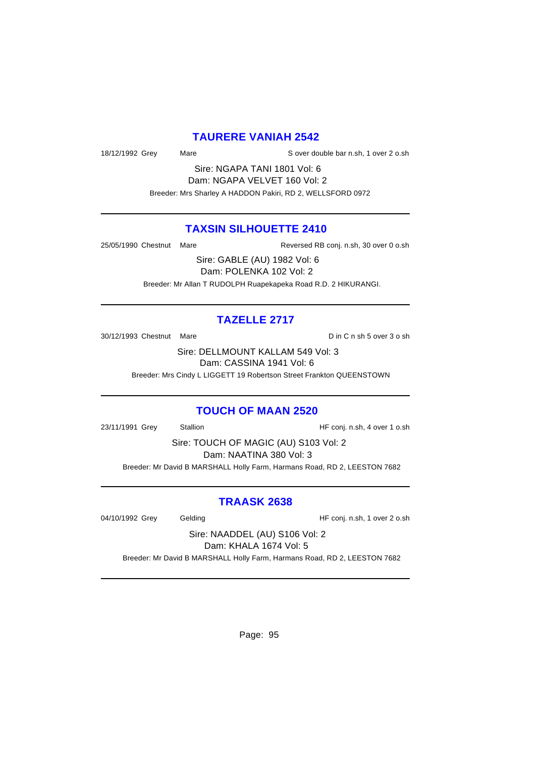#### **TAURERE VANIAH 2542**

18/12/1992 Grey Mare S over double bar n.sh, 1 over 2 o.sh

Sire: NGAPA TANI 1801 Vol: 6 Dam: NGAPA VELVET 160 Vol: 2 Breeder: Mrs Sharley A HADDON Pakiri, RD 2, WELLSFORD 0972

# **TAXSIN SILHOUETTE 2410**

25/05/1990 Chestnut Mare Reversed RB conj. n.sh, 30 over 0 o.sh

Sire: GABLE (AU) 1982 Vol: 6 Dam: POLENKA 102 Vol: 2 Breeder: Mr Allan T RUDOLPH Ruapekapeka Road R.D. 2 HIKURANGI.

# **TAZELLE 2717**

30/12/1993 Chestnut Mare **D** in C n sh 5 over 3 o sh

Sire: DELLMOUNT KALLAM 549 Vol: 3 Dam: CASSINA 1941 Vol: 6

Breeder: Mrs Cindy L LIGGETT 19 Robertson Street Frankton QUEENSTOWN

#### **TOUCH OF MAAN 2520**

23/11/1991 Grey Stallion HF conj. n.sh, 4 over 1 o.sh

Sire: TOUCH OF MAGIC (AU) S103 Vol: 2 Dam: NAATINA 380 Vol: 3 Breeder: Mr David B MARSHALL Holly Farm, Harmans Road, RD 2, LEESTON 7682

#### **TRAASK 2638**

04/10/1992 Grey Gelding Gelding HF conj. n.sh, 1 over 2 o.sh

Sire: NAADDEL (AU) S106 Vol: 2 Dam: KHALA 1674 Vol: 5

Breeder: Mr David B MARSHALL Holly Farm, Harmans Road, RD 2, LEESTON 7682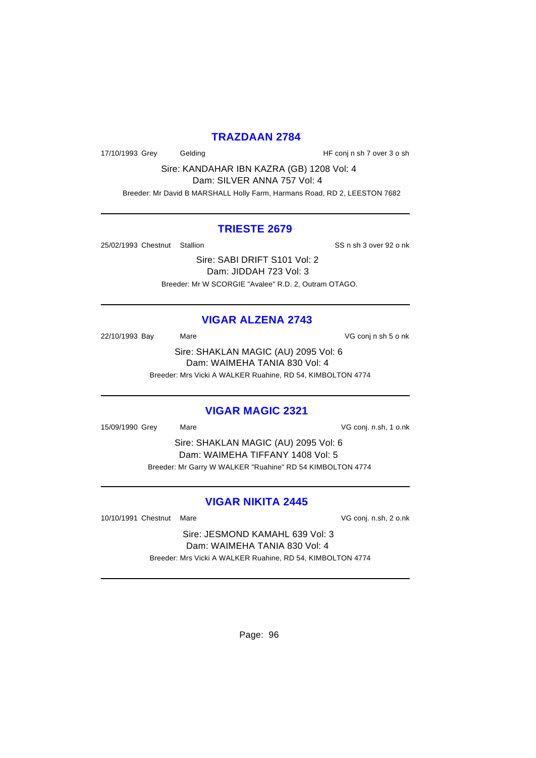#### **TRAZDAAN 2784**

17/10/1993 Grey Gelding Gelding HF conj n sh 7 over 3 o sh

Sire: KANDAHAR IBN KAZRA (GB) 1208 Vol: 4 Dam: SILVER ANNA 757 Vol: 4

Breeder: Mr David B MARSHALL Holly Farm, Harmans Road, RD 2, LEESTON 7682

#### **TRIESTE 2679**

25/02/1993 Chestnut Stallion States and SS n sh 3 over 92 o nk

Sire: SABI DRIFT S101 Vol: 2 Dam: JIDDAH 723 Vol: 3 Breeder: Mr W SCORGIE "Avalee" R.D. 2, Outram OTAGO.

# **VIGAR ALZENA 2743**

22/10/1993 Bay Mare VG conj n sh 5 o nk

Sire: SHAKLAN MAGIC (AU) 2095 Vol: 6 Dam: WAIMEHA TANIA 830 Vol: 4 Breeder: Mrs Vicki A WALKER Ruahine, RD 54, KIMBOLTON 4774

# **VIGAR MAGIC 2321**

15/09/1990 Grey Mare VG conj. n.sh, 1 o.nk

Sire: SHAKLAN MAGIC (AU) 2095 Vol: 6 Dam: WAIMEHA TIFFANY 1408 Vol: 5 Breeder: Mr Garry W WALKER "Ruahine" RD 54 KIMBOLTON 4774

# **VIGAR NIKITA 2445**

10/10/1991 Chestnut Mare **VG** conj. n.sh, 2 o.nk

Sire: JESMOND KAMAHL 639 Vol: 3 Dam: WAIMEHA TANIA 830 Vol: 4 Breeder: Mrs Vicki A WALKER Ruahine, RD 54, KIMBOLTON 4774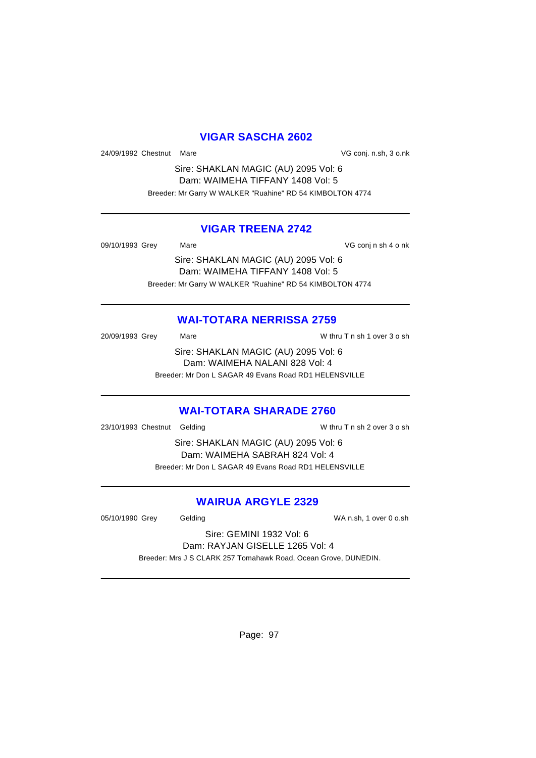# **VIGAR SASCHA 2602**

24/09/1992 Chestnut Mare **VG** conj. n.sh, 3 o.nk

Sire: SHAKLAN MAGIC (AU) 2095 Vol: 6 Dam: WAIMEHA TIFFANY 1408 Vol: 5 Breeder: Mr Garry W WALKER "Ruahine" RD 54 KIMBOLTON 4774

#### **VIGAR TREENA 2742**

09/10/1993 Grey Mare Mare VG conj n sh 4 o nk

Sire: SHAKLAN MAGIC (AU) 2095 Vol: 6 Dam: WAIMEHA TIFFANY 1408 Vol: 5 Breeder: Mr Garry W WALKER "Ruahine" RD 54 KIMBOLTON 4774

# **WAI-TOTARA NERRISSA 2759**

20/09/1993 Grey Mare Mare W thru T n sh 1 over 3 o sh Sire: SHAKLAN MAGIC (AU) 2095 Vol: 6 Dam: WAIMEHA NALANI 828 Vol: 4 Breeder: Mr Don L SAGAR 49 Evans Road RD1 HELENSVILLE

# **WAI-TOTARA SHARADE 2760**

23/10/1993 Chestnut Gelding W thru T n sh 2 over 3 o sh

Sire: SHAKLAN MAGIC (AU) 2095 Vol: 6 Dam: WAIMEHA SABRAH 824 Vol: 4 Breeder: Mr Don L SAGAR 49 Evans Road RD1 HELENSVILLE

# **WAIRUA ARGYLE 2329**

05/10/1990 Grey Gelding WA n.sh, 1 over 0 o.sh

Sire: GEMINI 1932 Vol: 6 Dam: RAYJAN GISELLE 1265 Vol: 4

Breeder: Mrs J S CLARK 257 Tomahawk Road, Ocean Grove, DUNEDIN.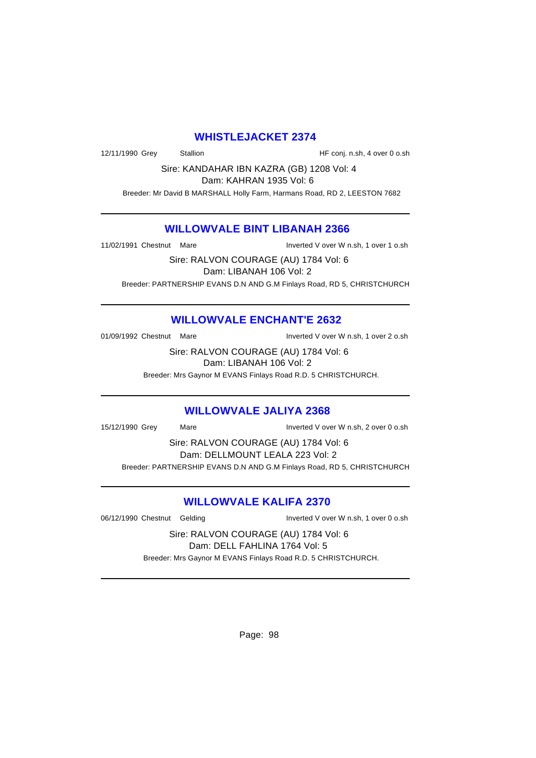# **WHISTLEJACKET 2374**

12/11/1990 Grey Stallion Stallion Stallion HF conj. n.sh, 4 over 0 o.sh

Sire: KANDAHAR IBN KAZRA (GB) 1208 Vol: 4 Dam: KAHRAN 1935 Vol: 6

Breeder: Mr David B MARSHALL Holly Farm, Harmans Road, RD 2, LEESTON 7682

# **WILLOWVALE BINT LIBANAH 2366**

11/02/1991 Chestnut Mare Inverted V over W n.sh, 1 over 1 o.sh

Sire: RALVON COURAGE (AU) 1784 Vol: 6 Dam: LIBANAH 106 Vol: 2 Breeder: PARTNERSHIP EVANS D.N AND G.M Finlays Road, RD 5, CHRISTCHURCH

# **WILLOWVALE ENCHANT'E 2632**

01/09/1992 Chestnut Mare Inverted V over W n.sh, 1 over 2 o.sh

Sire: RALVON COURAGE (AU) 1784 Vol: 6 Dam: LIBANAH 106 Vol: 2

Breeder: Mrs Gaynor M EVANS Finlays Road R.D. 5 CHRISTCHURCH.

#### **WILLOWVALE JALIYA 2368**

15/12/1990 Grey Mare Inverted V over W n.sh, 2 over 0 o.sh

Sire: RALVON COURAGE (AU) 1784 Vol: 6 Dam: DELLMOUNT LEALA 223 Vol: 2 Breeder: PARTNERSHIP EVANS D.N AND G.M Finlays Road, RD 5, CHRISTCHURCH

# **WILLOWVALE KALIFA 2370**

06/12/1990 Chestnut Gelding Inverted V over W n.sh, 1 over 0 o.sh

Sire: RALVON COURAGE (AU) 1784 Vol: 6 Dam: DELL FAHLINA 1764 Vol: 5 Breeder: Mrs Gaynor M EVANS Finlays Road R.D. 5 CHRISTCHURCH.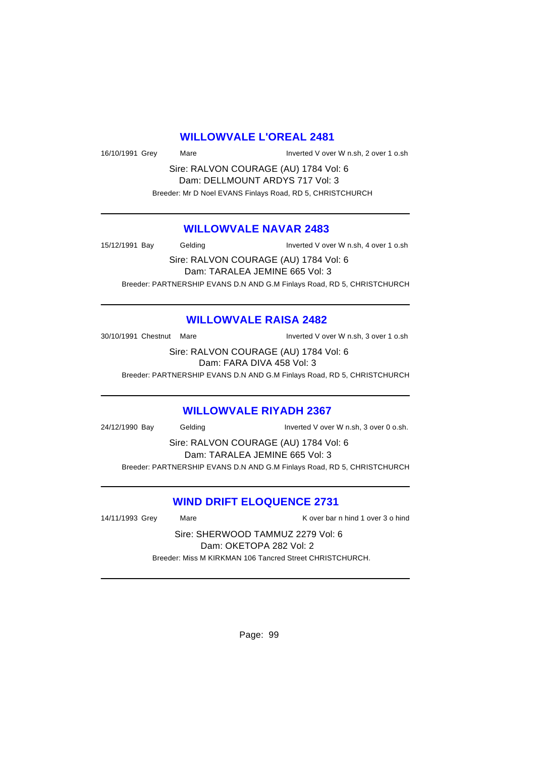#### **WILLOWVALE L'OREAL 2481**

16/10/1991 Grey Mare Mare Inverted V over W n.sh, 2 over 1 o.sh

Sire: RALVON COURAGE (AU) 1784 Vol: 6 Dam: DELLMOUNT ARDYS 717 Vol: 3 Breeder: Mr D Noel EVANS Finlays Road, RD 5, CHRISTCHURCH

#### **WILLOWVALE NAVAR 2483**

15/12/1991 Bay Gelding Inverted V over W n.sh, 4 over 1 o.sh Sire: RALVON COURAGE (AU) 1784 Vol: 6 Dam: TARALEA JEMINE 665 Vol: 3 Breeder: PARTNERSHIP EVANS D.N AND G.M Finlays Road, RD 5, CHRISTCHURCH

# **WILLOWVALE RAISA 2482**

30/10/1991 Chestnut Mare Inverted V over W n.sh, 3 over 1 o.sh

Sire: RALVON COURAGE (AU) 1784 Vol: 6 Dam: FARA DIVA 458 Vol: 3

Breeder: PARTNERSHIP EVANS D.N AND G.M Finlays Road, RD 5, CHRISTCHURCH

#### **WILLOWVALE RIYADH 2367**

24/12/1990 Bay Gelding Inverted V over W n.sh, 3 over 0 o.sh.

Sire: RALVON COURAGE (AU) 1784 Vol: 6 Dam: TARALEA JEMINE 665 Vol: 3 Breeder: PARTNERSHIP EVANS D.N AND G.M Finlays Road, RD 5, CHRISTCHURCH

#### **WIND DRIFT ELOQUENCE 2731**

14/11/1993 Grey Mare Mare K over bar n hind 1 over 3 o hind

Sire: SHERWOOD TAMMUZ 2279 Vol: 6 Dam: OKETOPA 282 Vol: 2 Breeder: Miss M KIRKMAN 106 Tancred Street CHRISTCHURCH.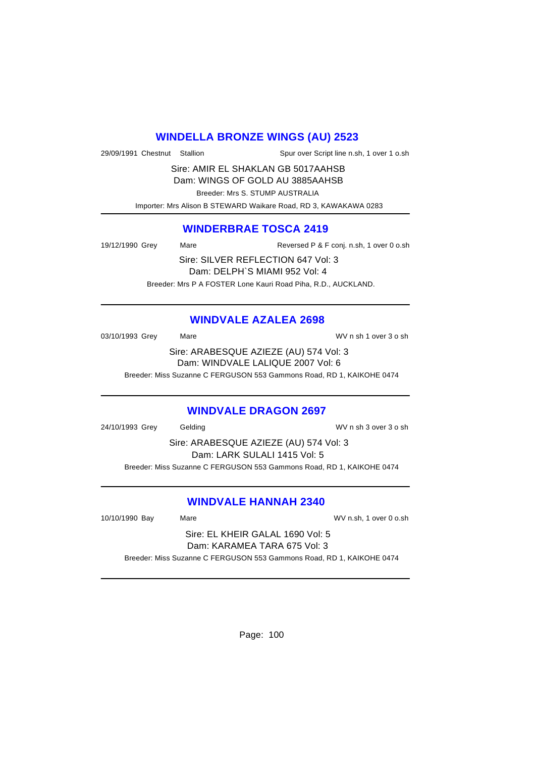# **WINDELLA BRONZE WINGS (AU) 2523**

29/09/1991 Chestnut Stallion Spur over Script line n.sh, 1 over 1 o.sh

Sire: AMIR EL SHAKLAN GB 5017AAHSB Dam: WINGS OF GOLD AU 3885AAHSB

Breeder: Mrs S. STUMP AUSTRALIA

Importer: Mrs Alison B STEWARD Waikare Road, RD 3, KAWAKAWA 0283

# **WINDERBRAE TOSCA 2419**

19/12/1990 Grey Mare Mare Reversed P & F conj. n.sh, 1 over 0 o.sh

Sire: SILVER REFLECTION 647 Vol: 3 Dam: DELPH`S MIAMI 952 Vol: 4 Breeder: Mrs P A FOSTER Lone Kauri Road Piha, R.D., AUCKLAND.

# **WINDVALE AZALEA 2698**

03/10/1993 Grey Mare Mare WV n sh 1 over 3 o sh Sire: ARABESQUE AZIEZE (AU) 574 Vol: 3

Dam: WINDVALE LALIQUE 2007 Vol: 6

Breeder: Miss Suzanne C FERGUSON 553 Gammons Road, RD 1, KAIKOHE 0474

# **WINDVALE DRAGON 2697**

24/10/1993 Grey Gelding WV n sh 3 over 3 o sh

Sire: ARABESQUE AZIEZE (AU) 574 Vol: 3 Dam: LARK SULALI 1415 Vol: 5 Breeder: Miss Suzanne C FERGUSON 553 Gammons Road, RD 1, KAIKOHE 0474

# **WINDVALE HANNAH 2340**

10/10/1990 Bay Mare WV n.sh, 1 over 0 o.sh

Sire: EL KHEIR GALAL 1690 Vol: 5 Dam: KARAMEA TARA 675 Vol: 3

Breeder: Miss Suzanne C FERGUSON 553 Gammons Road, RD 1, KAIKOHE 0474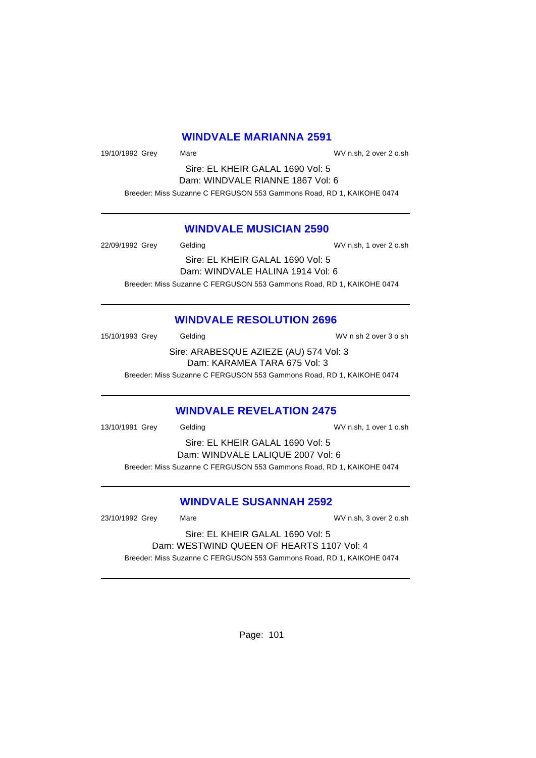#### **WINDVALE MARIANNA 2591**

19/10/1992 Grey Mare Mare WV n.sh, 2 over 2 o.sh

Sire: EL KHEIR GALAL 1690 Vol: 5 Dam: WINDVALE RIANNE 1867 Vol: 6 Breeder: Miss Suzanne C FERGUSON 553 Gammons Road, RD 1, KAIKOHE 0474

#### **WINDVALE MUSICIAN 2590**

22/09/1992 Grey Gelding WV n.sh, 1 over 2 o.sh Sire: EL KHEIR GALAL 1690 Vol: 5 Dam: WINDVALE HALINA 1914 Vol: 6 Breeder: Miss Suzanne C FERGUSON 553 Gammons Road, RD 1, KAIKOHE 0474

#### **WINDVALE RESOLUTION 2696**

15/10/1993 Grey Gelding Gelding WV n sh 2 over 3 o sh Sire: ARABESQUE AZIEZE (AU) 574 Vol: 3 Dam: KARAMEA TARA 675 Vol: 3

Breeder: Miss Suzanne C FERGUSON 553 Gammons Road, RD 1, KAIKOHE 0474

#### **WINDVALE REVELATION 2475**

| 13/10/1991 Grey | Gelding | WV n.sh, 1 over 1 o.sh                                                |  |
|-----------------|---------|-----------------------------------------------------------------------|--|
|                 |         | Sire: EL KHEIR GALAL 1690 Vol: 5                                      |  |
|                 |         | Dam: WINDVALE LALIQUE 2007 Vol: 6                                     |  |
|                 |         | Breeder: Miss Suzanne C FERGUSON 553 Gammons Road, RD 1, KAIKOHE 0474 |  |
|                 |         |                                                                       |  |

# **WINDVALE SUSANNAH 2592**

23/10/1992 Grey Mare WV n.sh, 3 over 2 o.sh

Sire: EL KHEIR GALAL 1690 Vol: 5 Dam: WESTWIND QUEEN OF HEARTS 1107 Vol: 4 Breeder: Miss Suzanne C FERGUSON 553 Gammons Road, RD 1, KAIKOHE 0474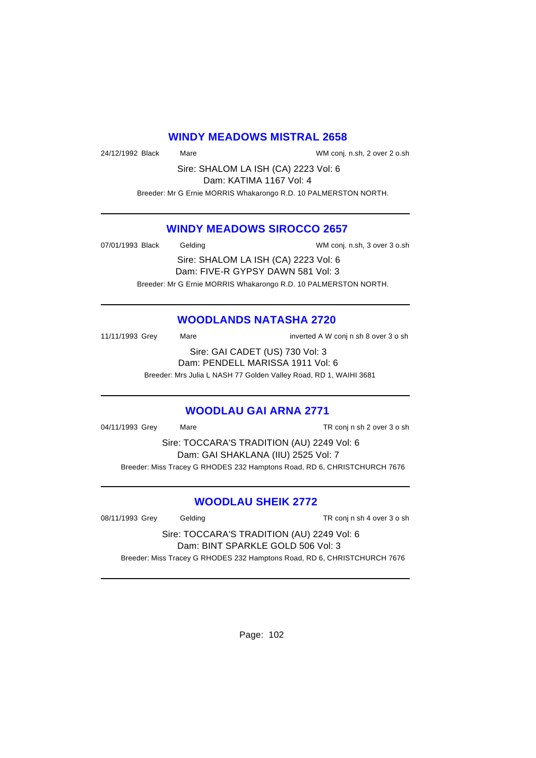#### **WINDY MEADOWS MISTRAL 2658**

24/12/1992 Black Mare WM conj. n.sh, 2 over 2 o.sh

Sire: SHALOM LA ISH (CA) 2223 Vol: 6 Dam: KATIMA 1167 Vol: 4

Breeder: Mr G Ernie MORRIS Whakarongo R.D. 10 PALMERSTON NORTH.

#### **WINDY MEADOWS SIROCCO 2657**

07/01/1993 Black Gelding Conj. n.sh, 3 over 3 o.sh Sire: SHALOM LA ISH (CA) 2223 Vol: 6

> Dam: FIVE-R GYPSY DAWN 581 Vol: 3 Breeder: Mr G Ernie MORRIS Whakarongo R.D. 10 PALMERSTON NORTH.

# **WOODLANDS NATASHA 2720**

11/11/1993 Grey Mare inverted A W conj n sh 8 over 3 o sh Sire: GAI CADET (US) 730 Vol: 3 Dam: PENDELL MARISSA 1911 Vol: 6

Breeder: Mrs Julia L NASH 77 Golden Valley Road, RD 1, WAIHI 3681

# **WOODLAU GAI ARNA 2771**

04/11/1993 Grey Mare Mare TR conj n sh 2 over 3 o sh

Sire: TOCCARA'S TRADITION (AU) 2249 Vol: 6 Dam: GAI SHAKLANA (IIU) 2525 Vol: 7 Breeder: Miss Tracey G RHODES 232 Hamptons Road, RD 6, CHRISTCHURCH 7676

# **WOODLAU SHEIK 2772**

08/11/1993 Grey Gelding Conject TR conj n sh 4 over 3 o sh

Sire: TOCCARA'S TRADITION (AU) 2249 Vol: 6 Dam: BINT SPARKLE GOLD 506 Vol: 3 Breeder: Miss Tracey G RHODES 232 Hamptons Road, RD 6, CHRISTCHURCH 7676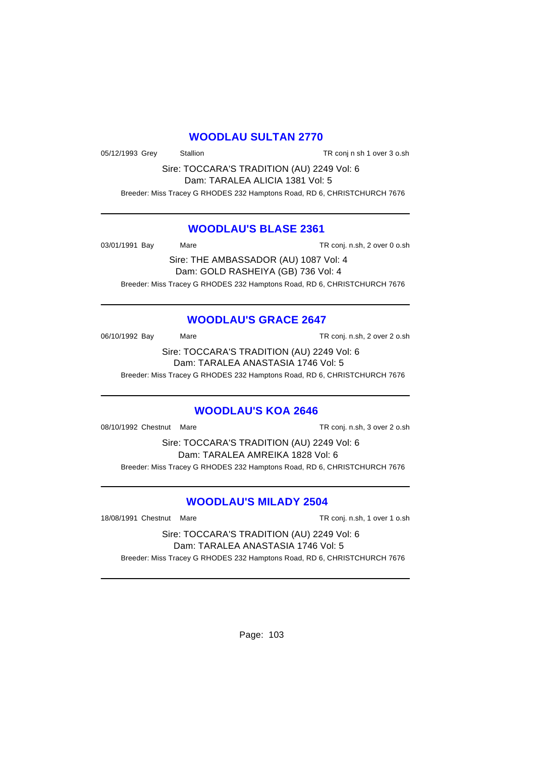# **WOODLAU SULTAN 2770**

05/12/1993 Grey Stallion TR conj n sh 1 over 3 o.sh

Sire: TOCCARA'S TRADITION (AU) 2249 Vol: 6 Dam: TARALEA ALICIA 1381 Vol: 5

Breeder: Miss Tracey G RHODES 232 Hamptons Road, RD 6, CHRISTCHURCH 7676

# **WOODLAU'S BLASE 2361**

03/01/1991 Bay Mare Mare TR conj. n.sh, 2 over 0 o.sh

Sire: THE AMBASSADOR (AU) 1087 Vol: 4 Dam: GOLD RASHEIYA (GB) 736 Vol: 4 Breeder: Miss Tracey G RHODES 232 Hamptons Road, RD 6, CHRISTCHURCH 7676

# **WOODLAU'S GRACE 2647**

06/10/1992 Bay Mare Mare TR conj. n.sh, 2 over 2 o.sh

Sire: TOCCARA'S TRADITION (AU) 2249 Vol: 6 Dam: TARALEA ANASTASIA 1746 Vol: 5

Breeder: Miss Tracey G RHODES 232 Hamptons Road, RD 6, CHRISTCHURCH 7676

# **WOODLAU'S KOA 2646**

08/10/1992 Chestnut Mare TR conj. n.sh, 3 over 2 o.sh

Sire: TOCCARA'S TRADITION (AU) 2249 Vol: 6 Dam: TARALEA AMREIKA 1828 Vol: 6 Breeder: Miss Tracey G RHODES 232 Hamptons Road, RD 6, CHRISTCHURCH 7676

# **WOODLAU'S MILADY 2504**

18/08/1991 Chestnut Mare TR conj. n.sh, 1 over 1 o.sh

Sire: TOCCARA'S TRADITION (AU) 2249 Vol: 6 Dam: TARALEA ANASTASIA 1746 Vol: 5 Breeder: Miss Tracey G RHODES 232 Hamptons Road, RD 6, CHRISTCHURCH 7676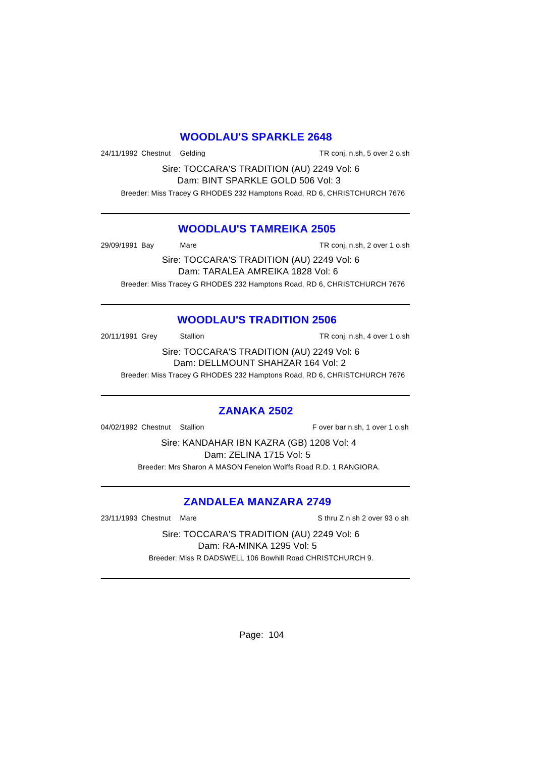# **WOODLAU'S SPARKLE 2648**

24/11/1992 Chestnut Gelding TR conj. n.sh, 5 over 2 o.sh

Sire: TOCCARA'S TRADITION (AU) 2249 Vol: 6 Dam: BINT SPARKLE GOLD 506 Vol: 3

Breeder: Miss Tracey G RHODES 232 Hamptons Road, RD 6, CHRISTCHURCH 7676

# **WOODLAU'S TAMREIKA 2505**

29/09/1991 Bay Mare TR conj. n.sh, 2 over 1 o.sh

Sire: TOCCARA'S TRADITION (AU) 2249 Vol: 6 Dam: TARALEA AMREIKA 1828 Vol: 6 Breeder: Miss Tracey G RHODES 232 Hamptons Road, RD 6, CHRISTCHURCH 7676

# **WOODLAU'S TRADITION 2506**

20/11/1991 Grey Stallion TR conj. n.sh, 4 over 1 o.sh

Sire: TOCCARA'S TRADITION (AU) 2249 Vol: 6 Dam: DELLMOUNT SHAHZAR 164 Vol: 2

Breeder: Miss Tracey G RHODES 232 Hamptons Road, RD 6, CHRISTCHURCH 7676

# **ZANAKA 2502**

04/02/1992 Chestnut Stallion Fover bar n.sh, 1 over 1 o.sh

Sire: KANDAHAR IBN KAZRA (GB) 1208 Vol: 4 Dam: ZELINA 1715 Vol: 5 Breeder: Mrs Sharon A MASON Fenelon Wolffs Road R.D. 1 RANGIORA.

# **ZANDALEA MANZARA 2749**

23/11/1993 Chestnut Mare State State State State State State State State State State State State State State S

Sire: TOCCARA'S TRADITION (AU) 2249 Vol: 6 Dam: RA-MINKA 1295 Vol: 5 Breeder: Miss R DADSWELL 106 Bowhill Road CHRISTCHURCH 9.